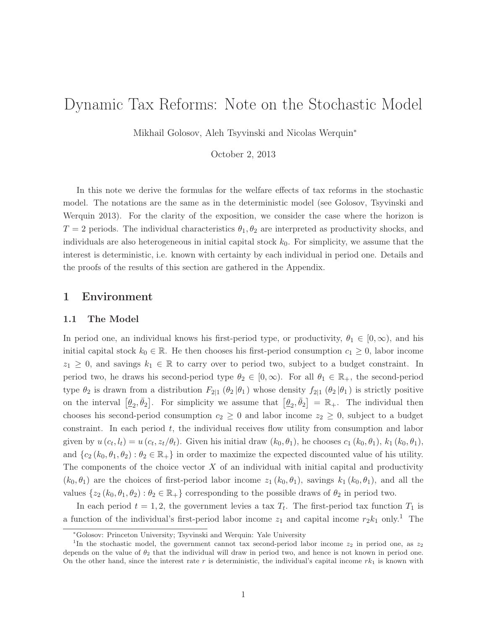# Dynamic Tax Reforms: Note on the Stochastic Model

Mikhail Golosov, Aleh Tsyvinski and Nicolas Werquin<sup>∗</sup>

October 2, 2013

In this note we derive the formulas for the welfare effects of tax reforms in the stochastic model. The notations are the same as in the deterministic model (see Golosov, Tsyvinski and Werquin 2013). For the clarity of the exposition, we consider the case where the horizon is  $T = 2$  periods. The individual characteristics  $\theta_1, \theta_2$  are interpreted as productivity shocks, and individuals are also heterogeneous in initial capital stock  $k_0$ . For simplicity, we assume that the interest is deterministic, i.e. known with certainty by each individual in period one. Details and the proofs of the results of this section are gathered in the Appendix.

# 1 Environment

# 1.1 The Model

In period one, an individual knows his first-period type, or productivity,  $\theta_1 \in [0, \infty)$ , and his initial capital stock  $k_0 \in \mathbb{R}$ . He then chooses his first-period consumption  $c_1 \geq 0$ , labor income  $z_1 \geq 0$ , and savings  $k_1 \in \mathbb{R}$  to carry over to period two, subject to a budget constraint. In period two, he draws his second-period type  $\theta_2 \in [0,\infty)$ . For all  $\theta_1 \in \mathbb{R}_+$ , the second-period type  $\theta_2$  is drawn from a distribution  $F_{2|1}$  ( $\theta_2|\theta_1$ ) whose density  $f_{2|1}$  ( $\theta_2|\theta_1$ ) is strictly positive on the interval  $[\underline{\theta}_2, \overline{\theta}_2]$ . For simplicity we assume that  $[\underline{\theta}_2, \overline{\theta}_2] = \mathbb{R}_+$ . The individual then chooses his second-period consumption  $c_2 \geq 0$  and labor income  $z_2 \geq 0$ , subject to a budget constraint. In each period  $t$ , the individual receives flow utility from consumption and labor given by  $u(c_t, l_t) = u(c_t, z_t/\theta_t)$ . Given his initial draw  $(k_0, \theta_1)$ , he chooses  $c_1(k_0, \theta_1)$ ,  $k_1(k_0, \theta_1)$ , and  $\{c_2 (k_0, \theta_1, \theta_2) : \theta_2 \in \mathbb{R}_+\}$  in order to maximize the expected discounted value of his utility. The components of the choice vector  $X$  of an individual with initial capital and productivity  $(k_0, \theta_1)$  are the choices of first-period labor income  $z_1 (k_0, \theta_1)$ , savings  $k_1 (k_0, \theta_1)$ , and all the values  $\{z_2 (k_0, \theta_1, \theta_2) : \theta_2 \in \mathbb{R}_+\}$  corresponding to the possible draws of  $\theta_2$  in period two.

In each period  $t = 1, 2$ , the government levies a tax  $T_t$ . The first-period tax function  $T_1$  is a function of the individual's first-period labor income  $z_1$  and capital income  $r_2k_1$  only.<sup>1</sup> The

<sup>∗</sup>Golosov: Princeton University; Tsyvinski and Werquin: Yale University

<sup>&</sup>lt;sup>1</sup>In the stochastic model, the government cannot tax second-period labor income  $z_2$  in period one, as  $z_2$ depends on the value of  $\theta_2$  that the individual will draw in period two, and hence is not known in period one. On the other hand, since the interest rate r is deterministic, the individual's capital income  $rk_1$  is known with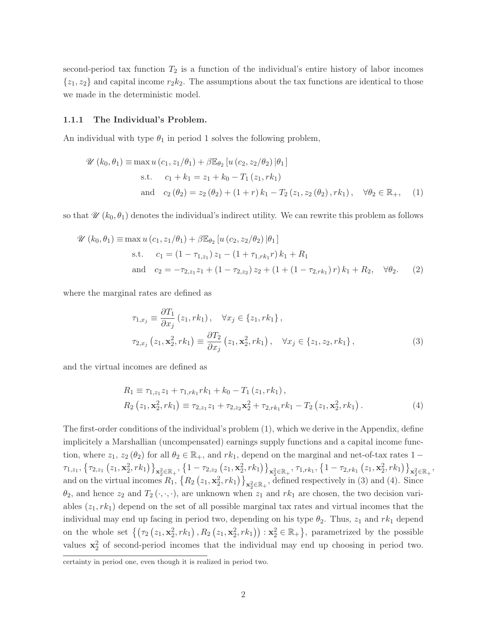second-period tax function  $T_2$  is a function of the individual's entire history of labor incomes  $\{z_1, z_2\}$  and capital income  $r_2k_2$ . The assumptions about the tax functions are identical to those we made in the deterministic model.

#### 1.1.1 The Individual's Problem.

An individual with type  $\theta_1$  in period 1 solves the following problem,

$$
\mathcal{U}(k_0, \theta_1) \equiv \max u (c_1, z_1/\theta_1) + \beta \mathbb{E}_{\theta_2} [u (c_2, z_2/\theta_2) | \theta_1]
$$
  
s.t.  $c_1 + k_1 = z_1 + k_0 - T_1 (z_1, rk_1)$   
and  $c_2 (\theta_2) = z_2 (\theta_2) + (1+r) k_1 - T_2 (z_1, z_2 (\theta_2), rk_1), \quad \forall \theta_2 \in \mathbb{R}_+,$  (1)

so that  $\mathscr{U}(k_0, \theta_1)$  denotes the individual's indirect utility. We can rewrite this problem as follows

$$
\mathcal{U}(k_0, \theta_1) \equiv \max u (c_1, z_1/\theta_1) + \beta \mathbb{E}_{\theta_2} [u (c_2, z_2/\theta_2) | \theta_1]
$$
  
s.t.  $c_1 = (1 - \tau_{1,z_1}) z_1 - (1 + \tau_{1,rk_1} r) k_1 + R_1$   
and  $c_2 = -\tau_{2,z_1} z_1 + (1 - \tau_{2,z_2}) z_2 + (1 + (1 - \tau_{2,rk_1}) r) k_1 + R_2, \quad \forall \theta_2$ . (2)

where the marginal rates are defined as

$$
\tau_{1,x_j} \equiv \frac{\partial T_1}{\partial x_j} (z_1, rk_1), \quad \forall x_j \in \{z_1, rk_1\}, \tau_{2,x_j} (z_1, \mathbf{x}_2^2, rk_1) \equiv \frac{\partial T_2}{\partial x_j} (z_1, \mathbf{x}_2^2, rk_1), \quad \forall x_j \in \{z_1, z_2, rk_1\},
$$
\n(3)

and the virtual incomes are defined as

$$
R_1 \equiv \tau_{1,z_1} z_1 + \tau_{1,rk_1} r k_1 + k_0 - T_1 (z_1, r k_1),
$$
  
\n
$$
R_2 (z_1, \mathbf{x}_2^2, r k_1) \equiv \tau_{2,z_1} z_1 + \tau_{2,z_2} \mathbf{x}_2^2 + \tau_{2,rk_1} r k_1 - T_2 (z_1, \mathbf{x}_2^2, r k_1).
$$
\n(4)

The first-order conditions of the individual's problem (1), which we derive in the Appendix, define implicitely a Marshallian (uncompensated) earnings supply functions and a capital income function, where  $z_1, z_2 (\theta_2)$  for all  $\theta_2 \in \mathbb{R}_+$ , and  $rk_1$ , depend on the marginal and net-of-tax rates 1 −  $\left. \tau_{1,z_1},\, \left\{\tau_{2,z_1}\left(z_1,\mathbf{x}_2^2,rk_1\right)\right\}_{\mathbf{x}_2^2 \in \mathbb{R}_+},\, \left\{1-\tau_{2,z_2}\left(z_1,\mathbf{x}_2^2,rk_1\right)\right\}_{\mathbf{x}_2^2 \in \mathbb{R}_+},\, \tau_{1,rk_1},\, \left\{1-\tau_{2,rk_1}\left(z_1,\mathbf{x}_2^2,rk_1\right)\right\}_{\mathbf{x}_2^2 \in \mathbb{R}_+},$ and on the virtual incomes  $R_1$ ,  $\{R_2(z_1, \mathbf{x}_2^2, rk_1)\}_{\mathbf{x}_2^2 \in \mathbb{R}_+}$ , defined respectively in (3) and (4). Since  $\theta_2$ , and hence  $z_2$  and  $T_2(\cdot, \cdot, \cdot)$ , are unknown when  $z_1$  and  $rk_1$  are chosen, the two decision variables  $(z_1, rk_1)$  depend on the set of all possible marginal tax rates and virtual incomes that the individual may end up facing in period two, depending on his type  $\theta_2$ . Thus,  $z_1$  and  $rk_1$  depend on the whole set  $\left\{ \left( \tau_2 \left( z_1, \mathbf{x}_2^2, r k_1 \right), R_2 \left( z_1, \mathbf{x}_2^2, r k_1 \right) \right) : \mathbf{x}_2^2 \in \mathbb{R}_+ \right\}$ , parametrized by the possible values  $x_2^2$  of second-period incomes that the individual may end up choosing in period two.

certainty in period one, even though it is realized in period two.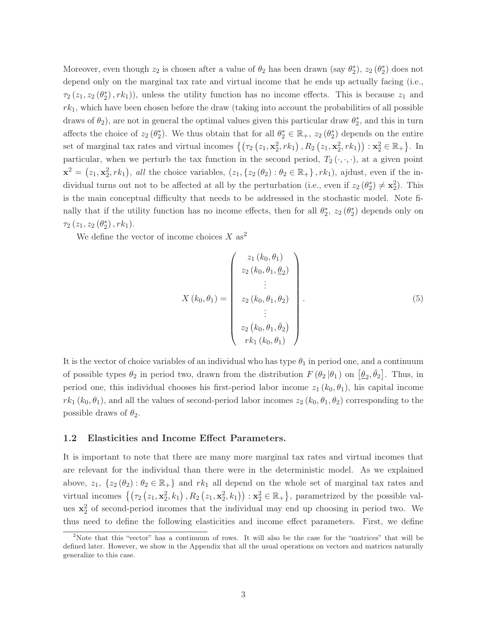Moreover, even though  $z_2$  is chosen after a value of  $\theta_2$  has been drawn (say  $\theta_2^*$ ),  $z_2(\theta_2^*)$  does not depend only on the marginal tax rate and virtual income that he ends up actually facing (i.e.,  $\tau_2(z_1, z_2(\theta_2^*), rk_1)$ , unless the utility function has no income effects. This is because  $z_1$  and  $rk_1$ , which have been chosen before the draw (taking into account the probabilities of all possible draws of  $\theta_2$ ), are not in general the optimal values given this particular draw  $\theta_2^*$ , and this in turn affects the choice of  $z_2(\theta_2^*)$ . We thus obtain that for all  $\theta_2^* \in \mathbb{R}_+$ ,  $z_2(\theta_2^*)$  depends on the entire set of marginal tax rates and virtual incomes  $\{(\tau_2(z_1, \mathbf{x}_2^2, rk_1), R_2(z_1, \mathbf{x}_2^2, rk_1)) : \mathbf{x}_2^2 \in \mathbb{R}_+\}.$  In particular, when we perturb the tax function in the second period,  $T_2(\cdot, \cdot, \cdot)$ , at a given point  $\mathbf{x}^2 = (z_1, \mathbf{x}_2^2, rk_1)$ , *all* the choice variables,  $(z_1, \{z_2(\theta_2) : \theta_2 \in \mathbb{R}_+\}\, , rk_1)$ , ajdust, even if the individual turns out not to be affected at all by the perturbation (i.e., even if  $z_2(\theta_2^*) \neq \mathbf{x}_2^2$ ). This is the main conceptual difficulty that needs to be addressed in the stochastic model. Note finally that if the utility function has no income effects, then for all  $\theta_2^*$ ,  $z_2(\theta_2^*)$  depends only on  $\tau_2\left(z_1, z_2\left(\theta_2^*\right), r k_1\right)$ .

We define the vector of income choices  $X$  as<sup>2</sup>

$$
X(k_0, \theta_1) = \begin{pmatrix} z_1(k_0, \theta_1) \\ z_2(k_0, \theta_1, \theta_2) \\ \vdots \\ z_2(k_0, \theta_1, \theta_2) \\ \vdots \\ z_2(k_0, \theta_1, \bar{\theta}_2) \\ r k_1(k_0, \theta_1) \end{pmatrix} .
$$
 (5)

It is the vector of choice variables of an individual who has type  $\theta_1$  in period one, and a continuum of possible types  $\theta_2$  in period two, drawn from the distribution  $F(\theta_2|\theta_1)$  on  $[\underline{\theta}_2,\overline{\theta}_2]$ . Thus, in period one, this individual chooses his first-period labor income  $z_1 (k_0, \theta_1)$ , his capital income  $rk_1(k_0, \theta_1)$ , and all the values of second-period labor incomes  $z_2(k_0, \theta_1, \theta_2)$  corresponding to the possible draws of  $\theta_2$ .

## 1.2 Elasticities and Income Effect Parameters.

It is important to note that there are many more marginal tax rates and virtual incomes that are relevant for the individual than there were in the deterministic model. As we explained above,  $z_1$ ,  $\{z_2(\theta_2): \theta_2 \in \mathbb{R}_+\}$  and  $rk_1$  all depend on the whole set of marginal tax rates and virtual incomes  $\{(\tau_2(z_1, \mathbf{x}_2^2, k_1), R_2(z_1, \mathbf{x}_2^2, k_1)) : \mathbf{x}_2^2 \in \mathbb{R}_+\}$ , parametrized by the possible values  $x_2^2$  of second-period incomes that the individual may end up choosing in period two. We thus need to define the following elasticities and income effect parameters. First, we define

<sup>&</sup>lt;sup>2</sup>Note that this "vector" has a continuum of rows. It will also be the case for the "matrices" that will be defined later. However, we show in the Appendix that all the usual operations on vectors and matrices naturally generalize to this case.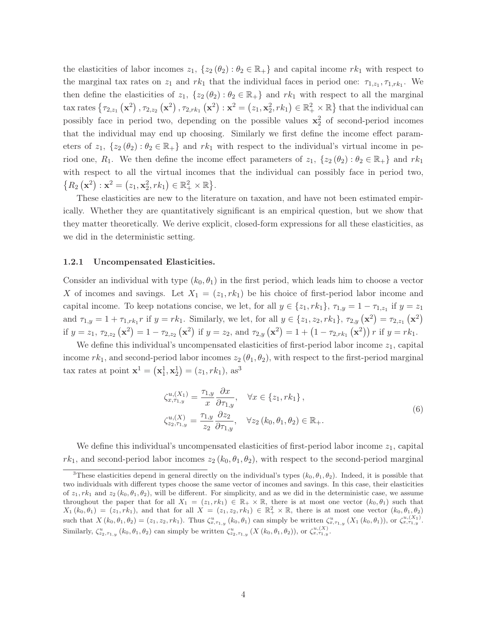the elasticities of labor incomes  $z_1$ ,  $\{z_2 (\theta_2) : \theta_2 \in \mathbb{R}_+\}$  and capital income  $rk_1$  with respect to the marginal tax rates on  $z_1$  and  $rk_1$  that the individual faces in period one:  $\tau_{1,z_1}, \tau_{1,rk_1}$ . We then define the elasticities of  $z_1$ ,  $\{z_2 (\theta_2) : \theta_2 \in \mathbb{R}_+\}$  and  $rk_1$  with respect to all the marginal  $\text{tax rates } \{ \tau_{2,z_1} (\mathbf{x}^2), \tau_{2,z_2} (\mathbf{x}^2), \tau_{2,rk_1} (\mathbf{x}^2) : \mathbf{x}^2 = (z_1, \mathbf{x}_2^2, rk_1) \in \mathbb{R}_+^2 \times \mathbb{R} \}$  that the individual can possibly face in period two, depending on the possible values  $x_2^2$  of second-period incomes that the individual may end up choosing. Similarly we first define the income effect parameters of  $z_1$ ,  $\{z_2 (\theta_2) : \theta_2 \in \mathbb{R}_+\}$  and  $rk_1$  with respect to the individual's virtual income in period one,  $R_1$ . We then define the income effect parameters of  $z_1$ ,  $\{z_2 (\theta_2) : \theta_2 \in \mathbb{R}_+\}$  and  $rk_1$ with respect to all the virtual incomes that the individual can possibly face in period two,  ${R_2 (\mathbf{x}^2) : \mathbf{x}^2 = (z_1, \mathbf{x}_2^2, rk_1) \in \mathbb{R}_+^2 \times \mathbb{R}}.$ 

These elasticities are new to the literature on taxation, and have not been estimated empirically. Whether they are quantitatively significant is an empirical question, but we show that they matter theoretically. We derive explicit, closed-form expressions for all these elasticities, as we did in the deterministic setting.

#### 1.2.1 Uncompensated Elasticities.

Consider an individual with type  $(k_0, \theta_1)$  in the first period, which leads him to choose a vector X of incomes and savings. Let  $X_1 = (z_1, rk_1)$  be his choice of first-period labor income and capital income. To keep notations concise, we let, for all  $y \in \{z_1, rk_1\}$ ,  $\tau_{1,y} = 1 - \tau_{1,z_1}$  if  $y = z_1$ and  $\tau_{1,y} = 1 + \tau_{1,rk_1} r$  if  $y = rk_1$ . Similarly, we let, for all  $y \in \{z_1, z_2, rk_1\}$ ,  $\tau_{2,y}(\mathbf{x}^2) = \tau_{2,z_1}(\mathbf{x}^2)$ if  $y = z_1, \tau_{2,z_2} (\mathbf{x}^2) = 1 - \tau_{2,z_2} (\mathbf{x}^2)$  if  $y = z_2$ , and  $\tau_{2,y} (\mathbf{x}^2) = 1 + (1 - \tau_{2,rk_1} (\mathbf{x}^2)) r$  if  $y = rk_1$ .

We define this individual's uncompensated elasticities of first-period labor income  $z_1$ , capital income  $rk_1$ , and second-period labor incomes  $z_2$  ( $\theta_1$ ,  $\theta_2$ ), with respect to the first-period marginal tax rates at point  $\mathbf{x}^1 = (\mathbf{x}_1^1, \mathbf{x}_2^1) = (z_1, rk_1), \text{ as}^3$ 

$$
\zeta_{x,\tau_{1,y}}^{u,(X_1)} = \frac{\tau_{1,y}}{x} \frac{\partial x}{\partial \tau_{1,y}}, \quad \forall x \in \{z_1, rk_1\}, \n\zeta_{z_2,\tau_{1,y}}^{u,(X)} = \frac{\tau_{1,y}}{z_2} \frac{\partial z_2}{\partial \tau_{1,y}}, \quad \forall z_2 (k_0, \theta_1, \theta_2) \in \mathbb{R}_+.
$$
\n(6)

We define this individual's uncompensated elasticities of first-period labor income  $z_1$ , capital  $rk_1$ , and second-period labor incomes  $z_2 (k_0, \theta_1, \theta_2)$ , with respect to the second-period marginal

<sup>&</sup>lt;sup>3</sup>These elasticities depend in general directly on the individual's types  $(k_0, \theta_1, \theta_2)$ . Indeed, it is possible that two individuals with different types choose the same vector of incomes and savings. In this case, their elasticities of  $z_1, rk_1$  and  $z_2$  ( $k_0, \theta_1, \theta_2$ ), will be different. For simplicity, and as we did in the deterministic case, we assume throughout the paper that for all  $X_1 = (z_1, rk_1) \in \mathbb{R}_+ \times \mathbb{R}$ , there is at most one vector  $(k_0, \theta_1)$  such that  $X_1(k_0, \theta_1) = (z_1, rk_1)$ , and that for all  $X = (z_1, z_2, rk_1) \in \mathbb{R}_+^2 \times \mathbb{R}$ , there is at most one vector  $(k_0, \theta_1, \theta_2)$ such that  $X(k_0, \theta_1, \theta_2) = (z_1, z_2, rk_1)$ . Thus  $\zeta_{x, \tau_{1,y}}^u(k_0, \theta_1)$  can simply be written  $\zeta_{x, \tau_{1,y}}^u(X_1(k_0, \theta_1))$ , or  $\zeta_{x, \tau_{1,y}}^{u, (X_1)}$ . Similarly,  $\zeta_{z_2,\tau_{1,y}}^u$  (k<sub>0</sub>,  $\theta_1$ ,  $\theta_2$ ) can simply be written  $\zeta_{z_2,\tau_{1,y}}^u$  (X (k<sub>0</sub>,  $\theta_1$ ,  $\theta_2$ )), or  $\zeta_{x,\tau_{1,y}}^{u,(X)}$ .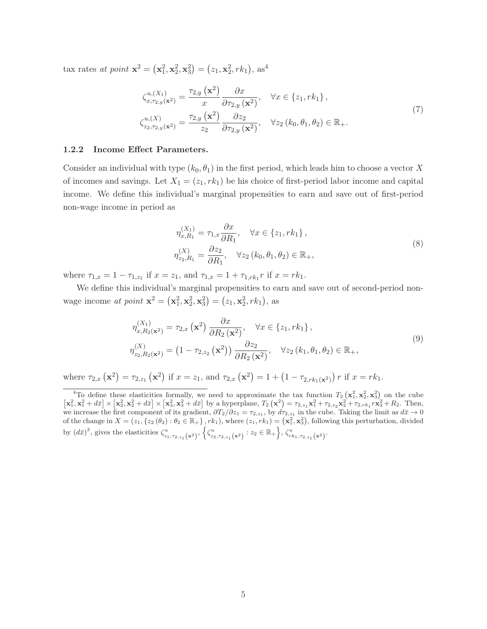tax rates *at point*  $\mathbf{x}^2 = (\mathbf{x}_1^2, \mathbf{x}_2^2, \mathbf{x}_3^2) = (z_1, \mathbf{x}_2^2, rk_1), \text{ as}^4$ 

$$
\zeta_{x,\tau_{2,y}(\mathbf{x}^2)}^{u,(X_1)} = \frac{\tau_{2,y}(\mathbf{x}^2)}{x} \frac{\partial x}{\partial \tau_{2,y}(\mathbf{x}^2)}, \quad \forall x \in \{z_1, rk_1\},
$$
\n
$$
\zeta_{z_2,\tau_{2,y}(\mathbf{x}^2)}^{u,(X)} = \frac{\tau_{2,y}(\mathbf{x}^2)}{z_2} \frac{\partial z_2}{\partial \tau_{2,y}(\mathbf{x}^2)}, \quad \forall z_2 (k_0, \theta_1, \theta_2) \in \mathbb{R}_+.
$$
\n
$$
(7)
$$

## 1.2.2 Income Effect Parameters.

Consider an individual with type  $(k_0, \theta_1)$  in the first period, which leads him to choose a vector X of incomes and savings. Let  $X_1 = (z_1, rk_1)$  be his choice of first-period labor income and capital income. We define this individual's marginal propensities to earn and save out of first-period non-wage income in period as

$$
\eta_{x,R_1}^{(X_1)} = \tau_{1,x} \frac{\partial x}{\partial R_1}, \quad \forall x \in \{z_1, rk_1\},
$$
  

$$
\eta_{z_2,R_1}^{(X)} = \frac{\partial z_2}{\partial R_1}, \quad \forall z_2 (k_0, \theta_1, \theta_2) \in \mathbb{R}_+,
$$
 (8)

where  $\tau_{1,x} = 1 - \tau_{1,z_1}$  if  $x = z_1$ , and  $\tau_{1,x} = 1 + \tau_{1,rk_1} r$  if  $x = rk_1$ .

We define this individual's marginal propensities to earn and save out of second-period nonwage income *at point*  $\mathbf{x}^2 = (\mathbf{x}_1^2, \mathbf{x}_2^2, \mathbf{x}_3^2) = (z_1, \mathbf{x}_2^2, rk_1)$ , as

$$
\eta_{x,R_2(\mathbf{x}^2)}^{(X_1)} = \tau_{2,x} (\mathbf{x}^2) \frac{\partial x}{\partial R_2 (\mathbf{x}^2)}, \quad \forall x \in \{z_1, rk_1\},
$$
\n
$$
\eta_{z_2,R_2(\mathbf{x}^2)}^{(X)} = \left(1 - \tau_{2,z_2} (\mathbf{x}^2)\right) \frac{\partial z_2}{\partial R_2 (\mathbf{x}^2)}, \quad \forall z_2 (k_1, \theta_1, \theta_2) \in \mathbb{R}_+,
$$
\n(9)

where  $\tau_{2,x}(\mathbf{x}^2) = \tau_{2,z_1}(\mathbf{x}^2)$  if  $x = z_1$ , and  $\tau_{2,x}(\mathbf{x}^2) = 1 + (1 - \tau_{2,rk_1(\mathbf{x}^2)}) r$  if  $x = rk_1$ .

<sup>&</sup>lt;sup>4</sup>To define these elasticities formally, we need to approximate the tax function  $T_2(\mathbf{x}_1^2, \mathbf{x}_2^2, \mathbf{x}_3^2)$  on the cube  $\left[\mathbf{x}_1^2, \mathbf{x}_1^2 + d\bar{x}\right] \times \left[\mathbf{x}_2^2, \mathbf{x}_2^2 + d\bar{x}\right] \times \left[\mathbf{x}_3^2, \mathbf{x}_3^2 + d\bar{x}\right]$  by a hyperplane,  $T_2\left(\mathbf{x}^2\right) = \tau_{2, z_1} \mathbf{x}_1^2 + \tau_{2, z_2} \mathbf{x}_2^2 + \tau_{2, r k_1} r \mathbf{x}_3^2 + R_2$ . Then, we increase the first component of its gradient,  $\partial T_2/\partial z_1 = \tau_{2,z_1}$ , by  $d\tau_{2,z_1}$  in the cube. Taking the limit as  $d\bar{x} \to 0$ of the change in  $X = (z_1, \{z_2(\theta_2) : \theta_2 \in \mathbb{R}_+\}, rk_1)$ , where  $(z_1, rk_1) = (\mathbf{x}_1^2, \mathbf{x}_3^2)$ , following this perturbation, divided by  $(d\bar{x})^3$ , gives the elasticities  $\zeta^u_{z_1,\tau_{2,z_1}(\mathbf{x}^2)}$ ,  $\left\{ \zeta^u_{z_2,\tau_{2,z_1}(\mathbf{x}^2)} : z_2 \in \mathbb{R}_+ \right\}$ ,  $\zeta^u_{rk_1,\tau_{2,z_1}(\mathbf{x}^2)}$ .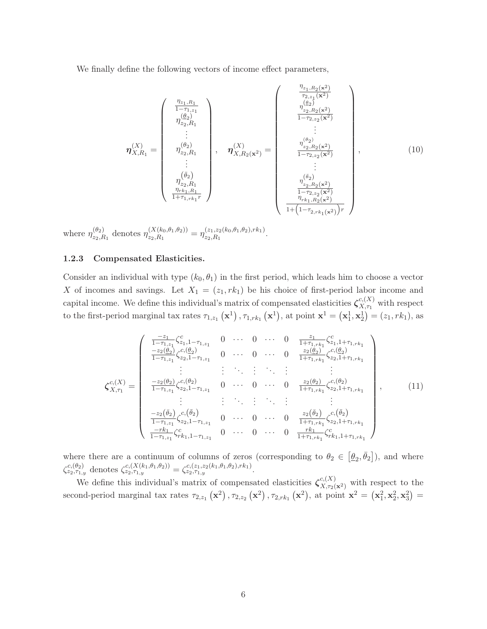We finally define the following vectors of income effect parameters,

$$
\eta_{X,R_1}^{(X)} = \begin{pmatrix} \frac{\eta_{z_1,R_1}}{1-\tau_{1,z_1}} \\ \frac{\eta_{z_2,R_1}}{\tau_{2z,R_1}} \\ \vdots \\ \frac{\eta_{z_2,R_1}}{\tau_{2z,R_1}} \\ \vdots \\ \frac{\eta_{z_2,R_1}^{(\theta_2)}}{\tau_{2z,R_1}} \\ \vdots \\ \frac{\eta_{z_2,R_1}^{(\theta_2)}}{\tau_{2z,R_1}} \\ \frac{\eta_{z_2,R_1}^{(\theta_2)}}{\tau_{2z,R_1}} \\ \vdots \\ \frac{\eta_{z_2,R_2}^{(\theta_2)}}{\tau_{2z,R_2}} \\ \frac{\eta_{z_2,R_2}^{(\theta_2)}}{\tau_{2z,R_2}} \\ \vdots \\ \frac{\eta_{z_2,R_2}^{(\theta_2)}}{\tau_{2z,R_2}} \\ \frac{\eta_{z_2,R_2}^{(\theta_2)}}{\tau_{2z,R_2}} \\ \frac{\eta_{z_2,R_2}^{(\theta_2)}}{\tau_{2z,R_2}} \\ \frac{\eta_{z_2,R_2}^{(\theta_2)}}{\tau_{2z,R_2}} \\ \frac{\eta_{z_2,R_2}^{(\theta_2)}}{\tau_{2z,R_2}} \\ \frac{\eta_{r_{k_1,R_2}^{(\theta_2)}}}{\tau_{r_{k_1,R_2}^{(\theta_2)}}} \end{pmatrix}, \qquad (10)
$$

where  $\eta_{z_2,R_1}^{(\theta_2)}$  denotes  $\eta_{z_2,R_1}^{(X(k_0,\theta_1,\theta_2))} = \eta_{z_2,R_1}^{(z_1,z_2(k_0,\theta_1,\theta_2),rk_1)}$ .

## 1.2.3 Compensated Elasticities.

Consider an individual with type  $(k_0, \theta_1)$  in the first period, which leads him to choose a vector X of incomes and savings. Let  $X_1 = (z_1, rk_1)$  be his choice of first-period labor income and capital income. We define this individual's matrix of compensated elasticities  $\zeta_{X,\tau_1}^{c,(X)}$  with respect to the first-period marginal tax rates  $\tau_{1,z_1}(\mathbf{x}^1), \tau_{1,rk_1}(\mathbf{x}^1)$ , at point  $\mathbf{x}^1 = (\mathbf{x}^1_1, \mathbf{x}^1_2) = (z_1, rk_1)$ , as

$$
\zeta_{X,\tau_1}^{c, (X)} = \begin{pmatrix}\n\frac{-z_1}{1-\tau_{1,z_1}} \zeta_{z_1,1-\tau_{1,z_1}}^c & 0 & \cdots & 0 & \cdots & 0 & \frac{z_1}{1+\tau_{1,rk_1}} \zeta_{z_1,1+\tau_{1,rk_1}}^c \\
\frac{-z_2(\theta_2)}{1-\tau_{1,z_1}} \zeta_{z_2,1-\tau_{1,z_1}}^c & 0 & \cdots & 0 & \cdots & 0 & \frac{z_2(\theta_2)}{1+\tau_{1,rk_1}} \zeta_{z_2,1+\tau_{1,rk_1}}^c \\
\vdots & \vdots & \ddots & \vdots & \vdots & \vdots \\
\frac{-z_2(\theta_2)}{1-\tau_{1,z_1}} \zeta_{z_2,1-\tau_{1,z_1}}^c & 0 & \cdots & 0 & \cdots & 0 & \frac{z_2(\theta_2)}{1+\tau_{1,rk_1}} \zeta_{z_2,1+\tau_{1,rk_1}}^c \\
\vdots & \vdots & \ddots & \vdots & \vdots & \vdots \\
\frac{-z_2(\bar{\theta}_2)}{1-\tau_{1,z_1}} \zeta_{z_2,1-\tau_{1,z_1}}^c & 0 & \cdots & 0 & \cdots & 0 & \frac{z_2(\bar{\theta}_2)}{1+\tau_{1,rk_1}} \zeta_{z_2,1+\tau_{1,rk_1}}^c \\
\frac{-r k_1}{1-\tau_{1,z_1}} \zeta_{z_2,1-\tau_{1,z_1}}^c & 0 & \cdots & 0 & \cdots & 0 & \frac{r k_1}{1+\tau_{1,rk_1}} \zeta_{rk_1,1+\tau_{1,rk_1}}^c\n\end{pmatrix},
$$
\n(11)

where there are a continuum of columns of zeros (corresponding to  $\theta_2 \in [\underline{\theta}_2, \overline{\theta}_2]$ ), and where  $\zeta^{c,(\theta_2)}_{z_2,\tau_{1,y}}$  denotes  $\zeta^{c,(X(k_1,\theta_1,\theta_2))}_{z_2,\tau_{1,y}} = \zeta^{c,(z_1,z_2(k_1,\theta_1,\theta_2),rk_1)}_{z_2,\tau_{1,y}}$ .

We define this individual's matrix of compensated elasticities  $\zeta_{X,\tau_2(\mathbf{x}^2)}^{c,(X)}$  with respect to the second-period marginal tax rates  $\tau_{2,z_1} (\mathbf{x}^2)$ ,  $\tau_{2,z_2} (\mathbf{x}^2)$ ,  $\tau_{2,rk_1} (\mathbf{x}^2)$ , at point  $\mathbf{x}^2 = (\mathbf{x}_1^2, \mathbf{x}_2^2, \mathbf{x}_3^2) =$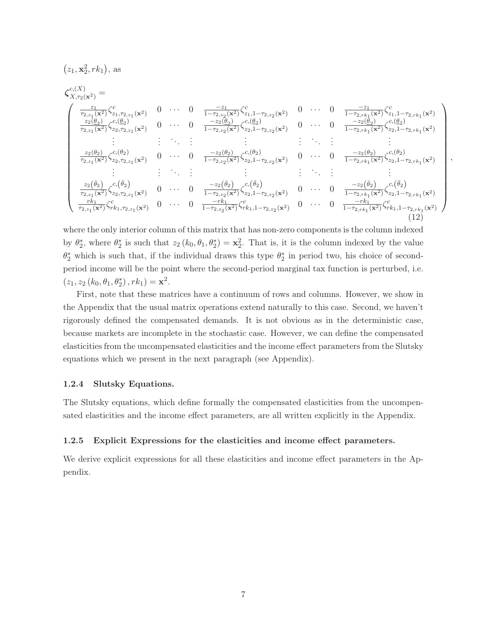$$
\zeta_{X,\tau_2(\mathbf{x}^2)}^{c,(X)} = \begin{pmatrix}\n\frac{z_1}{\tau_{2,\tau_1}(\mathbf{x}^2)} \zeta_{2,1,\tau_{2,\tau_1}(\mathbf{x}^2)}^{c} & 0 & \cdots & 0 & \frac{-z_1}{1-\tau_{2,\tau_2}(\mathbf{x}^2)} \zeta_{2,1,1-\tau_{2,\tau_2}(\mathbf{x}^2)}^{c} & 0 & \cdots & 0 & \frac{-z_1}{1-\tau_{2,\tau k_1}(\mathbf{x}^2)} \zeta_{2,1,1-\tau_{2,\tau k_1}(\mathbf{x}^2)}^{c} \\
\frac{z_2(\theta_2)}{\tau_{2,\tau_1}(\mathbf{x}^2)} \zeta_{2,2,\tau_{2,\tau_1}(\mathbf{x}^2)}^{c} & 0 & \cdots & 0 & \frac{-z_2(\theta_2)}{1-\tau_{2,\tau_2}(\mathbf{x}^2)} \zeta_{2,1,-\tau_{2,\tau_2}(\mathbf{x}^2)}^{c} & 0 & \cdots & 0 & \frac{-z_2(\theta_2)}{1-\tau_{2,\tau k_1}(\mathbf{x}^2)} \zeta_{2,1,-\tau_{2,\tau k_1}(\mathbf{x}^2)}^{c} \\
\vdots & \vdots & \vdots & \vdots & \vdots & \vdots & \vdots & \vdots & \vdots & \vdots \\
\frac{z_2(\theta_2)}{\tau_{2,\tau_1}(\mathbf{x}^2)} \zeta_{2,2,\tau_{2,\tau_1}(\mathbf{x}^2)}^{c} & 0 & \cdots & 0 & \frac{-z_2(\theta_2)}{1-\tau_{2,\tau_2}(\mathbf{x}^2)} \zeta_{2,1,-\tau_{2,\tau_2}(\mathbf{x}^2)}^{c} & 0 & \cdots & 0 & \frac{-z_2(\theta_2)}{1-\tau_{2,\tau k_1}(\mathbf{x}^2)} \zeta_{2,1,-\tau_{2,\tau k_1}(\mathbf{x}^2)}^{c} \\
\vdots & \vdots & \vdots & \vdots & \vdots & \vdots & \vdots & \vdots \\
\frac{z_2(\theta_2)}{\tau_{2,\tau_1}(\mathbf{x}^2)} \zeta_{2,\tau_{2,\tau_1}(\mathbf{x}^2)}^{c} & 0 & \cdots & 0 & \frac{-z_2(\theta_2)}{1-\tau_{2,\
$$

,

where the only interior column of this matrix that has non-zero components is the column indexed by  $\theta_2^*$ , where  $\theta_2^*$  is such that  $z_2(k_0, \theta_1, \theta_2^*) = \mathbf{x}_2^2$ . That is, it is the column indexed by the value  $\theta_2^*$  which is such that, if the individual draws this type  $\theta_2^*$  in period two, his choice of secondperiod income will be the point where the second-period marginal tax function is perturbed, i.e.  $(z_1, z_2 (k_0, \theta_1, \theta_2^*), rk_1) = \mathbf{x}^2.$ 

First, note that these matrices have a continuum of rows and columns. However, we show in the Appendix that the usual matrix operations extend naturally to this case. Second, we haven't rigorously defined the compensated demands. It is not obvious as in the deterministic case, because markets are incomplete in the stochastic case. However, we can define the compensated elasticities from the uncompensated elasticities and the income effect parameters from the Slutsky equations which we present in the next paragraph (see Appendix).

#### 1.2.4 Slutsky Equations.

 $(z_1, \mathbf{x}_2^2, rk_1),$  as

The Slutsky equations, which define formally the compensated elasticities from the uncompensated elasticities and the income effect parameters, are all written explicitly in the Appendix.

#### 1.2.5 Explicit Expressions for the elasticities and income effect parameters.

We derive explicit expressions for all these elasticities and income effect parameters in the Appendix.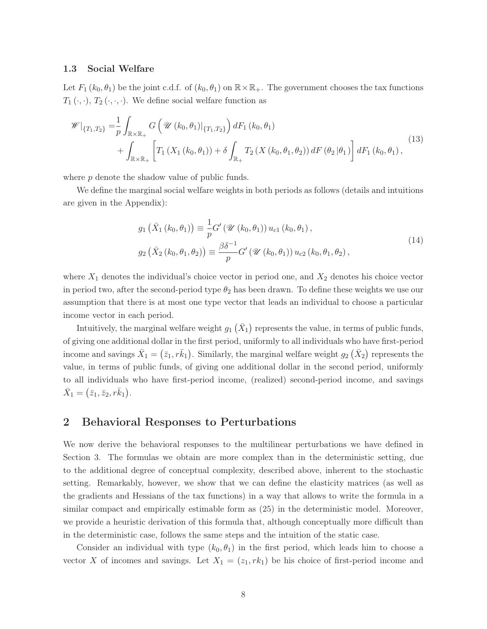#### 1.3 Social Welfare

Let  $F_1(k_0, \theta_1)$  be the joint c.d.f. of  $(k_0, \theta_1)$  on  $\mathbb{R} \times \mathbb{R}_+$ . The government chooses the tax functions  $T_1 \, (\cdot, \cdot), T_2 \, (\cdot, \cdot, \cdot)$ . We define social welfare function as

$$
\mathscr{W}|_{\{T_1,T_2\}} = \frac{1}{p} \int_{\mathbb{R} \times \mathbb{R}_+} G\left(\mathscr{U}(k_0,\theta_1)|_{\{T_1,T_2\}}\right) dF_1(k_0,\theta_1) \n+ \int_{\mathbb{R} \times \mathbb{R}_+} \left[ T_1\left(X_1(k_0,\theta_1)\right) + \delta \int_{\mathbb{R}_+} T_2\left(X(k_0,\theta_1,\theta_2)\right) dF\left(\theta_2|\theta_1\right) \right] dF_1(k_0,\theta_1),
$$
\n(13)

where  $p$  denote the shadow value of public funds.

We define the marginal social welfare weights in both periods as follows (details and intuitions are given in the Appendix):

$$
g_1\left(\bar{X}_1\left(k_0, \theta_1\right)\right) \equiv \frac{1}{p} G'\left(\mathcal{U}\left(k_0, \theta_1\right)\right) u_{c1}\left(k_0, \theta_1\right),
$$
  
\n
$$
g_2\left(\bar{X}_2\left(k_0, \theta_1, \theta_2\right)\right) \equiv \frac{\beta \delta^{-1}}{p} G'\left(\mathcal{U}\left(k_0, \theta_1\right)\right) u_{c2}\left(k_0, \theta_1, \theta_2\right),
$$
\n(14)

where  $X_1$  denotes the individual's choice vector in period one, and  $X_2$  denotes his choice vector in period two, after the second-period type  $\theta_2$  has been drawn. To define these weights we use our assumption that there is at most one type vector that leads an individual to choose a particular income vector in each period.

Intuitively, the marginal welfare weight  $g_1(\bar{X}_1)$  represents the value, in terms of public funds, of giving one additional dollar in the first period, uniformly to all individuals who have first-period income and savings  $\bar{X}_1 = (\bar{z}_1, r\bar{k}_1)$ . Similarly, the marginal welfare weight  $g_2(\bar{X}_2)$  represents the value, in terms of public funds, of giving one additional dollar in the second period, uniformly to all individuals who have first-period income, (realized) second-period income, and savings  $\bar{X}_1 = (\bar{z}_1, \bar{z}_2, r\bar{k}_1).$ 

# 2 Behavioral Responses to Perturbations

We now derive the behavioral responses to the multilinear perturbations we have defined in Section 3. The formulas we obtain are more complex than in the deterministic setting, due to the additional degree of conceptual complexity, described above, inherent to the stochastic setting. Remarkably, however, we show that we can define the elasticity matrices (as well as the gradients and Hessians of the tax functions) in a way that allows to write the formula in a similar compact and empirically estimable form as (25) in the deterministic model. Moreover, we provide a heuristic derivation of this formula that, although conceptually more difficult than in the deterministic case, follows the same steps and the intuition of the static case.

Consider an individual with type  $(k_0, \theta_1)$  in the first period, which leads him to choose a vector X of incomes and savings. Let  $X_1 = (z_1, rk_1)$  be his choice of first-period income and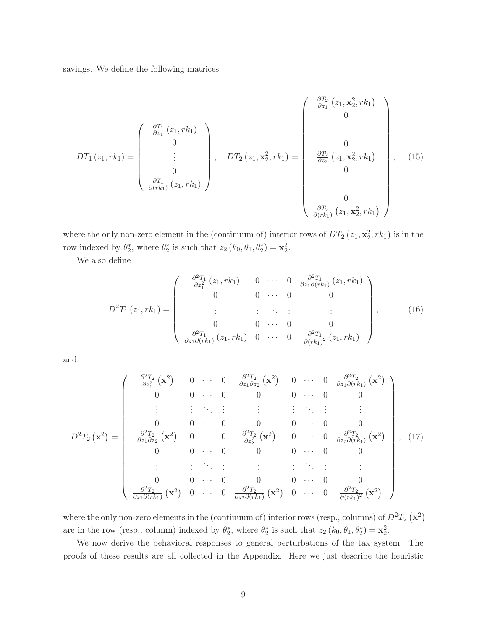savings. We define the following matrices

$$
DT_{1}(z_{1},rk_{1}) = \begin{pmatrix} \frac{\partial T_{1}}{\partial z_{1}}(z_{1},rk_{1}) \\ 0 \\ \vdots \\ 0 \\ \frac{\partial T_{1}}{\partial (rk_{1})}(z_{1},rk_{1}) \end{pmatrix}, \quad DT_{2}(z_{1},\mathbf{x}_{2}^{2},rk_{1}) = \begin{pmatrix} \frac{\partial T_{2}}{\partial z_{1}}(z_{1},\mathbf{x}_{2}^{2},rk_{1}) \\ 0 \\ \vdots \\ \frac{\partial T_{2}}{\partial z_{2}}(z_{1},\mathbf{x}_{2}^{2},rk_{1}) \\ 0 \\ 0 \\ \vdots \\ 0 \\ \frac{\partial T_{2}}{\partial (rk_{1})}(z_{1},\mathbf{x}_{2}^{2},rk_{1}) \end{pmatrix}, \quad (15)
$$

where the only non-zero element in the (continuum of) interior rows of  $DT_2(z_1, \mathbf{x}_2^2, rk_1)$  is in the row indexed by  $\theta_2^*$ , where  $\theta_2^*$  is such that  $z_2(k_0, \theta_1, \theta_2^*) = \mathbf{x}_2^2$ .

We also define

$$
D^{2}T_{1}(z_{1},rk_{1}) = \begin{pmatrix} \frac{\partial^{2}T_{1}}{\partial z_{1}^{2}}(z_{1},rk_{1}) & 0 & \cdots & 0 & \frac{\partial^{2}T_{1}}{\partial z_{1}\partial(rk_{1})}(z_{1},rk_{1}) \\ 0 & 0 & \cdots & 0 & 0 \\ \vdots & \vdots & \ddots & \vdots & \vdots \\ 0 & 0 & \cdots & 0 & 0 \\ \frac{\partial^{2}T_{1}}{\partial z_{1}\partial(rk_{1})}(z_{1},rk_{1}) & 0 & \cdots & 0 & \frac{\partial^{2}T_{1}}{\partial(rk_{1})^{2}}(z_{1},rk_{1}) \end{pmatrix}, \qquad (16)
$$

and

$$
D^{2}T_{2}\left(\mathbf{x}^{2}\right) = \begin{pmatrix} \frac{\partial^{2}T_{2}}{\partial z_{1}^{2}}\left(\mathbf{x}^{2}\right) & 0 & \cdots & 0 & \frac{\partial^{2}T_{2}}{\partial z_{1}\partial z_{2}}\left(\mathbf{x}^{2}\right) & 0 & \cdots & 0 & \frac{\partial^{2}T_{2}}{\partial z_{1}\partial(rk_{1})}\left(\mathbf{x}^{2}\right) \\ 0 & 0 & \cdots & 0 & 0 & 0 & \cdots & 0 & 0 \\ \vdots & \vdots & \ddots & \vdots & \vdots & \vdots & \ddots & \vdots & \vdots \\ 0 & 0 & \cdots & 0 & 0 & 0 & \cdots & 0 & 0 \\ \frac{\partial^{2}T_{2}}{\partial z_{1}\partial z_{2}}\left(\mathbf{x}^{2}\right) & 0 & \cdots & 0 & \frac{\partial^{2}T_{2}}{\partial z_{2}^{2}}\left(\mathbf{x}^{2}\right) & 0 & \cdots & 0 & \frac{\partial^{2}T_{2}}{\partial z_{2}\partial(rk_{1})}\left(\mathbf{x}^{2}\right) \\ 0 & 0 & \cdots & 0 & 0 & 0 & \cdots & 0 & 0 \\ \vdots & \vdots & \vdots & \ddots & \vdots & \vdots & \vdots & \ddots & \vdots & \vdots \\ 0 & 0 & \cdots & 0 & 0 & 0 & \cdots & 0 & 0 \\ \frac{\partial^{2}T_{2}}{\partial z_{1}\partial(rk_{1})}\left(\mathbf{x}^{2}\right) & 0 & \cdots & 0 & \frac{\partial^{2}T_{2}}{\partial z_{2}\partial(rk_{1})}\left(\mathbf{x}^{2}\right) & 0 & \cdots & 0 & \frac{\partial^{2}T_{2}}{\partial(rk_{1})^{2}}\left(\mathbf{x}^{2}\right) \end{pmatrix}, (17)
$$

where the only non-zero elements in the (continuum of) interior rows (resp., columns) of  $D^2T_2(\mathbf{x}^2)$ are in the row (resp., column) indexed by  $\theta_2^*$ , where  $\theta_2^*$  is such that  $z_2 (k_0, \theta_1, \theta_2^*) = \mathbf{x}_2^2$ .

We now derive the behavioral responses to general perturbations of the tax system. The proofs of these results are all collected in the Appendix. Here we just describe the heuristic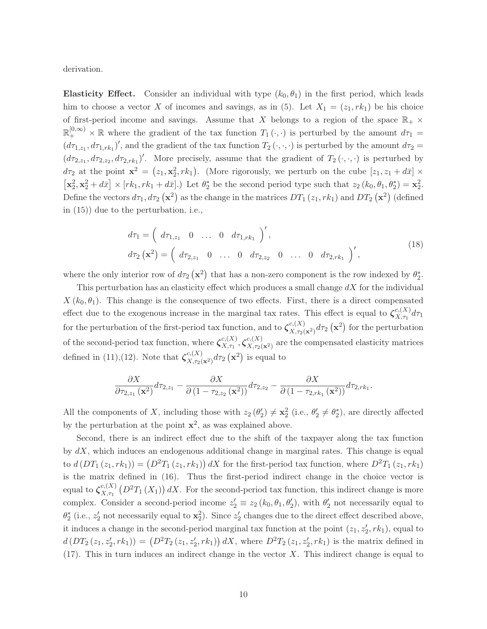derivation.

Elasticity Effect. Consider an individual with type  $(k_0, \theta_1)$  in the first period, which leads him to choose a vector X of incomes and savings, as in (5). Let  $X_1 = (z_1, rk_1)$  be his choice of first-period income and savings. Assume that X belongs to a region of the space  $\mathbb{R}_+$  ×  $\mathbb{R}^{[0,\infty)}_+$  × R where the gradient of the tax function  $T_1(\cdot,\cdot)$  is perturbed by the amount  $d\tau_1 =$  $(d\tau_{1,z_1}, d\tau_{1,rk_1})'$ , and the gradient of the tax function  $T_2(\cdot, \cdot, \cdot)$  is perturbed by the amount  $d\tau_2 =$  $(d\tau_{2,z_1}, d\tau_{2,z_2}, d\tau_{2,rk_1})'$ . More precisely, assume that the gradient of  $T_2(\cdot,\cdot,\cdot)$  is perturbed by  $d\tau_2$  at the point  $\mathbf{x}^2 = (z_1, \mathbf{x}_2^2, rk_1)$ . (More rigorously, we perturb on the cube  $[z_1, z_1 + d\bar{x}] \times$  $\left[\mathbf{x}_2^2, \mathbf{x}_2^2 + d\bar{x}\right] \times \left[rk_1, rk_1 + d\bar{x}\right]$ .) Let  $\theta_2^*$  be the second period type such that  $z_2(k_0, \theta_1, \theta_2^*) = \mathbf{x}_2^2$ . Define the vectors  $d\tau_1, d\tau_2(\mathbf{x}^2)$  as the change in the matrices  $DT_1(z_1, rk_1)$  and  $DT_2(\mathbf{x}^2)$  (defined in (15)) due to the perturbation, i.e.,

$$
d\tau_1 = \left(d\tau_{1,z_1} \quad 0 \quad \dots \quad 0 \quad d\tau_{1,rk_1}\right)',d\tau_2(\mathbf{x}^2) = \left(d\tau_{2,z_1} \quad 0 \quad \dots \quad 0 \quad d\tau_{2,z_2} \quad 0 \quad \dots \quad 0 \quad d\tau_{2,rk_1}\right)',
$$
(18)

where the only interior row of  $d\tau_2(\mathbf{x}^2)$  that has a non-zero component is the row indexed by  $\theta_2^*$ .

This perturbation has an elasticity effect which produces a small change  $dX$  for the individual  $X (k_0, \theta_1)$ . This change is the consequence of two effects. First, there is a direct compensated effect due to the exogenous increase in the marginal tax rates. This effect is equal to  $\zeta_{X,\tau_1}^{c,(X)} d\tau_1$ for the perturbation of the first-period tax function, and to  $\zeta_{X,\tau_2(\mathbf{x}^2)}^{c,(X)} d\tau_2(\mathbf{x}^2)$  for the perturbation of the second-period tax function, where  $\zeta_{X,\tau_1}^{c,(X)}$ ,  $\zeta_{X,\tau_2(\mathbf{x}^2)}^{c,(X)}$  are the compensated elasticity matrices defined in (11),(12). Note that  $\zeta_{X,\tau_2(\mathbf{x}^2)}^{c,(X)} d\tau_2(\mathbf{x}^2)$  is equal to

$$
\frac{\partial X}{\partial \tau_{2,z_1}(\mathbf{x}^2)}d\tau_{2,z_1}-\frac{\partial X}{\partial \left(1-\tau_{2,z_2}(\mathbf{x}^2)\right)}d\tau_{2,z_2}-\frac{\partial X}{\partial \left(1-\tau_{2,rk_1}(\mathbf{x}^2)\right)}d\tau_{2,rk_1}.
$$

All the components of X, including those with  $z_2(\theta'_2) \neq x_2^2$  (i.e.,  $\theta'_2 \neq \theta_2^*$ ), are directly affected by the perturbation at the point  $x^2$ , as was explained above.

Second, there is an indirect effect due to the shift of the taxpayer along the tax function by  $dX$ , which induces an endogenous additional change in marginal rates. This change is equal to  $d(DT_1(z_1,rk_1)) = (D^2T_1(z_1,rk_1)) dX$  for the first-period tax function, where  $D^2T_1(z_1,rk_1)$ is the matrix defined in (16). Thus the first-period indirect change in the choice vector is equal to  $\zeta_{X,\tau_1}^{c,(X)}(D^2T_1(X_1))dX$ . For the second-period tax function, this indirect change is more complex. Consider a second-period income  $z'_2 \equiv z_2 (k_0, \theta_1, \theta'_2)$ , with  $\theta'_2$  not necessarily equal to  $\theta_2^*$  (i.e.,  $z_2'$  not necessarily equal to  $\mathbf{x}_2^2$ ). Since  $z_2'$  changes due to the direct effect described above, it induces a change in the second-period marginal tax function at the point  $(z_1, z'_2, rk_1)$ , equal to  $d(DT_2(z_1, z_2', r k_1)) = (D^2T_2(z_1, z_2', r k_1)) dX$ , where  $D^2T_2(z_1, z_2', r k_1)$  is the matrix defined in  $(17)$ . This in turn induces an indirect change in the vector X. This indirect change is equal to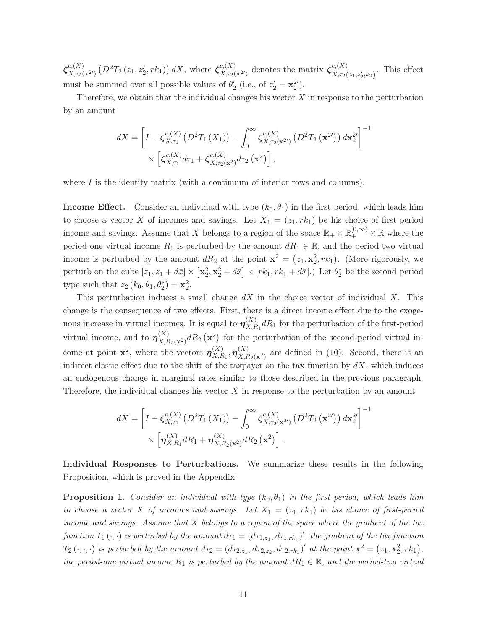$\zeta_{X,\tau_2(\mathbf{x}^{2\prime})}^{c,(X)}(D^2T_2(z_1,z'_2,rk_1))dX$ , where  $\zeta_{X,\tau_2(\mathbf{x}^{2\prime})}^{c,(X)}$  denotes the matrix  $\zeta_{X,\tau_2(z_1,z'_2,k_2)}^{c,(X)}$ . This effect must be summed over all possible values of  $\theta_2'$  (i.e., of  $z_2' = \mathbf{x}_2^{2'}$ ).

Therefore, we obtain that the individual changes his vector  $X$  in response to the perturbation by an amount

$$
dX = \left[I - \zeta_{X,\tau_1}^{c,(X)}(D^2T_1(X_1)) - \int_0^\infty \zeta_{X,\tau_2(\mathbf{x}^{2\prime})}^{c,(X)}(D^2T_2(\mathbf{x}^{2\prime})) d\mathbf{x}_2^{2\prime}\right]^{-1} \times \left[\zeta_{X,\tau_1}^{c,(X)}d\tau_1 + \zeta_{X,\tau_2(\mathbf{x}^2)}^{c,(X)}d\tau_2(\mathbf{x}^2)\right],
$$

where  $I$  is the identity matrix (with a continuum of interior rows and columns).

**Income Effect.** Consider an individual with type  $(k_0, \theta_1)$  in the first period, which leads him to choose a vector X of incomes and savings. Let  $X_1 = (z_1, rk_1)$  be his choice of first-period income and savings. Assume that X belongs to a region of the space  $\mathbb{R}_+ \times \mathbb{R}^{[0,\infty)}_+ \times \mathbb{R}$  where the period-one virtual income  $R_1$  is perturbed by the amount  $dR_1 \in \mathbb{R}$ , and the period-two virtual income is perturbed by the amount  $dR_2$  at the point  $\mathbf{x}^2 = (z_1, \mathbf{x}_2^2, rk_1)$ . (More rigorously, we perturb on the cube  $[z_1, z_1 + d\bar{x}] \times [\mathbf{x}_2^2, \mathbf{x}_2^2 + d\bar{x}] \times [rk_1, rk_1 + d\bar{x}]$ .) Let  $\theta_2^*$  be the second period type such that  $z_2 (k_0, \theta_1, \theta_2^*) = \mathbf{x}_2^2$ .

This perturbation induces a small change  $dX$  in the choice vector of individual X. This change is the consequence of two effects. First, there is a direct income effect due to the exogenous increase in virtual incomes. It is equal to  $\eta_{X,R_1}^{(X)} dR_1$  for the perturbation of the first-period virtual income, and to  $\eta_{X,R_2(\mathbf{x}^2)}^{(X)} dR_2(\mathbf{x}^2)$  for the perturbation of the second-period virtual income at point  $\mathbf{x}^2$ , where the vectors  $\eta_{X,R_1}^{(X)}$ ,  $\eta_{X,R_2(\mathbf{x}^2)}^{(X)}$  are defined in (10). Second, there is an indirect elastic effect due to the shift of the taxpayer on the tax function by  $dX$ , which induces an endogenous change in marginal rates similar to those described in the previous paragraph. Therefore, the individual changes his vector  $X$  in response to the perturbation by an amount

$$
dX = \left[I - \zeta_{X,\tau_1}^{c,(X)}(D^2T_1(X_1)) - \int_0^\infty \zeta_{X,\tau_2(\mathbf{x}^{2\prime})}^{c,(X)}(D^2T_2(\mathbf{x}^{2\prime})) d\mathbf{x}_2^{2\prime}\right]^{-1}
$$
  
 
$$
\times \left[\pmb{\eta}_{X,R_1}^{(X)} dR_1 + \pmb{\eta}_{X,R_2(\mathbf{x}^2)}^{(X)} dR_2(\mathbf{x}^2)\right].
$$

−<sup>1</sup>

Individual Responses to Perturbations. We summarize these results in the following Proposition, which is proved in the Appendix:

**Proposition 1.** *Consider an individual with type*  $(k_0, \theta_1)$  *in the first period, which leads him to choose a vector* X *of incomes and savings.* Let  $X_1 = (z_1, rk_1)$  *be his choice of first-period income and savings. Assume that* X *belongs to a region of the space where the gradient of the tax*  $f$ unction  $T_1(\cdot, \cdot)$  *is perturbed by the amount*  $d\tau_1 = (d\tau_{1,z_1}, d\tau_{1,rk_1})'$ , *the gradient of the tax function*  $T_2(\cdot, \cdot, \cdot)$  *is perturbed by the amount*  $d\tau_2 = (d\tau_{2,z_1}, d\tau_{2,z_2}, d\tau_{2,rk_1})'$  *at the point*  $\mathbf{x}^2 = (z_1, \mathbf{x}_2^2, rk_1)$ , *the period-one virtual income*  $R_1$  *is perturbed by the amount*  $dR_1 \in \mathbb{R}$ *, and the period-two virtual*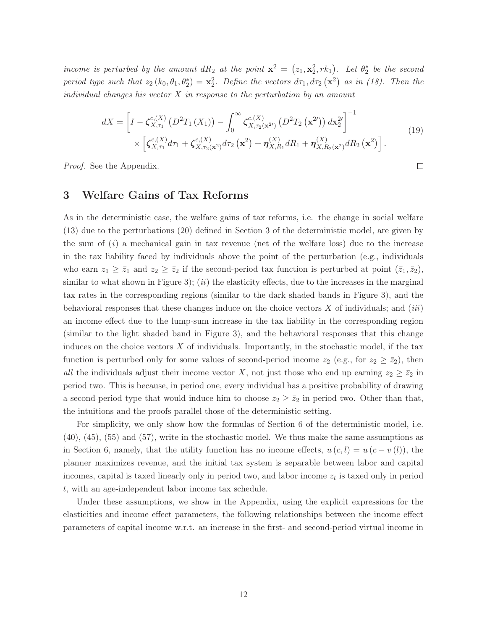*income is perturbed by the amount*  $dR_2$  *at the point*  $\mathbf{x}^2 = (z_1, \mathbf{x}_2^2, rk_1)$ *. Let*  $\theta_2^*$  *be the second period type such that*  $z_2 (k_0, \theta_1, \theta_2^*) = \mathbf{x}_2^2$ . Define the vectors  $d\tau_1, d\tau_2 (\mathbf{x}^2)$  as in (18). Then the *individual changes his vector* X *in response to the perturbation by an amount*

$$
dX = \left[I - \zeta_{X,\tau_1}^{c,(X)}(D^2T_1(X_1)) - \int_0^\infty \zeta_{X,\tau_2(\mathbf{x}^{2\prime})}^{c,(X)}(D^2T_2(\mathbf{x}^{2\prime})) d\mathbf{x}_2^{2\prime}\right]^{-1} \times \left[\zeta_{X,\tau_1}^{c,(X)}d\tau_1 + \zeta_{X,\tau_2(\mathbf{x}^2)}^{c,(X)}d\tau_2(\mathbf{x}^2) + \eta_{X,R_1}^{(X)}dR_1 + \eta_{X,R_2(\mathbf{x}^2)}^{(X)}dR_2(\mathbf{x}^2)\right].
$$
\n(19)

*Proof.* See the Appendix.

# 3 Welfare Gains of Tax Reforms

As in the deterministic case, the welfare gains of tax reforms, i.e. the change in social welfare (13) due to the perturbations (20) defined in Section 3 of the deterministic model, are given by the sum of (*i*) a mechanical gain in tax revenue (net of the welfare loss) due to the increase in the tax liability faced by individuals above the point of the perturbation (e.g., individuals who earn  $z_1 \ge \bar{z}_1$  and  $z_2 \ge \bar{z}_2$  if the second-period tax function is perturbed at point  $(\bar{z}_1, \bar{z}_2)$ , similar to what shown in Figure 3); (*ii*) the elasticity effects, due to the increases in the marginal tax rates in the corresponding regions (similar to the dark shaded bands in Figure 3), and the behavioral responses that these changes induce on the choice vectors X of individuals; and (*iii*) an income effect due to the lump-sum increase in the tax liability in the corresponding region (similar to the light shaded band in Figure 3), and the behavioral responses that this change induces on the choice vectors  $X$  of individuals. Importantly, in the stochastic model, if the tax function is perturbed only for some values of second-period income  $z_2$  (e.g., for  $z_2 \geq \bar{z}_2$ ), then *all* the individuals adjust their income vector X, not just those who end up earning  $z_2 \geq \bar{z}_2$  in period two. This is because, in period one, every individual has a positive probability of drawing a second-period type that would induce him to choose  $z_2 \geq \overline{z}_2$  in period two. Other than that, the intuitions and the proofs parallel those of the deterministic setting.

For simplicity, we only show how the formulas of Section 6 of the deterministic model, i.e. (40), (45), (55) and (57), write in the stochastic model. We thus make the same assumptions as in Section 6, namely, that the utility function has no income effects,  $u(c, l) = u(c - v(l))$ , the planner maximizes revenue, and the initial tax system is separable between labor and capital incomes, capital is taxed linearly only in period two, and labor income  $z_t$  is taxed only in period t, with an age-independent labor income tax schedule.

Under these assumptions, we show in the Appendix, using the explicit expressions for the elasticities and income effect parameters, the following relationships between the income effect parameters of capital income w.r.t. an increase in the first- and second-period virtual income in

 $\Box$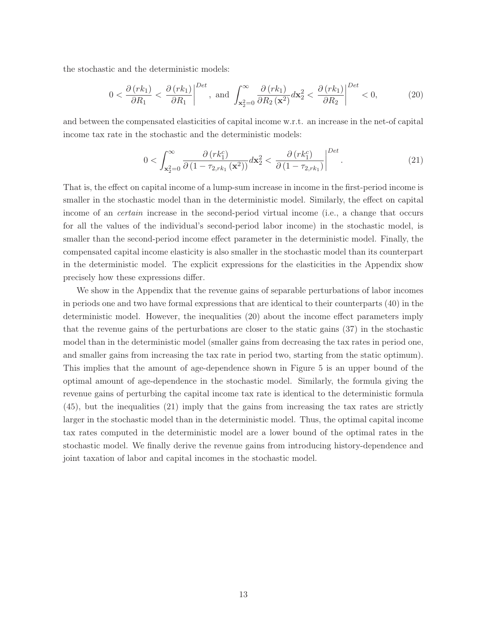the stochastic and the deterministic models:

$$
0 < \frac{\partial \left(rk_1\right)}{\partial R_1} < \frac{\partial \left(rk_1\right)}{\partial R_1} \bigg|^{Det}, \text{ and } \int_{\mathbf{x}_2^2 = 0}^{\infty} \frac{\partial \left(rk_1\right)}{\partial R_2 \left(\mathbf{x}^2\right)} d\mathbf{x}_2^2 < \frac{\partial \left(rk_1\right)}{\partial R_2} \bigg|^{Det} < 0,\tag{20}
$$

and between the compensated elasticities of capital income w.r.t. an increase in the net-of capital income tax rate in the stochastic and the deterministic models:

$$
0 < \int_{\mathbf{x}_2^2 = 0}^{\infty} \frac{\partial \left( r k_1^c \right)}{\partial \left( 1 - \tau_{2, r k_1} \left( \mathbf{x}^2 \right) \right)} d\mathbf{x}_2^2 < \left. \frac{\partial \left( r k_1^c \right)}{\partial \left( 1 - \tau_{2, r k_1} \right)} \right|^{Det} . \tag{21}
$$

That is, the effect on capital income of a lump-sum increase in income in the first-period income is smaller in the stochastic model than in the deterministic model. Similarly, the effect on capital income of an *certain* increase in the second-period virtual income (i.e., a change that occurs for all the values of the individual's second-period labor income) in the stochastic model, is smaller than the second-period income effect parameter in the deterministic model. Finally, the compensated capital income elasticity is also smaller in the stochastic model than its counterpart in the deterministic model. The explicit expressions for the elasticities in the Appendix show precisely how these expressions differ.

We show in the Appendix that the revenue gains of separable perturbations of labor incomes in periods one and two have formal expressions that are identical to their counterparts (40) in the deterministic model. However, the inequalities (20) about the income effect parameters imply that the revenue gains of the perturbations are closer to the static gains (37) in the stochastic model than in the deterministic model (smaller gains from decreasing the tax rates in period one, and smaller gains from increasing the tax rate in period two, starting from the static optimum). This implies that the amount of age-dependence shown in Figure 5 is an upper bound of the optimal amount of age-dependence in the stochastic model. Similarly, the formula giving the revenue gains of perturbing the capital income tax rate is identical to the deterministic formula (45), but the inequalities (21) imply that the gains from increasing the tax rates are strictly larger in the stochastic model than in the deterministic model. Thus, the optimal capital income tax rates computed in the deterministic model are a lower bound of the optimal rates in the stochastic model. We finally derive the revenue gains from introducing history-dependence and joint taxation of labor and capital incomes in the stochastic model.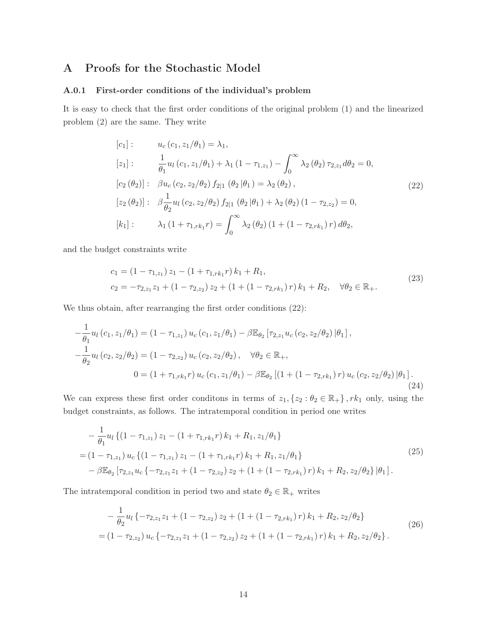# A Proofs for the Stochastic Model

## A.0.1 First-order conditions of the individual's problem

It is easy to check that the first order conditions of the original problem (1) and the linearized problem (2) are the same. They write

$$
[c_1]: \t u_c(c_1, z_1/\theta_1) = \lambda_1,
$$
  
\n
$$
[z_1]: \t \frac{1}{\theta_1} u_l(c_1, z_1/\theta_1) + \lambda_1 (1 - \tau_{1,z_1}) - \int_0^\infty \lambda_2 (\theta_2) \tau_{2,z_1} d\theta_2 = 0,
$$
  
\n
$$
[c_2(\theta_2)]: \t \beta u_c(c_2, z_2/\theta_2) f_{2|1}(\theta_2 | \theta_1) = \lambda_2 (\theta_2),
$$
  
\n
$$
[z_2(\theta_2)]: \t \beta \frac{1}{\theta_2} u_l(c_2, z_2/\theta_2) f_{2|1}(\theta_2 | \theta_1) + \lambda_2 (\theta_2) (1 - \tau_{2,z_2}) = 0,
$$
  
\n
$$
[k_1]: \t \lambda_1 (1 + \tau_{1,rk_1}r) = \int_0^\infty \lambda_2 (\theta_2) (1 + (1 - \tau_{2,rk_1})r) d\theta_2,
$$
  
\n(22)

and the budget constraints write

$$
c_1 = (1 - \tau_{1,z_1}) z_1 - (1 + \tau_{1,rk_1} r) k_1 + R_1,
$$
  
\n
$$
c_2 = -\tau_{2,z_1} z_1 + (1 - \tau_{2,z_2}) z_2 + (1 + (1 - \tau_{2,rk_1}) r) k_1 + R_2, \quad \forall \theta_2 \in \mathbb{R}_+.
$$
\n(23)

We thus obtain, after rearranging the first order conditions (22):

$$
-\frac{1}{\theta_1}u_l(c_1, z_1/\theta_1) = (1 - \tau_{1,z_1}) u_c(c_1, z_1/\theta_1) - \beta \mathbb{E}_{\theta_2} [\tau_{2,z_1} u_c(c_2, z_2/\theta_2) | \theta_1],
$$
  

$$
-\frac{1}{\theta_2}u_l(c_2, z_2/\theta_2) = (1 - \tau_{2,z_2}) u_c(c_2, z_2/\theta_2), \quad \forall \theta_2 \in \mathbb{R}_+,
$$
  

$$
0 = (1 + \tau_{1,rk_1}r) u_c(c_1, z_1/\theta_1) - \beta \mathbb{E}_{\theta_2} [(1 + (1 - \tau_{2,rk_1})r) u_c(c_2, z_2/\theta_2) | \theta_1].
$$
  
(24)

We can express these first order conditions in terms of  $z_1, \{z_2 : \theta_2 \in \mathbb{R}_+\}$ ,  $rk_1$  only, using the budget constraints, as follows. The intratemporal condition in period one writes

$$
-\frac{1}{\theta_1} u_l \left\{ (1 - \tau_{1,z_1}) z_1 - (1 + \tau_{1,rk_1} r) k_1 + R_1, z_1/\theta_1 \right\}
$$
  
=  $(1 - \tau_{1,z_1}) u_c \left\{ (1 - \tau_{1,z_1}) z_1 - (1 + \tau_{1,rk_1} r) k_1 + R_1, z_1/\theta_1 \right\}$   

$$
-\beta \mathbb{E}_{\theta_2} \left[ \tau_{2,z_1} u_c \left\{ -\tau_{2,z_1} z_1 + (1 - \tau_{2,z_2}) z_2 + (1 + (1 - \tau_{2,rk_1}) r) k_1 + R_2, z_2/\theta_2 \right\} | \theta_1 \right].
$$
  
(25)

The intratemporal condition in period two and state  $\theta_2 \in \mathbb{R}_+$  writes

$$
-\frac{1}{\theta_2}u_l\{-\tau_{2,z_1}z_1+(1-\tau_{2,z_2})z_2+(1+(1-\tau_{2,rk_1})r)k_1+R_2,z_2/\theta_2\}
$$
  
=
$$
(1-\tau_{2,z_2})u_c\{-\tau_{2,z_1}z_1+(1-\tau_{2,z_2})z_2+(1+(1-\tau_{2,rk_1})r)k_1+R_2,z_2/\theta_2\}.
$$
 (26)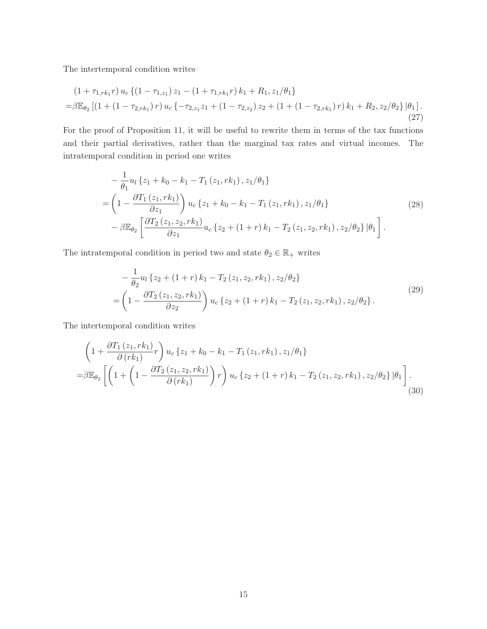The intertemporal condition writes

$$
(1 + \tau_{1,rk_1}r) u_c \{ (1 - \tau_{1,z_1}) z_1 - (1 + \tau_{1,rk_1}r) k_1 + R_1, z_1/\theta_1 \}
$$
  
=  $\beta \mathbb{E}_{\theta_2} [(1 + (1 - \tau_{2,rk_1})r) u_c \{-\tau_{2,z_1} z_1 + (1 - \tau_{2,z_2}) z_2 + (1 + (1 - \tau_{2,rk_1})r) k_1 + R_2, z_2/\theta_2 \} |\theta_1].$  (27)

For the proof of Proposition 11, it will be useful to rewrite them in terms of the tax functions and their partial derivatives, rather than the marginal tax rates and virtual incomes. The intratemporal condition in period one writes

$$
-\frac{1}{\theta_1}u_l\left\{z_1+k_0-k_1-T_1(z_1,rk_1),z_1/\theta_1\right\} =\left(1-\frac{\partial T_1(z_1,rk_1)}{\partial z_1}\right)u_c\left\{z_1+k_0-k_1-T_1(z_1,rk_1),z_1/\theta_1\right\} -\beta\mathbb{E}_{\theta_2}\left[\frac{\partial T_2(z_1,z_2,rk_1)}{\partial z_1}u_c\left\{z_2+(1+r)k_1-T_2(z_1,z_2,rk_1),z_2/\theta_2\right\}|\theta_1\right].
$$
\n(28)

The intratemporal condition in period two and state  $\theta_2 \in \mathbb{R}_+$  writes

$$
-\frac{1}{\theta_2}u_l\left\{z_2+(1+r)k_1-T_2(z_1,z_2,rk_1),z_2/\theta_2\right\} =\left(1-\frac{\partial T_2(z_1,z_2,rk_1)}{\partial z_2}\right)u_c\left\{z_2+(1+r)k_1-T_2(z_1,z_2,rk_1),z_2/\theta_2\right\}.
$$
(29)

The intertemporal condition writes

$$
\left(1+\frac{\partial T_{1}\left(z_{1},rk_{1}\right)}{\partial\left(rk_{1}\right)}r\right)u_{c}\left\{z_{1}+k_{0}-k_{1}-T_{1}\left(z_{1},rk_{1}\right),z_{1}/\theta_{1}\right\}
$$
\n
$$
=\beta\mathbb{E}_{\theta_{2}}\left[\left(1+\left(1-\frac{\partial T_{2}\left(z_{1},z_{2},rk_{1}\right)}{\partial\left(rk_{1}\right)}\right)r\right)u_{c}\left\{z_{2}+\left(1+r\right)k_{1}-T_{2}\left(z_{1},z_{2},rk_{1}\right),z_{2}/\theta_{2}\right\}|\theta_{1}\right].
$$
\n(30)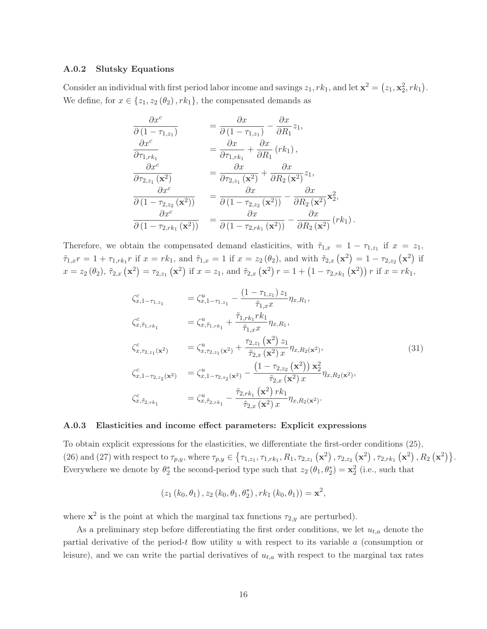#### A.0.2 Slutsky Equations

Consider an individual with first period labor income and savings  $z_1, rk_1$ , and let  $\mathbf{x}^2 = (z_1, \mathbf{x}_2^2, rk_1)$ . We define, for  $x \in \{z_1, z_2(\theta_2), rk_1\}$ , the compensated demands as

$$
\frac{\partial x^{c}}{\partial (1 - \tau_{1,z_1})} = \frac{\partial x}{\partial (1 - \tau_{1,z_1})} - \frac{\partial x}{\partial R_1} z_1,
$$
\n
$$
\frac{\partial x^{c}}{\partial \tau_{1,rk_1}} = \frac{\partial x}{\partial \tau_{1,rk_1}} + \frac{\partial x}{\partial R_1} (rk_1),
$$
\n
$$
\frac{\partial x^{c}}{\partial \tau_{2,z_1} (\mathbf{x}^2)} = \frac{\partial x}{\partial \tau_{2,z_1} (\mathbf{x}^2)} + \frac{\partial x}{\partial R_2 (\mathbf{x}^2)} z_1,
$$
\n
$$
\frac{\partial x^{c}}{\partial (1 - \tau_{2,z_2} (\mathbf{x}^2))} = \frac{\partial x}{\partial (1 - \tau_{2,z_2} (\mathbf{x}^2))} - \frac{\partial x}{\partial R_2 (\mathbf{x}^2)} \mathbf{x}^2_2,
$$
\n
$$
\frac{\partial x^{c}}{\partial (1 - \tau_{2,rk_1} (\mathbf{x}^2))} = \frac{\partial x}{\partial (1 - \tau_{2,rk_1} (\mathbf{x}^2))} - \frac{\partial x}{\partial R_2 (\mathbf{x}^2)} (rk_1).
$$

Therefore, we obtain the compensated demand elasticities, with  $\tilde{\tau}_{1,x} = 1 - \tau_{1,z_1}$  if  $x = z_1$ ,  $\tilde{\tau}_{1,x}r = 1 + \tau_{1,rk_1}r$  if  $x = rk_1$ , and  $\tilde{\tau}_{1,x} = 1$  if  $x = z_2(\theta_2)$ , and with  $\tilde{\tau}_{2,x}(\mathbf{x}^2) = 1 - \tau_{2,z_2}(\mathbf{x}^2)$  if  $x = z_2(\theta_2), \, \tilde{\tau}_{2,x}(\mathbf{x}^2) = \tau_{2,z_1}(\mathbf{x}^2)$  if  $x = z_1$ , and  $\tilde{\tau}_{2,x}(\mathbf{x}^2)$   $r = 1 + (1 - \tau_{2,rk_1}(\mathbf{x}^2))$  r if  $x = rk_1$ ,

$$
\zeta_{x,1-\tau_{1,z_1}}^c = \zeta_{x,1-\tau_{1,z_1}}^u - \frac{(1-\tau_{1,z_1})z_1}{\tilde{\tau}_{1,x}x} \eta_{x,R_1},
$$
\n
$$
\zeta_{x,\tilde{\tau}_{1,rk_1}}^c = \zeta_{x,\tilde{\tau}_{1,rk_1}}^u + \frac{\tilde{\tau}_{1,rk_1}r k_1}{\tilde{\tau}_{1,x}x} \eta_{x,R_1},
$$
\n
$$
\zeta_{x,\tau_{2,z_1}(\mathbf{x}^2)}^c = \zeta_{x,\tau_{2,z_1}(\mathbf{x}^2)}^u + \frac{\tau_{2,z_1}(\mathbf{x}^2)z_1}{\tilde{\tau}_{2,x}(\mathbf{x}^2) x} \eta_{x,R_2(\mathbf{x}^2)},
$$
\n
$$
\zeta_{x,1-\tau_{2,z_2}(\mathbf{x}^2)}^c = \zeta_{x,1-\tau_{2,z_2}(\mathbf{x}^2)}^u - \frac{(1-\tau_{2,z_2}(\mathbf{x}^2))\mathbf{x}_2^2}{\tilde{\tau}_{2,x}(\mathbf{x}^2)x} \eta_{x,R_2(\mathbf{x}^2)},
$$
\n
$$
\zeta_{x,\tilde{\tau}_{2,rk_1}}^c = \zeta_{x,\tilde{\tau}_{2,rk_1}}^u - \frac{\tilde{\tau}_{2,rk_1}(\mathbf{x}^2)rk_1}{\tilde{\tau}_{2,x}(\mathbf{x}^2)x} \eta_{x,R_2(\mathbf{x}^2)}.
$$
\n(31)

#### A.0.3 Elasticities and income effect parameters: Explicit expressions

To obtain explicit expressions for the elasticities, we differentiate the first-order conditions (25), (26) and (27) with respect to  $\tau_{p,y}$ , where  $\tau_{p,y} \in {\tau_{1,z_1}, \tau_{1,rk_1}, R_1, \tau_{2,z_1} (\mathbf{x}^2), \tau_{2,z_2} (\mathbf{x}^2), \tau_{2,rk_1} (\mathbf{x}^2), R_2 (\mathbf{x}^2)}.$ Everywhere we denote by  $\theta_2^*$  the second-period type such that  $z_2(\theta_1, \theta_2^*) = \mathbf{x}_2^2$  (i.e., such that

$$
(z_1(k_0, \theta_1), z_2(k_0, \theta_1, \theta_2^*), rk_1(k_0, \theta_1)) = \mathbf{x}^2,
$$

where  $\mathbf{x}^2$  is the point at which the marginal tax functions  $\tau_{2,y}$  are perturbed).

As a preliminary step before differentiating the first order conditions, we let  $u_{t,a}$  denote the partial derivative of the period-t flow utility u with respect to its variable  $a$  (consumption or leisure), and we can write the partial derivatives of  $u_{t,a}$  with respect to the marginal tax rates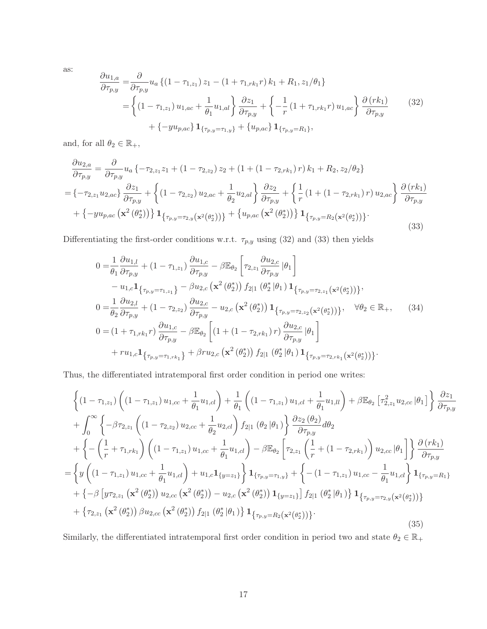as:

$$
\frac{\partial u_{1,a}}{\partial \tau_{p,y}} = \frac{\partial}{\partial \tau_{p,y}} u_a \left\{ (1 - \tau_{1,z_1}) z_1 - (1 + \tau_{1,rk_1} r) k_1 + R_1, z_1/\theta_1 \right\}
$$
\n
$$
= \left\{ (1 - \tau_{1,z_1}) u_{1,ac} + \frac{1}{\theta_1} u_{1,al} \right\} \frac{\partial z_1}{\partial \tau_{p,y}} + \left\{ -\frac{1}{r} (1 + \tau_{1,rk_1} r) u_{1,ac} \right\} \frac{\partial (rk_1)}{\partial \tau_{p,y}} \qquad (32)
$$
\n
$$
+ \left\{ -yu_{p,ac} \right\} \mathbf{1}_{\{\tau_{p,y} = \tau_{1,y}\}} + \left\{ u_{p,ac} \right\} \mathbf{1}_{\{\tau_{p,y} = R_1\}},
$$

and, for all  $\theta_2 \in \mathbb{R}_+,$ 

$$
\frac{\partial u_{2,a}}{\partial \tau_{p,y}} = \frac{\partial}{\partial \tau_{p,y}} u_a \{-\tau_{2,z_1} z_1 + (1 - \tau_{2,z_2}) z_2 + (1 + (1 - \tau_{2,rk_1}) r) k_1 + R_2, z_2 / \theta_2 \}
$$
\n
$$
= \{-\tau_{2,z_1} u_{2,ac}\} \frac{\partial z_1}{\partial \tau_{p,y}} + \left\{ (1 - \tau_{2,z_2}) u_{2,ac} + \frac{1}{\theta_2} u_{2,al} \right\} \frac{\partial z_2}{\partial \tau_{p,y}} + \left\{ \frac{1}{r} (1 + (1 - \tau_{2,rk_1}) r) u_{2,ac} \right\} \frac{\partial (rk_1)}{\partial \tau_{p,y}} + \left\{ -yu_{p,ac} (\mathbf{x}^2 (\theta_2^*)) \right\} \mathbf{1}_{\{\tau_{p,y} = \tau_{2,y} (\mathbf{x}^2 (\theta_2^*))\}} + \left\{ u_{p,ac} (\mathbf{x}^2 (\theta_2^*)) \right\} \mathbf{1}_{\{\tau_{p,y} = R_2 (\mathbf{x}^2 (\theta_2^*))\}}.
$$
\n(33)

Differentiating the first-order conditions w.r.t.  $\tau_{p,y}$  using (32) and (33) then yields

$$
0 = \frac{1}{\theta_{1}} \frac{\partial u_{1,l}}{\partial \tau_{p,y}} + (1 - \tau_{1,z_{1}}) \frac{\partial u_{1,c}}{\partial \tau_{p,y}} - \beta \mathbb{E}_{\theta_{2}} \left[ \tau_{2,z_{1}} \frac{\partial u_{2,c}}{\partial \tau_{p,y}} | \theta_{1} \right]
$$
  
\n
$$
- u_{1,c} \mathbf{1}_{\{\tau_{p,y} = \tau_{1,z_{1}}\}} - \beta u_{2,c} (\mathbf{x}^{2} (\theta_{2}^{*})) f_{2|1} (\theta_{2}^{*} |\theta_{1}) \mathbf{1}_{\{\tau_{p,y} = \tau_{2,z_{1}} (\mathbf{x}^{2} (\theta_{2}^{*}))\}},
$$
  
\n
$$
0 = \frac{1}{\theta_{2}} \frac{\partial u_{2,l}}{\partial \tau_{p,y}} + (1 - \tau_{2,z_{2}}) \frac{\partial u_{2,c}}{\partial \tau_{p,y}} - u_{2,c} (\mathbf{x}^{2} (\theta_{2}^{*})) \mathbf{1}_{\{\tau_{p,y} = \tau_{2,z_{2}} (\mathbf{x}^{2} (\theta_{2}^{*}))\}}, \quad \forall \theta_{2} \in \mathbb{R}_{+}, \qquad (34)
$$
  
\n
$$
0 = (1 + \tau_{1,rk_{1}} r) \frac{\partial u_{1,c}}{\partial \tau_{p,y}} - \beta \mathbb{E}_{\theta_{2}} \left[ (1 + (1 - \tau_{2,rk_{1}}) r) \frac{\partial u_{2,c}}{\partial \tau_{p,y}} | \theta_{1} \right]
$$
  
\n
$$
+ r u_{1,c} \mathbf{1}_{\{\tau_{p,y} = \tau_{1,rk_{1}}\}} + \beta r u_{2,c} (\mathbf{x}^{2} (\theta_{2}^{*})) f_{2|1} (\theta_{2}^{*} |\theta_{1}) \mathbf{1}_{\{\tau_{p,y} = \tau_{2,rk_{1}} (\mathbf{x}^{2} (\theta_{2}^{*}))\}}.
$$

Thus, the differentiated intratemporal first order condition in period one writes:

$$
\begin{split}\n&\left\{\left(1-\tau_{1,z_1}\right)\left(\left(1-\tau_{1,z_1}\right)u_{1,cc}+\frac{1}{\theta_1}u_{1,cl}\right)+\frac{1}{\theta_1}\left(\left(1-\tau_{1,z_1}\right)u_{1,cl}+\frac{1}{\theta_1}u_{1,ll}\right)+\beta\mathbb{E}_{\theta_2}\left[\tau_{2,z_1}^2u_{2,cc}\left|\theta_1\right]\right\}\frac{\partial z_1}{\partial \tau_{p,y}} \\
&+\int_0^\infty\left\{-\beta\tau_{2,z_1}\left(\left(1-\tau_{2,z_2}\right)u_{2,cc}+\frac{1}{\theta_2}u_{2,cl}\right)f_{2|1}\left(\theta_2\left|\theta_1\right)\right\}\frac{\partial z_2\left(\theta_2\right)}{\partial \tau_{p,y}}d\theta_2 \\
&+\left\{-\left(\frac{1}{r}+\tau_{1,rk_1}\right)\left(\left(1-\tau_{1,z_1}\right)u_{1,cc}+\frac{1}{\theta_1}u_{1,cl}\right)-\beta\mathbb{E}_{\theta_2}\left[\tau_{2,z_1}\left(\frac{1}{r}+\left(1-\tau_{2,rk_1}\right)\right)u_{2,cc}\left|\theta_1\right|\right]\right\}\frac{\partial\left(rk_1\right)}{\partial \tau_{p,y}} \\
&=\left\{y\left(\left(1-\tau_{1,z_1}\right)u_{1,cc}+\frac{1}{\theta_1}u_{1,cl}\right)+u_{1,c}1_{\{y=z_1\}}\right\}1_{\{\tau_{p,y}=\tau_{1,y}\}}+\left\{-\left(1-\tau_{1,z_1}\right)u_{1,cc}-\frac{1}{\theta_1}u_{1,cl}\right\}1_{\{\tau_{p,y}=R_1\}} \\
&+\left\{-\beta\left[y\tau_{2,z_1}\left(\mathbf{x}^2\left(\theta_2^*\right)\right)u_{2,cc}\left(\mathbf{x}^2\left(\theta_2^*\right)\right)-u_{2,c}\left(\mathbf{x}^2\left(\theta_2^*\right)\right)1_{\{y=z_1\}}\right]f_{2|1}\left(\theta_2^*\left|\theta_1\right\rangle\right\}1_{\{\tau_{p,y}=\tau_{2,y}\left(\mathbf{x}^2\left(\theta_2^*\right)\right)\}}\right) \\
&+\left\{\tau_{2,z_1}\left(\mathbf
$$

Similarly, the differentiated intratemporal first order condition in period two and state  $\theta_2\in\mathbb{R}_+$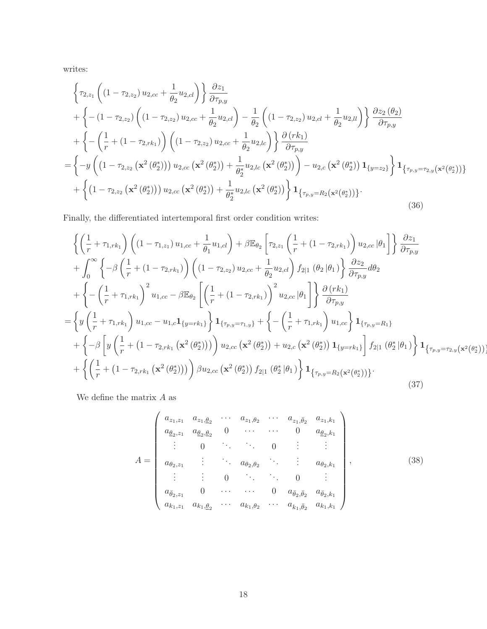writes:

$$
\begin{split}\n&\left\{\tau_{2,z_{1}}\left((1-\tau_{2,z_{2}})u_{2,cc}+\frac{1}{\theta_{2}}u_{2,d}\right)\right\}\frac{\partial z_{1}}{\partial\tau_{p,y}} \\
&+\left\{-(1-\tau_{2,z_{2}})\left((1-\tau_{2,z_{2}})u_{2,cc}+\frac{1}{\theta_{2}}u_{2,d}\right)-\frac{1}{\theta_{2}}\left((1-\tau_{2,z_{2}})u_{2,d}+\frac{1}{\theta_{2}}u_{2,l}\right)\right\}\frac{\partial z_{2}(\theta_{2})}{\partial\tau_{p,y}} \\
&+\left\{-(\frac{1}{r}+(1-\tau_{2,rk_{1}}))\left((1-\tau_{2,z_{2}})u_{2,cc}+\frac{1}{\theta_{2}}u_{2,lc}\right)\right\}\frac{\partial (rk_{1})}{\partial\tau_{p,y}} \\
&=\left\{-y\left((1-\tau_{2,z_{2}}\left(\mathbf{x}^{2}(\theta_{2}^{*})\right))u_{2,cc}\left(\mathbf{x}^{2}(\theta_{2}^{*})\right)+\frac{1}{\theta_{2}^{*}}u_{2,lc}\left(\mathbf{x}^{2}(\theta_{2}^{*})\right)\right)-u_{2,c}\left(\mathbf{x}^{2}(\theta_{2}^{*})\right)\mathbf{1}_{\left\{y=z_{2}\right\}}\right\}\mathbf{1}_{\left\{\tau_{p,y}=\tau_{2,y}\left(\mathbf{x}^{2}(\theta_{2}^{*})\right)\right\}} \\
&+\left\{\left(1-\tau_{2,z_{2}}\left(\mathbf{x}^{2}(\theta_{2}^{*})\right)\right)u_{2,cc}\left(\mathbf{x}^{2}(\theta_{2}^{*})\right)+\frac{1}{\theta_{2}^{*}}u_{2,lc}\left(\mathbf{x}^{2}(\theta_{2}^{*})\right)\right\}\mathbf{1}_{\left\{\tau_{p,y}=R_{2}\left(\mathbf{x}^{2}(\theta_{2}^{*})\right)\right\}}.\n\end{split} \tag{36}
$$

Finally, the differentiated intertemporal first order condition writes:

$$
\begin{split}\n&\left\{\left(\frac{1}{r}+\tau_{1,rk_{1}}\right)\left((1-\tau_{1,z_{1}})u_{1,cc}+\frac{1}{\theta_{1}}u_{1,cl}\right)+\beta\mathbb{E}_{\theta_{2}}\left[\tau_{2,z_{1}}\left(\frac{1}{r}+(1-\tau_{2,rk_{1}})\right)u_{2,cc}|\theta_{1}\right]\right\}\frac{\partial z_{1}}{\partial\tau_{p,y}} \\
&+\int_{0}^{\infty}\left\{-\beta\left(\frac{1}{r}+(1-\tau_{2,rk_{1}})\right)\left((1-\tau_{2,z_{2}})u_{2,cc}+\frac{1}{\theta_{2}}u_{2,cl}\right)f_{2|1}(\theta_{2}|\theta_{1})\right\}\frac{\partial z_{2}}{\partial\tau_{p,y}}d\theta_{2} \\
&+\left\{-\left(\frac{1}{r}+\tau_{1,rk_{1}}\right)^{2}u_{1,cc}-\beta\mathbb{E}_{\theta_{2}}\left[\left(\frac{1}{r}+(1-\tau_{2,rk_{1}})\right)^{2}u_{2,cc}|\theta_{1}\right]\right\}\frac{\partial(rk_{1})}{\partial\tau_{p,y}} \\
&=\left\{y\left(\frac{1}{r}+\tau_{1,rk_{1}}\right)u_{1,cc}-u_{1,c}1_{\{y=rk_{1}\}}\right\}1_{\{\tau_{p,y}=\tau_{1,y}\}}+\left\{-\left(\frac{1}{r}+\tau_{1,rk_{1}}\right)u_{1,cc}\right\}1_{\{\tau_{p,y}=\mathbb{R}_{1}\}} \\
&+\left\{-\beta\left[y\left(\frac{1}{r}+(1-\tau_{2,rk_{1}}\left(\mathbf{x}^{2}(\theta_{2}^{*})\right)\right)\right)u_{2,cc}\left(\mathbf{x}^{2}(\theta_{2}^{*})\right)+u_{2,c}\left(\mathbf{x}^{2}(\theta_{2}^{*})\right)1_{\{y=rk_{1}\}}\right]f_{2|1}(\theta_{2}^{*}|\theta_{1})\right\}1_{\{\tau_{p,y}=\tau_{2,y}\left(\mathbf{x}^{2}(\theta_{2}^{*})\right)\}} \\
&+\left\{\left(\frac{1}{r}+(1-\tau_{2,rk_{1}}\left(\mathbf{x}^{2}(\theta_{2}^{*})\right)\right)\beta u_{2,cc}\left(\mathbf{x}^{2}(\theta_{2}^{*})\right)f_{2|1}(\theta_{2}^{*}
$$

We define the matrix  $A$  as

$$
A = \begin{pmatrix} a_{z_1, z_1} & a_{z_1, \theta_2} & \cdots & a_{z_1, \theta_2} & \cdots & a_{z_1, \bar{\theta}_2} & a_{z_1, k_1} \\ a_{\theta_2, z_1} & a_{\theta_2, \theta_2} & 0 & \cdots & \cdots & 0 & a_{\theta_2, k_1} \\ \vdots & 0 & \ddots & \ddots & 0 & \vdots & \vdots \\ a_{\theta_2, z_1} & \vdots & \ddots & a_{\theta_2, \theta_2} & \ddots & \vdots & a_{\theta_2, k_1} \\ \vdots & \vdots & 0 & \ddots & \ddots & 0 & \vdots \\ a_{\bar{\theta}_2, z_1} & 0 & \cdots & \cdots & 0 & a_{\bar{\theta}_2, \bar{\theta}_2} & a_{\bar{\theta}_2, k_1} \\ a_{k_1, z_1} & a_{k_1, \theta_2} & \cdots & a_{k_1, \theta_2} & \cdots & a_{k_1, \bar{\theta}_2} & a_{k_1, k_1} \end{pmatrix},
$$
\n(38)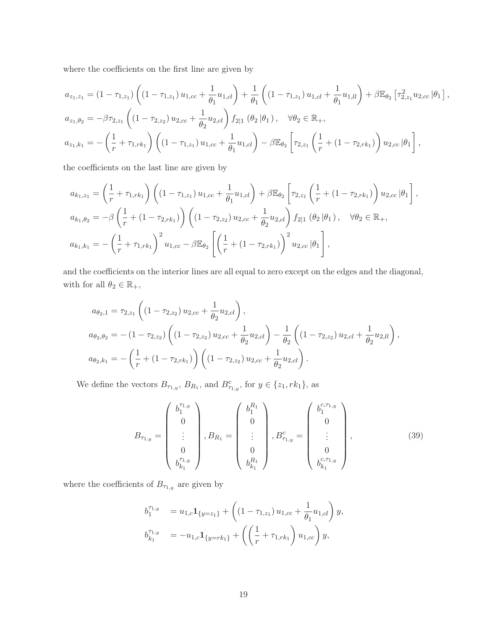where the coefficients on the first line are given by

$$
a_{z_1,z_1} = (1 - \tau_{1,z_1}) \left( (1 - \tau_{1,z_1}) u_{1,cc} + \frac{1}{\theta_1} u_{1,cl} \right) + \frac{1}{\theta_1} \left( (1 - \tau_{1,z_1}) u_{1,cl} + \frac{1}{\theta_1} u_{1,ll} \right) + \beta \mathbb{E}_{\theta_2} \left[ \tau_{2,z_1}^2 u_{2,cc} | \theta_1 \right],
$$
  
\n
$$
a_{z_1,\theta_2} = -\beta \tau_{2,z_1} \left( (1 - \tau_{2,z_2}) u_{2,cc} + \frac{1}{\theta_2} u_{2,cl} \right) f_{2|1} (\theta_2 | \theta_1), \quad \forall \theta_2 \in \mathbb{R}_+,
$$
  
\n
$$
a_{z_1,k_1} = -\left( \frac{1}{r} + \tau_{1,rk_1} \right) \left( (1 - \tau_{1,z_1}) u_{1,cc} + \frac{1}{\theta_1} u_{1,cl} \right) - \beta \mathbb{E}_{\theta_2} \left[ \tau_{2,z_1} \left( \frac{1}{r} + (1 - \tau_{2,rk_1}) \right) u_{2,cc} | \theta_1 \right],
$$

the coefficients on the last line are given by

$$
a_{k_1, z_1} = \left(\frac{1}{r} + \tau_{1, rk_1}\right) \left( (1 - \tau_{1, z_1}) u_{1, cc} + \frac{1}{\theta_1} u_{1, cl} \right) + \beta \mathbb{E}_{\theta_2} \left[ \tau_{2, z_1} \left(\frac{1}{r} + (1 - \tau_{2, rk_1})\right) u_{2, cc} | \theta_1 \right],
$$
  
\n
$$
a_{k_1, \theta_2} = -\beta \left(\frac{1}{r} + (1 - \tau_{2, rk_1})\right) \left( (1 - \tau_{2, z_2}) u_{2, cc} + \frac{1}{\theta_2} u_{2, cl} \right) f_{2|1} (\theta_2 | \theta_1), \quad \forall \theta_2 \in \mathbb{R}_+,
$$
  
\n
$$
a_{k_1, k_1} = -\left(\frac{1}{r} + \tau_{1, rk_1}\right)^2 u_{1, cc} - \beta \mathbb{E}_{\theta_2} \left[ \left(\frac{1}{r} + (1 - \tau_{2, rk_1})\right)^2 u_{2, cc} | \theta_1 \right],
$$

and the coefficients on the interior lines are all equal to zero except on the edges and the diagonal, with for all  $\theta_2 \in \mathbb{R}_+,$ 

$$
a_{\theta_2,1} = \tau_{2,z_1} \left( \left( 1 - \tau_{2,z_2} \right) u_{2,cc} + \frac{1}{\theta_2} u_{2,cl} \right),
$$
  
\n
$$
a_{\theta_2,\theta_2} = -\left( 1 - \tau_{2,z_2} \right) \left( \left( 1 - \tau_{2,z_2} \right) u_{2,cc} + \frac{1}{\theta_2} u_{2,cl} \right) - \frac{1}{\theta_2} \left( \left( 1 - \tau_{2,z_2} \right) u_{2,cl} + \frac{1}{\theta_2} u_{2,ll} \right),
$$
  
\n
$$
a_{\theta_2,k_1} = -\left( \frac{1}{r} + \left( 1 - \tau_{2,rk_1} \right) \right) \left( \left( 1 - \tau_{2,z_2} \right) u_{2,cc} + \frac{1}{\theta_2} u_{2,cl} \right).
$$

We define the vectors  $B_{\tau_{1,y}}$ ,  $B_{R_1}$ , and  $B_{\tau_{1,y}}^c$ , for  $y \in \{z_1, rk_1\}$ , as

$$
B_{\tau_{1,y}} = \begin{pmatrix} b_1^{\tau_{1,y}} \\ 0 \\ \vdots \\ 0 \\ b_{k_1}^{\tau_{1,y}} \end{pmatrix}, B_{R_1} = \begin{pmatrix} b_1^{R_1} \\ 0 \\ \vdots \\ 0 \\ b_{k_1}^{R_1} \end{pmatrix}, B_{\tau_{1,y}}^c = \begin{pmatrix} b_1^{c,\tau_{1,y}} \\ 0 \\ \vdots \\ 0 \\ b_{k_1}^{c,\tau_{1,y}} \end{pmatrix}, \tag{39}
$$

where the coefficients of  $B_{\tau_{1,y}}$  are given by

$$
b_1^{\tau_{1,y}} = u_{1,c} \mathbf{1}_{\{y=z_1\}} + \left( \left(1 - \tau_{1,z_1}\right) u_{1,cc} + \frac{1}{\theta_1} u_{1,cl} \right) y,
$$
  
\n
$$
b_{k_1}^{\tau_{1,y}} = -u_{1,c} \mathbf{1}_{\{y=rk_1\}} + \left( \left(\frac{1}{r} + \tau_{1,rk_1}\right) u_{1,cc} \right) y,
$$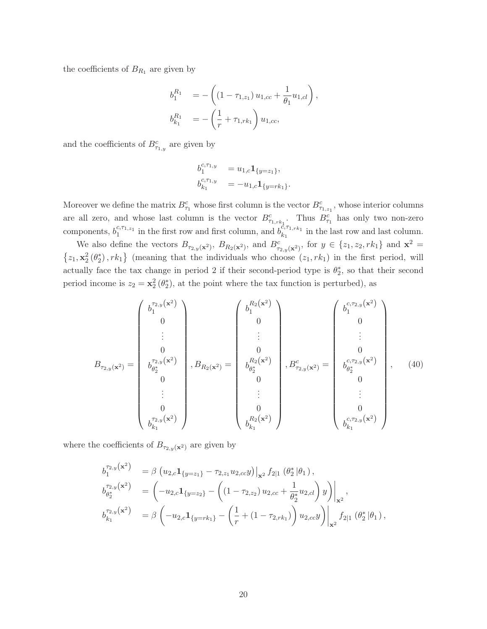the coefficients of  $B_{R_1}$  are given by

$$
b_1^{R_1} = -\left( (1 - \tau_{1,z_1}) u_{1,cc} + \frac{1}{\theta_1} u_{1,cl} \right),
$$
  

$$
b_{k_1}^{R_1} = -\left( \frac{1}{r} + \tau_{1,rk_1} \right) u_{1,cc},
$$

and the coefficients of  $B_{\tau_{1,y}}^c$  are given by

$$
b_1^{c,\tau_{1,y}} = u_{1,c} \mathbf{1}_{\{y=z_1\}},
$$
  
\n
$$
b_{k_1}^{c,\tau_{1,y}} = -u_{1,c} \mathbf{1}_{\{y=rk_1\}}.
$$

Moreover we define the matrix  $B_{\tau_1}^c$  whose first column is the vector  $B_{\tau_{1,z_1}}^c$ , whose interior columns are all zero, and whose last column is the vector  $B_{\tau_{1,rk_1}}^c$ . Thus  $B_{\tau_1}^c$  has only two non-zero components,  $b_1^{c,\tau_{1,z_1}}$  in the first row and first column, and  $b_{k_1}^{c,\tau_{1,rk_1}}$  in the last row and last column.

We also define the vectors  $B_{\tau_{2,y}(\mathbf{x}^2)}$ ,  $B_{R_2(\mathbf{x}^2)}$ , and  $B_{\tau_{2,y}(\mathbf{x}^2)}^c$ , for  $y \in \{z_1, z_2, rk_1\}$  and  $\mathbf{x}^2 =$  $\{z_1, \mathbf{x}_2^2(\theta_2^*), rk_1\}$  (meaning that the individuals who choose  $(z_1, rk_1)$  in the first period, will actually face the tax change in period 2 if their second-period type is  $\theta_2^*$ , so that their second period income is  $z_2 = \mathbf{x}_2^2(\theta_2^*)$ , at the point where the tax function is perturbed), as

$$
B_{\tau_{2,y}(\mathbf{x}^2)} = \begin{pmatrix} b_1^{\tau_{2,y}(\mathbf{x}^2)} \\ 0 \\ \vdots \\ 0 \\ b_{\theta_2^*}^{\tau_{2,y}(\mathbf{x}^2)} \\ 0 \\ \vdots \\ 0 \\ b_{k_1}^{\tau_{2,y}(\mathbf{x}^2)} \end{pmatrix}, B_{R_2(\mathbf{x}^2)} = \begin{pmatrix} b_1^{R_2(\mathbf{x}^2)} \\ 0 \\ \vdots \\ 0 \\ b_{\theta_2^*}^{R_2(\mathbf{x}^2)} \\ 0 \\ \vdots \\ 0 \\ b_{k_1}^{R_2(\mathbf{x}^2)} \end{pmatrix}, B_{\tau_{2,y}(\mathbf{x}^2)}^c = \begin{pmatrix} b_1^{c,\tau_{2,y}(\mathbf{x}^2)} \\ 0 \\ \vdots \\ 0 \\ b_{\theta_2^*}^{c,\tau_{2,y}(\mathbf{x}^2)} \\ 0 \\ \vdots \\ 0 \\ b_{k_1}^{c,\tau_{2,y}(\mathbf{x}^2)} \end{pmatrix}, \quad (40)
$$

where the coefficients of  $B_{\tau_{2,y}(\mathbf{x}^2)}$  are given by

$$
b_{1}^{\tau_{2,y}}(\mathbf{x}^{2}) = \beta (u_{2,c} \mathbf{1}_{\{y=z_{1}\}} - \tau_{2,z_{1}} u_{2,cc} y)\big|_{\mathbf{x}^{2}} f_{2|1} (\theta_{2}^{*}|\theta_{1}),
$$
  
\n
$$
b_{\theta_{2}^{*}}^{\tau_{2,y}}(\mathbf{x}^{2}) = (-u_{2,c} \mathbf{1}_{\{y=z_{2}\}} - ((1-\tau_{2,z_{2}}) u_{2,cc} + \frac{1}{\theta_{2}^{*}} u_{2,cl}) y)\big|_{\mathbf{x}^{2}},
$$
  
\n
$$
b_{k_{1}}^{\tau_{2,y}}(\mathbf{x}^{2}) = \beta (-u_{2,c} \mathbf{1}_{\{y=rk_{1}\}} - (\frac{1}{r} + (1-\tau_{2,rk_{1}})) u_{2,cc} y)\big|_{\mathbf{x}^{2}} f_{2|1} (\theta_{2}^{*}|\theta_{1}),
$$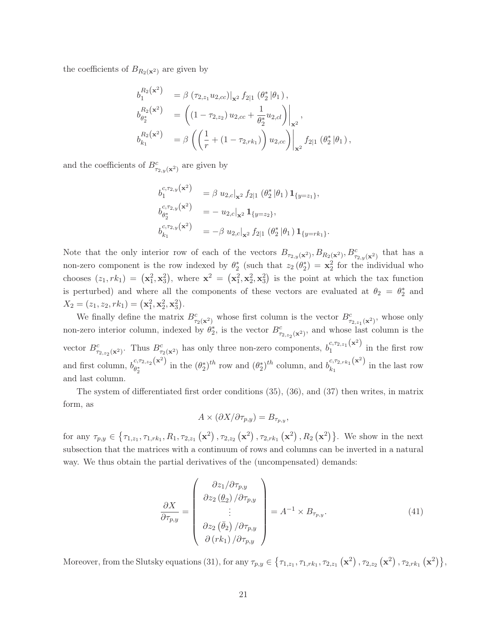the coefficients of  $B_{R_2(\mathbf{x}^2)}$  are given by

$$
b_1^{R_2(\mathbf{x}^2)} = \beta (\tau_{2,z_1} u_{2,cc})|_{\mathbf{x}^2} f_{2|1} (\theta_2^* | \theta_1),
$$
  
\n
$$
b_{\theta_2^*}^{R_2(\mathbf{x}^2)} = ((1 - \tau_{2,z_2}) u_{2,cc} + \frac{1}{\theta_2^*} u_{2,cl})|_{\mathbf{x}^2},
$$
  
\n
$$
b_{k_1}^{R_2(\mathbf{x}^2)} = \beta (\left(\frac{1}{r} + (1 - \tau_{2,rk_1})\right) u_{2,cc})|_{\mathbf{x}^2} f_{2|1} (\theta_2^* | \theta_1),
$$

and the coefficients of  $B^{c}_{\tau_{2,y}(\mathbf{x}^2)}$  are given by

$$
b_1^{c, \tau_{2,y}(\mathbf{x}^2)} = \beta u_{2,c}|_{\mathbf{x}^2} f_{2|1} (\theta_2^* | \theta_1) \mathbf{1}_{\{y=z_1\}},
$$
  
\n
$$
b_{\theta_2^*}^{c, \tau_{2,y}(\mathbf{x}^2)} = -u_{2,c}|_{\mathbf{x}^2} \mathbf{1}_{\{y=z_2\}},
$$
  
\n
$$
b_{k_1}^{c, \tau_{2,y}(\mathbf{x}^2)} = -\beta u_{2,c}|_{\mathbf{x}^2} f_{2|1} (\theta_2^* | \theta_1) \mathbf{1}_{\{y=rk_1\}}.
$$

Note that the only interior row of each of the vectors  $B_{\tau_{2,y}(\mathbf{x}^2)}, B_{R_2(\mathbf{x}^2)}, B_{\tau_{2,y}(\mathbf{x}^2)}^c$  that has a non-zero component is the row indexed by  $\theta_2^*$  (such that  $z_2(\theta_2^*) = \mathbf{x}_2^2$  for the individual who chooses  $(z_1, rk_1) = (\mathbf{x}_1^2, \mathbf{x}_3^2)$ , where  $\mathbf{x}^2 = (\mathbf{x}_1^2, \mathbf{x}_2^2, \mathbf{x}_3^2)$  is the point at which the tax function is perturbed) and where all the components of these vectors are evaluated at  $\theta_2 = \theta_2^*$  and  $X_2 = (z_1, z_2, rk_1) = (\mathbf{x}_1^2, \mathbf{x}_2^2, \mathbf{x}_3^2).$ 

We finally define the matrix  $B_{\tau_2(\mathbf{x}^2)}^c$  whose first column is the vector  $B_{\tau_{2,z_1}(\mathbf{x}^2)}^c$ , whose only non-zero interior column, indexed by  $\theta_2^*$ , is the vector  $B^c_{\tau_{2,z_2}(\mathbf{x}^2)}$ , and whose last column is the vector  $B_{\tau_{2,z_2}(\mathbf{x}^2)}^c$ . Thus  $B_{\tau_2(\mathbf{x}^2)}^c$  has only three non-zero components,  $b_1^{c,\tau_{2,z_1}(\mathbf{x}^2)}$  in the first row and first column,  $b_{\theta^*}^{c,\tau_{2,z_2}(\mathbf{x}^2)}$  $e^{(k, \tau_2, z_2(\mathbf{x}^2))}$  in the  $(\theta_2^*)^{th}$  row and  $(\theta_2^*)^{th}$  column, and  $b^{(k, \tau_2, k_1(\mathbf{x}^2))}_{k_1}$  in the last row and last column.

The system of differentiated first order conditions (35), (36), and (37) then writes, in matrix form, as

$$
A\times (\partial X/\partial \tau_{p,y})=B_{\tau_{p,y}},
$$

for any  $\tau_{p,y} \in \{\tau_{1,z_1}, \tau_{1,rk_1}, R_1, \tau_{2,z_1} (x^2), \tau_{2,z_2} (x^2), \tau_{2,rk_1} (x^2), R_2 (x^2)\}\.$  We show in the next subsection that the matrices with a continuum of rows and columns can be inverted in a natural way. We thus obtain the partial derivatives of the (uncompensated) demands:

$$
\frac{\partial X}{\partial \tau_{p,y}} = \begin{pmatrix} \frac{\partial z_1}{\partial \tau_{p,y}} \\ \frac{\partial z_2}{\partial z_2} \\ \vdots \\ \frac{\partial z_2}{\partial \tau_{p,y}} \end{pmatrix} = A^{-1} \times B_{\tau_{p,y}}.
$$
\n(41)\n
$$
\frac{\partial X}{\partial (rk_1)} / \frac{\partial \tau_{p,y}}{\partial \tau_{p,y}}
$$

Moreover, from the Slutsky equations (31), for any  $\tau_{p,y} \in \{\tau_{1,z_1}, \tau_{1,rk_1}, \tau_{2,z_1}(\mathbf{x}^2), \tau_{2,z_2}(\mathbf{x}^2), \tau_{2,rk_1}(\mathbf{x}^2)\},$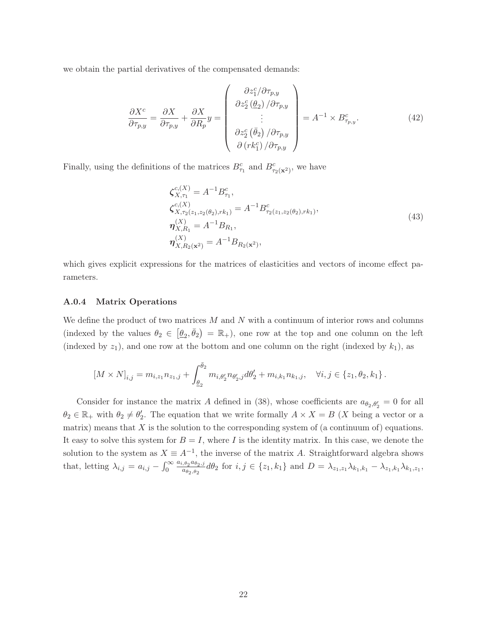we obtain the partial derivatives of the compensated demands:

$$
\frac{\partial X^c}{\partial \tau_{p,y}} = \frac{\partial X}{\partial \tau_{p,y}} + \frac{\partial X}{\partial R_p} y = \begin{pmatrix} \frac{\partial z_1^c}{\partial \tau_{p,y}} \\ \frac{\partial z_2^c}{\partial \tau_{p,y}} \\ \vdots \\ \frac{\partial z_2^c}{\partial \tau_{p,y}} \end{pmatrix} = A^{-1} \times B^c_{\tau_{p,y}}.
$$
\n(42)

Finally, using the definitions of the matrices  $B_{\tau_1}^c$  and  $B_{\tau_2(\mathbf{x}^2)}^c$ , we have

$$
\zeta_{X,\tau_1}^{c,(X)} = A^{-1} B_{\tau_1}^c,
$$
  
\n
$$
\zeta_{X,\tau_2(z_1,z_2(\theta_2),rk_1)}^{c,(X)} = A^{-1} B_{\tau_2(z_1,z_2(\theta_2),rk_1)}^{c},
$$
  
\n
$$
\eta_{X,R_1}^{(X)} = A^{-1} B_{R_1},
$$
  
\n
$$
\eta_{X,R_2(\mathbf{x}^2)}^{(X)} = A^{-1} B_{R_2(\mathbf{x}^2)},
$$
\n(43)

which gives explicit expressions for the matrices of elasticities and vectors of income effect parameters.

### A.0.4 Matrix Operations

We define the product of two matrices  $M$  and  $N$  with a continuum of interior rows and columns (indexed by the values  $\theta_2 \in [\underline{\theta}_2, \overline{\theta}_2] = \mathbb{R}_+$ ), one row at the top and one column on the left (indexed by  $z_1$ ), and one row at the bottom and one column on the right (indexed by  $k_1$ ), as

$$
\left[M \times N\right]_{i,j} = m_{i,z_1} n_{z_1,j} + \int_{\underline{\theta}_2}^{\bar{\theta}_2} m_{i,\theta'_2} n_{\theta'_2,j} d\theta'_2 + m_{i,k_1} n_{k_1,j}, \quad \forall i, j \in \{z_1, \theta_2, k_1\}.
$$

Consider for instance the matrix A defined in (38), whose coefficients are  $a_{\theta_2,\theta'_2} = 0$  for all  $\theta_2 \in \mathbb{R}_+$  with  $\theta_2 \neq \theta_2'$ . The equation that we write formally  $A \times X = B$  (X being a vector or a matrix) means that  $X$  is the solution to the corresponding system of (a continuum of) equations. It easy to solve this system for  $B = I$ , where I is the identity matrix. In this case, we denote the solution to the system as  $X \equiv A^{-1}$ , the inverse of the matrix A. Straightforward algebra shows that, letting  $\lambda_{i,j} = a_{i,j} - \int_0^\infty \frac{a_{i,\theta_2} a_{\theta_2,j}}{a_{\theta_2,\theta_2}}$  $\frac{\partial g}{\partial a_{\theta_2,\theta_2}} d\theta_2$  for  $i, j \in \{z_1, k_1\}$  and  $D = \lambda_{z_1,z_1} \lambda_{k_1,k_1} - \lambda_{z_1,k_1} \lambda_{k_1,z_1}$ ,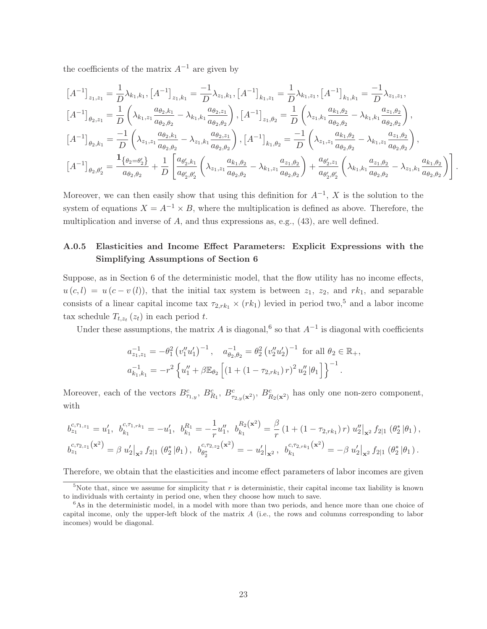the coefficients of the matrix  $A^{-1}$  are given by

$$
\begin{split}\n\left[A^{-1}\right]_{z_1,z_1} &= \frac{1}{D}\lambda_{k_1,k_1},\n\left[A^{-1}\right]_{z_1,k_1} = \frac{-1}{D}\lambda_{z_1,k_1},\n\left[A^{-1}\right]_{k_1,z_1} = \frac{1}{D}\lambda_{k_1,z_1},\n\left[A^{-1}\right]_{k_1,k_1} = \frac{-1}{D}\lambda_{z_1,z_1}, \\
\left[A^{-1}\right]_{\theta_2,z_1} &= \frac{1}{D}\left(\lambda_{k_1,z_1}\frac{a_{\theta_2,k_1}}{a_{\theta_2,\theta_2}} - \lambda_{k_1,k_1}\frac{a_{\theta_2,z_1}}{a_{\theta_2,\theta_2}}\right),\n\left[A^{-1}\right]_{z_1,\theta_2} = \frac{1}{D}\left(\lambda_{z_1,k_1}\frac{a_{k_1,\theta_2}}{a_{\theta_2,\theta_2}} - \lambda_{k_1,k_1}\frac{a_{z_1,\theta_2}}{a_{\theta_2,\theta_2}}\right), \\
\left[A^{-1}\right]_{\theta_2,k_1} &= \frac{-1}{D}\left(\lambda_{z_1,z_1}\frac{a_{\theta_2,k_1}}{a_{\theta_2,\theta_2}} - \lambda_{z_1,k_1}\frac{a_{\theta_2,z_1}}{a_{\theta_2,\theta_2}}\right),\n\left[A^{-1}\right]_{k_1,\theta_2} = \frac{-1}{D}\left(\lambda_{z_1,z_1}\frac{a_{k_1,\theta_2}}{a_{\theta_2,\theta_2}} - \lambda_{k_1,z_1}\frac{a_{z_1,\theta_2}}{a_{\theta_2,\theta_2}}\right), \\
\left[A^{-1}\right]_{\theta_2,\theta_2'} &= \frac{\mathbf{1}_{\{\theta_2=\theta_2'\}}}{a_{\theta_2,\theta_2}} + \frac{1}{D}\left[\frac{a_{\theta_2',k_1}}{a_{\theta_2',\theta_2}}\left(\lambda_{z_1,z_1}\frac{a_{k_1,\theta_2}}{a_{\theta_2,\theta_2}} - \lambda_{k_1,z_1}\frac{a_{z_1,\theta_2}}{a_{\theta_2,\theta_2}}\right) + \frac{a_{\theta_2',z_1}}{a_{\theta_2,\theta_2}}\left(\lambda_{k_1,k_1}\frac{a_{z_
$$

Moreover, we can then easily show that using this definition for  $A^{-1}$ , X is the solution to the system of equations  $X = A^{-1} \times B$ , where the multiplication is defined as above. Therefore, the multiplication and inverse of A, and thus expressions as, e.g., (43), are well defined.

# A.0.5 Elasticities and Income Effect Parameters: Explicit Expressions with the Simplifying Assumptions of Section 6

Suppose, as in Section 6 of the deterministic model, that the flow utility has no income effects,  $u(c, l) = u(c - v(l))$ , that the initial tax system is between  $z_1$ ,  $z_2$ , and  $rk_1$ , and separable consists of a linear capital income tax  $\tau_{2,rk_1} \times (rk_1)$  levied in period two,<sup>5</sup> and a labor income tax schedule  $T_{t,z_t}(z_t)$  in each period t.

Under these assumptions, the matrix A is diagonal,<sup>6</sup> so that  $A^{-1}$  is diagonal with coefficients

$$
a_{z_1,z_1}^{-1} = -\theta_1^2 \left( v_1'' u_1' \right)^{-1}, \quad a_{\theta_2,\theta_2}^{-1} = \theta_2^2 \left( v_2'' u_2' \right)^{-1} \text{ for all } \theta_2 \in \mathbb{R}_+,
$$
  

$$
a_{k_1,k_1}^{-1} = -r^2 \left\{ u_1'' + \beta \mathbb{E}_{\theta_2} \left[ \left( 1 + \left( 1 - \tau_{2,rk_1} \right) r \right)^2 u_2'' \middle| \theta_1 \right] \right\}^{-1}.
$$

Moreover, each of the vectors  $B_{\tau_{1,y}}^c$ ,  $B_{R_1}^c$ ,  $B_{\tau_{2,y}(\mathbf{x}^2)}^c$ ,  $B_{R_2(\mathbf{x}^2)}^c$  has only one non-zero component, with

$$
b_{z_1}^{c,\tau_{1,z_1}} = u'_1, b_{k_1}^{c,\tau_{1,rk_1}} = -u'_1, b_{k_1}^{R_1} = -\frac{1}{r}u''_1, b_{k_1}^{R_2(\mathbf{x}^2)} = \frac{\beta}{r} \left(1 + \left(1 - \tau_{2,rk_1}\right)r\right)u''_2\big|_{\mathbf{x}^2}f_{2|1}\left(\theta_2^*\,|\theta_1\right),
$$
  

$$
b_{z_1}^{c,\tau_{2,z_1}(\mathbf{x}^2)} = \beta u'_2\big|_{\mathbf{x}^2}f_{2|1}\left(\theta_2^*\,|\theta_1\right), b_{\theta_2^*}^{c,\tau_{2,z_2}(\mathbf{x}^2)} = -u'_2\big|_{\mathbf{x}^2}, b_{k_1}^{c,\tau_{2,rk_1}(\mathbf{x}^2)} = -\beta u'_2\big|_{\mathbf{x}^2}f_{2|1}\left(\theta_2^*\,|\theta_1\right).
$$

Therefore, we obtain that the elasticities and income effect parameters of labor incomes are given

<sup>&</sup>lt;sup>5</sup>Note that, since we assume for simplicity that r is deterministic, their capital income tax liability is known to individuals with certainty in period one, when they choose how much to save.

 $6$ As in the deterministic model, in a model with more than two periods, and hence more than one choice of capital income, only the upper-left block of the matrix A (i.e., the rows and columns corresponding to labor incomes) would be diagonal.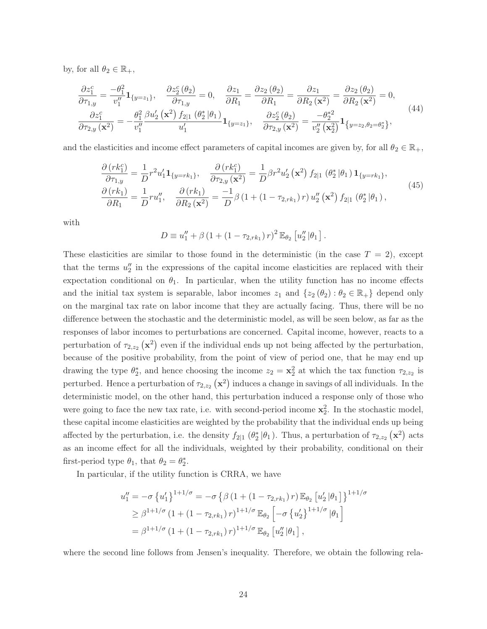by, for all  $\theta_2 \in \mathbb{R}_+$ ,

$$
\frac{\partial z_1^c}{\partial \tau_{1,y}} = \frac{-\theta_1^2}{v_1''} \mathbf{1}_{\{y=z_1\}}, \quad \frac{\partial z_2^c}{\partial \tau_{1,y}} = 0, \quad \frac{\partial z_1}{\partial R_1} = \frac{\partial z_2(\theta_2)}{\partial R_1} = \frac{\partial z_1}{\partial R_2(\mathbf{x}^2)} = \frac{\partial z_2(\theta_2)}{\partial R_2(\mathbf{x}^2)} = 0, \n\frac{\partial z_1^c}{\partial \tau_{2,y}(\mathbf{x}^2)} = -\frac{\theta_1^2}{v_1''} \frac{\beta u_2'(\mathbf{x}^2) f_{2|1}(\theta_2^*|\theta_1)}{u_1'} \mathbf{1}_{\{y=z_1\}}, \quad \frac{\partial z_2^c(\theta_2)}{\partial \tau_{2,y}(\mathbf{x}^2)} = \frac{-\theta_2^*^2}{v_2''(\mathbf{x}_2^2)} \mathbf{1}_{\{y=z_2, \theta_2 = \theta_2^*\}},
$$
\n(44)

and the elasticities and income effect parameters of capital incomes are given by, for all  $\theta_2 \in \mathbb{R}_+$ ,

$$
\frac{\partial (rk_1^c)}{\partial \tau_{1,y}} = \frac{1}{D} r^2 u_1' \mathbf{1}_{\{y = rk_1\}}, \quad \frac{\partial (rk_1^c)}{\partial \tau_{2,y} (\mathbf{x}^2)} = \frac{1}{D} \beta r^2 u_2' (\mathbf{x}^2) f_{2|1} (\theta_2^* | \theta_1) \mathbf{1}_{\{y = rk_1\}}, \n\frac{\partial (rk_1)}{\partial R_1} = \frac{1}{D} ru_1'', \quad \frac{\partial (rk_1)}{\partial R_2 (\mathbf{x}^2)} = \frac{-1}{D} \beta (1 + (1 - \tau_{2,rk_1}) r) u_2'' (\mathbf{x}^2) f_{2|1} (\theta_2^* | \theta_1),
$$
\n(45)

with

$$
D \equiv u_1'' + \beta (1 + (1 - \tau_{2,rk_1}) r)^2 \mathbb{E}_{\theta_2} [u_2'' | \theta_1].
$$

These elasticities are similar to those found in the deterministic (in the case  $T = 2$ ), except that the terms  $u_2''$  in the expressions of the capital income elasticities are replaced with their expectation conditional on  $\theta_1$ . In particular, when the utility function has no income effects and the initial tax system is separable, labor incomes  $z_1$  and  $\{z_2 (\theta_2) : \theta_2 \in \mathbb{R}_+\}$  depend only on the marginal tax rate on labor income that they are actually facing. Thus, there will be no difference between the stochastic and the deterministic model, as will be seen below, as far as the responses of labor incomes to perturbations are concerned. Capital income, however, reacts to a perturbation of  $\tau_{2,z_2}(\mathbf{x}^2)$  even if the individual ends up not being affected by the perturbation, because of the positive probability, from the point of view of period one, that he may end up drawing the type  $\theta_2^*$ , and hence choosing the income  $z_2 = \mathbf{x}_2^2$  at which the tax function  $\tau_{2,z_2}$  is perturbed. Hence a perturbation of  $\tau_{2,z_2}(\mathbf{x}^2)$  induces a change in savings of all individuals. In the deterministic model, on the other hand, this perturbation induced a response only of those who were going to face the new tax rate, i.e. with second-period income **x**<sup>2</sup> <sup>2</sup>. In the stochastic model, these capital income elasticities are weighted by the probability that the individual ends up being affected by the perturbation, i.e. the density  $f_{2|1}(\theta_2^*|\theta_1)$ . Thus, a perturbation of  $\tau_{2,z_2}(\mathbf{x}^2)$  acts as an income effect for all the individuals, weighted by their probability, conditional on their first-period type  $\theta_1$ , that  $\theta_2 = \theta_2^*$ .

In particular, if the utility function is CRRA, we have

$$
u''_1 = -\sigma \left\{ u'_1 \right\}^{1+1/\sigma} = -\sigma \left\{ \beta \left( 1 + (1 - \tau_{2,rk_1}) r \right) \mathbb{E}_{\theta_2} \left[ u'_2 \left| \theta_1 \right] \right\}^{1+1/\sigma} \n\geq \beta^{1+1/\sigma} \left( 1 + (1 - \tau_{2,rk_1}) r \right)^{1+1/\sigma} \mathbb{E}_{\theta_2} \left[ -\sigma \left\{ u'_2 \right\}^{1+1/\sigma} \left| \theta_1 \right] \right] \n= \beta^{1+1/\sigma} \left( 1 + (1 - \tau_{2,rk_1}) r \right)^{1+1/\sigma} \mathbb{E}_{\theta_2} \left[ u''_2 \left| \theta_1 \right] \right],
$$

where the second line follows from Jensen's inequality. Therefore, we obtain the following rela-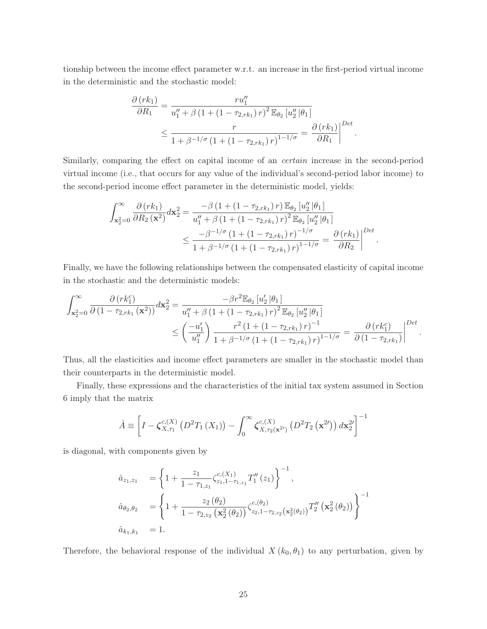tionship between the income effect parameter w.r.t. an increase in the first-period virtual income in the deterministic and the stochastic model:

$$
\frac{\partial (rk_1)}{\partial R_1} = \frac{ru_1''}{u_1'' + \beta (1 + (1 - \tau_{2,rk_1})r)^2 \mathbb{E}_{\theta_2} [u_2'' | \theta_1]} \le \frac{r}{1 + \beta^{-1/\sigma} (1 + (1 - \tau_{2,rk_1})r)^{1 - 1/\sigma}} = \frac{\partial (rk_1)}{\partial R_1} \bigg|^{Det}.
$$

Similarly, comparing the effect on capital income of an *certain* increase in the second-period virtual income (i.e., that occurs for any value of the individual's second-period labor income) to the second-period income effect parameter in the deterministic model, yields:

$$
\int_{\mathbf{x}_{2}^{2}=0}^{\infty} \frac{\partial (rk_{1})}{\partial R_{2}(\mathbf{x}^{2})} d\mathbf{x}_{2}^{2} = \frac{-\beta (1 + (1 - \tau_{2,rk_{1}}) r) \mathbb{E}_{\theta_{2}} [u_{2}'' | \theta_{1}]}{u_{1}'' + \beta (1 + (1 - \tau_{2,rk_{1}}) r)^{2} \mathbb{E}_{\theta_{2}} [u_{2}'' | \theta_{1}]} \n\leq \frac{-\beta^{-1/\sigma} (1 + (1 - \tau_{2,rk_{1}}) r)^{-1/\sigma}}{1 + \beta^{-1/\sigma} (1 + (1 - \tau_{2,rk_{1}}) r)^{1 - 1/\sigma}} = \frac{\partial (rk_{1})}{\partial R_{2}} \bigg|^{Det}.
$$

Finally, we have the following relationships between the compensated elasticity of capital income in the stochastic and the deterministic models:

$$
\int_{\mathbf{x}_{2}^{2}=0}^{\infty} \frac{\partial (rk_{1}^{c})}{\partial (1-\tau_{2,rk_{1}}(\mathbf{x}^{2}))} d\mathbf{x}_{2}^{2} = \frac{-\beta r^{2} \mathbb{E}_{\theta_{2}} [u_{2}'|\theta_{1}]}{u_{1}'' + \beta (1 + (1-\tau_{2,rk_{1}}) r)^{2} \mathbb{E}_{\theta_{2}} [u_{2}''|\theta_{1}]} \n\leq \left(\frac{-u_{1}'}{u_{1}''}\right) \frac{r^{2} (1 + (1-\tau_{2,rk_{1}}) r)^{-1}}{1 + \beta^{-1/\sigma} (1 + (1-\tau_{2,rk_{1}}) r)^{1-1/\sigma}} = \frac{\partial (rk_{1}^{c})}{\partial (1-\tau_{2,rk_{1}})} \bigg|^{Det}.
$$

Thus, all the elasticities and income effect parameters are smaller in the stochastic model than their counterparts in the deterministic model.

Finally, these expressions and the characteristics of the initial tax system assumed in Section 6 imply that the matrix

$$
\hat{A} \equiv \left[ I - \zeta_{X,\tau_1}^{c,(X)} \left( D^2 T_1 \left( X_1 \right) \right) - \int_0^\infty \zeta_{X,\tau_2(\mathbf{x}^{2\prime})}^{c,(X)} \left( D^2 T_2 \left( \mathbf{x}^{2\prime} \right) \right) d\mathbf{x}_2^{2\prime} \right]^{-1}
$$

is diagonal, with components given by

$$
\begin{aligned}\n\hat{a}_{z_1,z_1} &= \left\{ 1 + \frac{z_1}{1 - \tau_{1,z_1}} \zeta_{z_1,1-\tau_{1,z_1}}^{c,(X_1)} T_1''(z_1) \right\}^{-1}, \\
\hat{a}_{\theta_2,\theta_2} &= \left\{ 1 + \frac{z_2(\theta_2)}{1 - \tau_{2,z_2}(\mathbf{x}_2^2(\theta_2))} \zeta_{z_2,1-\tau_{2,z_2}(\mathbf{x}_2^2(\theta_2))}^{c,(\theta_2)} T_2''(\mathbf{x}_2^2(\theta_2)) \right\}^{-1} \\
\hat{a}_{k_1,k_1} &= 1.\n\end{aligned}
$$

Therefore, the behavioral response of the individual  $X (k_0, \theta_1)$  to any perturbation, given by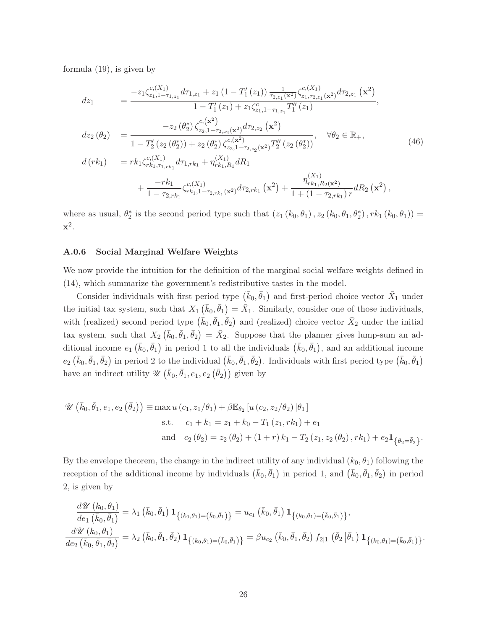formula (19), is given by

$$
dz_{1} = \frac{-z_{1}\zeta_{z_{1},1-\tau_{1,z_{1}}}^{c,(X_{1})}d\tau_{1,z_{1}} + z_{1}(1 - T'_{1}(z_{1}))\frac{1}{\tau_{2,z_{1}}(\mathbf{x}^{2})}\zeta_{z_{1},\tau_{2,z_{1}}(\mathbf{x}^{2})}^{c,(X_{1})}d\tau_{2,z_{1}}(\mathbf{x}^{2})}{1 - T'_{1}(z_{1}) + z_{1}\zeta_{z_{1},1-\tau_{1,z_{1}}}^{c}T''_{1}(z_{1})},
$$
\n
$$
dz_{2}(\theta_{2}) = \frac{-z_{2}(\theta_{2}^{*})\zeta_{z_{2},1-\tau_{2,z_{2}}(\mathbf{x}^{2})}^{c,(X^{2})}d\tau_{2,z_{2}}(\mathbf{x}^{2})}{1 - T'_{2}(z_{2}(\theta_{2}^{*})) + z_{2}(\theta_{2}^{*})\zeta_{z_{2},1-\tau_{2,z_{2}}(\mathbf{x}^{2})}T''_{2}(z_{2}(\theta_{2}^{*}))}, \quad \forall \theta_{2} \in \mathbb{R}_{+},
$$
\n
$$
d(rk_{1}) = r k_{1}\zeta_{rk_{1},\tau_{1,rk_{1}}}^{c,(X_{1})}d\tau_{1,rk_{1}} + \eta_{rk_{1},R_{1}}^{(X_{1})}dR_{1} + \frac{-rk_{1}}{1 - \tau_{2,rk_{1}}}\zeta_{rk_{1},1-\tau_{2,rk_{1}}(\mathbf{x}^{2})}d\tau_{2,rk_{1}}(\mathbf{x}^{2}) + \frac{\eta_{rk_{1},R_{2}(\mathbf{x}^{2})}^{(X_{1})}}{1 + (1 - \tau_{2,rk_{1}})}r dR_{2}(\mathbf{x}^{2}),
$$
\n(46)

where as usual,  $\theta_2^*$  is the second period type such that  $(z_1 (k_0, \theta_1), z_2 (k_0, \theta_1, \theta_2^*), rk_1 (k_0, \theta_1)) =$ **x**2.

#### A.0.6 Social Marginal Welfare Weights

We now provide the intuition for the definition of the marginal social welfare weights defined in (14), which summarize the government's redistributive tastes in the model.

Consider individuals with first period type  $(\bar{k}_0, \bar{\theta}_1)$  and first-period choice vector  $\bar{X}_1$  under the initial tax system, such that  $X_1(\bar{k}_0, \bar{\theta}_1) = \bar{X}_1$ . Similarly, consider one of those individuals, with (realized) second period type  $(\bar{k}_0, \bar{\theta}_1, \bar{\theta}_2)$  and (realized) choice vector  $\bar{X}_2$  under the initial tax system, such that  $X_2(\bar{k}_0, \bar{\theta}_1, \bar{\theta}_2) = \bar{X}_2$ . Suppose that the planner gives lump-sum an additional income  $e_1(\bar{k}_0, \bar{\theta}_1)$  in period 1 to all the individuals  $(\bar{k}_0, \bar{\theta}_1)$ , and an additional income  $e_2(\bar{k}_0, \bar{\theta}_1, \bar{\theta}_2)$  in period 2 to the individual  $(\bar{k}_0, \bar{\theta}_1, \bar{\theta}_2)$ . Individuals with first period type  $(\bar{k}_0, \bar{\theta}_1)$ have an indirect utility  $\mathscr{U}(\bar{k}_0, \bar{\theta}_1, e_1, e_2 (\bar{\theta}_2))$  given by

$$
\mathscr{U}\left(\bar{k}_{0}, \bar{\theta}_{1}, e_{1}, e_{2}\left(\bar{\theta}_{2}\right)\right) \equiv \max u\left(c_{1}, z_{1}/\theta_{1}\right) + \beta \mathbb{E}_{\theta_{2}}\left[u\left(c_{2}, z_{2}/\theta_{2}\right)|\theta_{1}\right]
$$
\ns.t.  $c_{1} + k_{1} = z_{1} + k_{0} - T_{1}\left(z_{1}, rk_{1}\right) + e_{1}$   
\nand  $c_{2}\left(\theta_{2}\right) = z_{2}\left(\theta_{2}\right) + \left(1 + r\right)k_{1} - T_{2}\left(z_{1}, z_{2}\left(\theta_{2}\right), rk_{1}\right) + e_{2}\mathbf{1}_{\left\{\theta_{2} = \bar{\theta}_{2}\right\}}.$ 

By the envelope theorem, the change in the indirect utility of any individual  $(k_0, \theta_1)$  following the reception of the additional income by individuals  $(\bar{k}_0, \bar{\theta}_1)$  in period 1, and  $(\bar{k}_0, \bar{\theta}_1, \bar{\theta}_2)$  in period 2, is given by

$$
\frac{d\mathscr{U}(k_0, \theta_1)}{de_1(\bar{k}_0, \bar{\theta}_1)} = \lambda_1 (\bar{k}_0, \bar{\theta}_1) \mathbf{1}_{\{(k_0, \theta_1) = (\bar{k}_0, \bar{\theta}_1)\}} = u_{c_1}(\bar{k}_0, \bar{\theta}_1) \mathbf{1}_{\{(k_0, \theta_1) = (\bar{k}_0, \bar{\theta}_1)\}} ,
$$
\n
$$
\frac{d\mathscr{U}(k_0, \theta_1)}{de_2(\bar{k}_0, \bar{\theta}_1, \bar{\theta}_2)} = \lambda_2 (\bar{k}_0, \bar{\theta}_1, \bar{\theta}_2) \mathbf{1}_{\{(k_0, \theta_1) = (\bar{k}_0, \bar{\theta}_1)\}} = \beta u_{c_2}(\bar{k}_0, \bar{\theta}_1, \bar{\theta}_2) f_{2|1}(\bar{\theta}_2 | \bar{\theta}_1) \mathbf{1}_{\{(k_0, \theta_1) = (\bar{k}_0, \bar{\theta}_1)\}}.
$$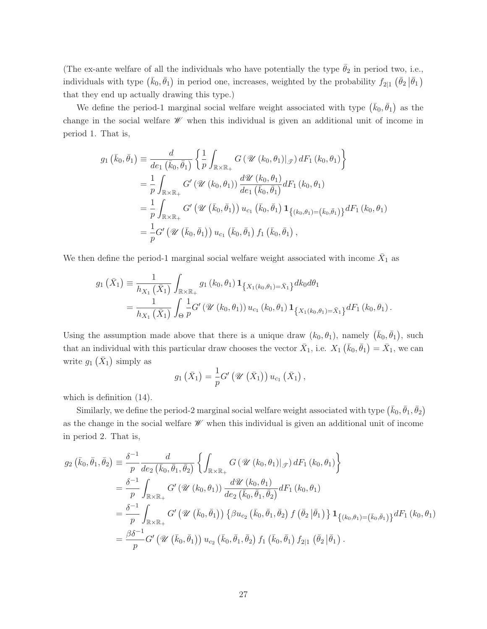(The ex-ante welfare of all the individuals who have potentially the type  $\bar{\theta}_2$  in period two, i.e., individuals with type  $(\bar{k}_0, \bar{\theta}_1)$  in period one, increases, weighted by the probability  $f_{2|1}$   $(\bar{\theta}_2 | \bar{\theta}_1)$ that they end up actually drawing this type.)

We define the period-1 marginal social welfare weight associated with type  $(\bar{k}_0, \bar{\theta}_1)$  as the change in the social welfare  $\mathscr W$  when this individual is given an additional unit of income in period 1. That is,

$$
g_1(\bar{k}_0, \bar{\theta}_1) \equiv \frac{d}{de_1(\bar{k}_0, \bar{\theta}_1)} \left\{ \frac{1}{p} \int_{\mathbb{R} \times \mathbb{R}_+} G(\mathcal{U}(k_0, \theta_1)|_{\mathcal{J}}) dF_1(k_0, \theta_1) \right\}
$$
  
\n
$$
= \frac{1}{p} \int_{\mathbb{R} \times \mathbb{R}_+} G'(\mathcal{U}(k_0, \theta_1)) \frac{d\mathcal{U}(k_0, \theta_1)}{de_1(\bar{k}_0, \bar{\theta}_1)} dF_1(k_0, \theta_1)
$$
  
\n
$$
= \frac{1}{p} \int_{\mathbb{R} \times \mathbb{R}_+} G'(\mathcal{U}(\bar{k}_0, \bar{\theta}_1)) u_{c_1}(\bar{k}_0, \bar{\theta}_1) \mathbf{1}_{\{(k_0, \theta_1) = (\bar{k}_0, \bar{\theta}_1)\}} dF_1(k_0, \theta_1)
$$
  
\n
$$
= \frac{1}{p} G'(\mathcal{U}(\bar{k}_0, \bar{\theta}_1)) u_{c_1}(\bar{k}_0, \bar{\theta}_1) f_1(\bar{k}_0, \bar{\theta}_1),
$$

We then define the period-1 marginal social welfare weight associated with income  $\bar{X}_1$  as

$$
g_1\left(\bar{X}_1\right) \equiv \frac{1}{h_{X_1}\left(\bar{X}_1\right)} \int_{\mathbb{R} \times \mathbb{R}_+} g_1\left(k_0, \theta_1\right) \mathbf{1}_{\left\{X_1\left(k_0, \theta_1\right) = \bar{X}_1\right\}} dk_0 d\theta_1
$$
  
= 
$$
\frac{1}{h_{X_1}\left(\bar{X}_1\right)} \int_{\Theta} \frac{1}{p} G'\left(\mathcal{U}\left(k_0, \theta_1\right)\right) u_{c_1}\left(k_0, \theta_1\right) \mathbf{1}_{\left\{X_1\left(k_0, \theta_1\right) = \bar{X}_1\right\}} dF_1\left(k_0, \theta_1\right).
$$

Using the assumption made above that there is a unique draw  $(k_0, \theta_1)$ , namely  $(\bar{k}_0, \bar{\theta}_1)$ , such that an individual with this particular draw chooses the vector  $\bar{X}_1$ , i.e.  $X_1(\bar{k}_0, \bar{\theta}_1) = \bar{X}_1$ , we can write  $g_1(\bar{X}_1)$  simply as

$$
g_1\left(\bar{X}_1\right) = \frac{1}{p} G'\left(\mathscr{U}\left(\bar{X}_1\right)\right) u_{c_1}\left(\bar{X}_1\right),
$$

which is definition (14).

Similarly, we define the period-2 marginal social welfare weight associated with type  $(\bar{k}_0,\bar{\theta}_1,\bar{\theta}_2)$ as the change in the social welfare  $\mathscr W$  when this individual is given an additional unit of income in period 2. That is,

$$
g_2(\bar{k}_0, \bar{\theta}_1, \bar{\theta}_2) \equiv \frac{\delta^{-1}}{p} \frac{d}{de_2(\bar{k}_0, \bar{\theta}_1, \bar{\theta}_2)} \left\{ \int_{\mathbb{R} \times \mathbb{R}_+} G(\mathcal{U}(k_0, \theta_1)|_{\mathcal{J}}) dF_1(k_0, \theta_1) \right\}
$$
  
\n
$$
= \frac{\delta^{-1}}{p} \int_{\mathbb{R} \times \mathbb{R}_+} G'(\mathcal{U}(k_0, \theta_1)) \frac{d\mathcal{U}(k_0, \theta_1)}{de_2(\bar{k}_0, \bar{\theta}_1, \bar{\theta}_2)} dF_1(k_0, \theta_1)
$$
  
\n
$$
= \frac{\delta^{-1}}{p} \int_{\mathbb{R} \times \mathbb{R}_+} G'(\mathcal{U}(k_0, \bar{\theta}_1)) \left\{ \beta u_{c_2}(\bar{k}_0, \bar{\theta}_1, \bar{\theta}_2) f(\bar{\theta}_2 | \bar{\theta}_1) \right\} \mathbf{1}_{\{(k_0, \theta_1) = (\bar{k}_0, \bar{\theta}_1) \}} dF_1(k_0, \theta_1)
$$
  
\n
$$
= \frac{\beta \delta^{-1}}{p} G'(\mathcal{U}(\bar{k}_0, \bar{\theta}_1)) u_{c_2}(\bar{k}_0, \bar{\theta}_1, \bar{\theta}_2) f_1(\bar{k}_0, \bar{\theta}_1) f_{2|1}(\bar{\theta}_2 | \bar{\theta}_1).
$$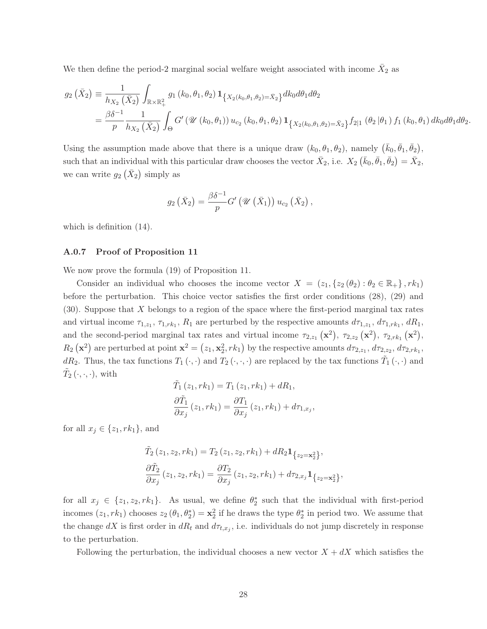We then define the period-2 marginal social welfare weight associated with income  $X_2$  as

$$
g_2\left(\bar{X}_2\right) = \frac{1}{h_{X_2}\left(\bar{X}_2\right)} \int_{\mathbb{R}\times\mathbb{R}_+^2} g_1\left(k_0, \theta_1, \theta_2\right) \mathbf{1}_{\left\{X_2\left(k_0, \theta_1, \theta_2\right) = \bar{X}_2\right\}} dk_0 d\theta_1 d\theta_2
$$
  
=  $\frac{\beta \delta^{-1}}{p} \frac{1}{h_{X_2}\left(\bar{X}_2\right)} \int_{\Theta} G'\left(\mathcal{U}\left(k_0, \theta_1\right)\right) u_{c_2}\left(k_0, \theta_1, \theta_2\right) \mathbf{1}_{\left\{X_2\left(k_0, \theta_1, \theta_2\right) = \bar{X}_2\right\}} f_{2|1}\left(\theta_2 \left|\theta_1\right.\right) f_1\left(k_0, \theta_1\right) dk_0 d\theta_1 d\theta_2.$ 

Using the assumption made above that there is a unique draw  $(k_0, \theta_1, \theta_2)$ , namely  $(\bar{k}_0, \bar{\theta}_1, \bar{\theta}_2)$ , such that an individual with this particular draw chooses the vector  $\bar{X}_2$ , i.e.  $X_2(\bar{k}_0, \bar{\theta}_1, \bar{\theta}_2) = \bar{X}_2$ , we can write  $g_2(\bar{X}_2)$  simply as

$$
g_2\left(\bar{X}_2\right) = \frac{\beta \delta^{-1}}{p} G'\left(\mathcal{U}\left(\bar{X}_1\right)\right) u_{c_2}\left(\bar{X}_2\right),
$$

which is definition (14).

#### A.0.7 Proof of Proposition 11

We now prove the formula (19) of Proposition 11.

Consider an individual who chooses the income vector  $X = (z_1, \{z_2(\theta_2) : \theta_2 \in \mathbb{R}_+ \}, rk_1)$ before the perturbation. This choice vector satisfies the first order conditions (28), (29) and  $(30)$ . Suppose that X belongs to a region of the space where the first-period marginal tax rates and virtual income  $\tau_{1,z_1}, \tau_{1,rk_1}, R_1$  are perturbed by the respective amounts  $d\tau_{1,z_1}, d\tau_{1,rk_1}, dR_1$ , and the second-period marginal tax rates and virtual income  $\tau_{2,z_1}(\mathbf{x}^2)$ ,  $\tau_{2,z_2}(\mathbf{x}^2)$ ,  $\tau_{2,rk_1}(\mathbf{x}^2)$ ,  $R_2(\mathbf{x}^2)$  are perturbed at point  $\mathbf{x}^2 = (z_1, \mathbf{x}_2^2, rk_1)$  by the respective amounts  $d\tau_{2,z_1}, d\tau_{2,z_2}, d\tau_{2,rk_1}$ , dR<sub>2</sub>. Thus, the tax functions  $T_1(\cdot, \cdot)$  and  $T_2(\cdot, \cdot, \cdot)$  are replaced by the tax functions  $\tilde{T}_1(\cdot, \cdot)$  and  $\tilde{T}_2\left(\cdot,\cdot,\cdot\right)$ , with

$$
\tilde{T}_1(z_1, rk_1) = T_1(z_1, rk_1) + dR_1,
$$
  
\n
$$
\frac{\partial \tilde{T}_1}{\partial x_j}(z_1, rk_1) = \frac{\partial T_1}{\partial x_j}(z_1, rk_1) + d\tau_{1,x_j},
$$

for all  $x_j \in \{z_1, rk_1\}$ , and

$$
\tilde{T}_2(z_1, z_2, rk_1) = T_2(z_1, z_2, rk_1) + dR_2 \mathbf{1}_{\{z_2 = \mathbf{x}_2^2\}},
$$
\n
$$
\frac{\partial \tilde{T}_2}{\partial x_j}(z_1, z_2, rk_1) = \frac{\partial T_2}{\partial x_j}(z_1, z_2, rk_1) + d\tau_{2, x_j} \mathbf{1}_{\{z_2 = \mathbf{x}_2^2\}},
$$

for all  $x_j \in \{z_1, z_2, rk_1\}$ . As usual, we define  $\theta_2^*$  such that the individual with first-period incomes  $(z_1, rk_1)$  chooses  $z_2$   $(\theta_1, \theta_2^*) = \mathbf{x}_2^2$  if he draws the type  $\theta_2^*$  in period two. We assume that the change dX is first order in  $dR_t$  and  $d\tau_{t,x_j}$ , i.e. individuals do not jump discretely in response to the perturbation.

Following the perturbation, the individual chooses a new vector  $X + dX$  which satisfies the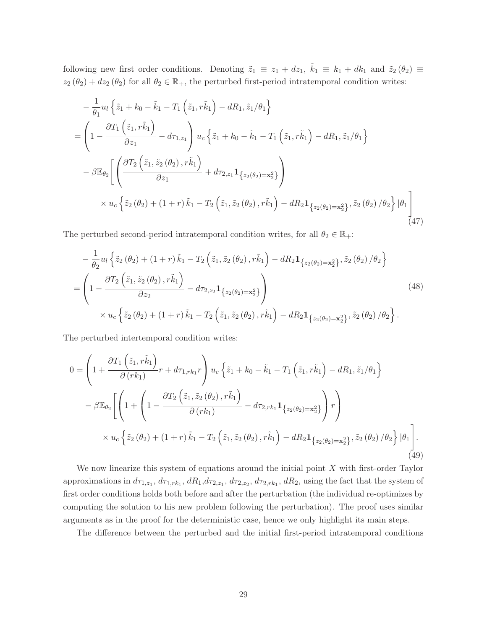following new first order conditions. Denoting  $\tilde{z}_1 \equiv z_1 + dz_1$ ,  $\tilde{k}_1 \equiv k_1 + dk_1$  and  $\tilde{z}_2(\theta_2) \equiv$  $z_2 (\theta_2) + dz_2 (\theta_2)$  for all  $\theta_2 \in \mathbb{R}_+$ , the perturbed first-period intratemporal condition writes:

$$
-\frac{1}{\theta_{1}}u_{l}\left\{\tilde{z}_{1}+k_{0}-\tilde{k}_{1}-T_{1}\left(\tilde{z}_{1},\tilde{r}\tilde{k}_{1}\right)-dR_{1},\tilde{z}_{1}/\theta_{1}\right\}
$$
\n
$$
=\left(1-\frac{\partial T_{1}\left(\tilde{z}_{1},\tilde{r}\tilde{k}_{1}\right)}{\partial z_{1}}-d\tau_{1,z_{1}}\right)u_{c}\left\{\tilde{z}_{1}+k_{0}-\tilde{k}_{1}-T_{1}\left(\tilde{z}_{1},\tilde{r}\tilde{k}_{1}\right)-dR_{1},\tilde{z}_{1}/\theta_{1}\right\}
$$
\n
$$
-\beta\mathbb{E}_{\theta_{2}}\left[\left(\frac{\partial T_{2}\left(\tilde{z}_{1},\tilde{z}_{2}\left(\theta_{2}\right),\tilde{r}\tilde{k}_{1}\right)}{\partial z_{1}}+d\tau_{2,z_{1}}\mathbf{1}_{\left\{z_{2}\left(\theta_{2}\right)=\mathbf{x}_{2}^{2}\right\}}\right)\right]
$$
\n
$$
\times u_{c}\left\{\tilde{z}_{2}\left(\theta_{2}\right)+(1+r)\tilde{k}_{1}-T_{2}\left(\tilde{z}_{1},\tilde{z}_{2}\left(\theta_{2}\right),\tilde{r}\tilde{k}_{1}\right)-dR_{2}\mathbf{1}_{\left\{z_{2}\left(\theta_{2}\right)=\mathbf{x}_{2}^{2}\right\}},\tilde{z}_{2}\left(\theta_{2}\right)/\theta_{2}\right\}|\theta_{1}\right)
$$
\n(47)

The perturbed second-period intratemporal condition writes, for all  $\theta_2 \in \mathbb{R}_+$ :

$$
-\frac{1}{\theta_2} u_l \left\{ \tilde{z}_2 \left( \theta_2 \right) + \left( 1 + r \right) \tilde{k}_1 - T_2 \left( \tilde{z}_1, \tilde{z}_2 \left( \theta_2 \right), r \tilde{k}_1 \right) - dR_2 \mathbf{1}_{\{ z_2(\theta_2) = \mathbf{x}_2^2 \}}, \tilde{z}_2 \left( \theta_2 \right) / \theta_2 \right\}
$$
\n
$$
= \left( 1 - \frac{\partial T_2 \left( \tilde{z}_1, \tilde{z}_2 \left( \theta_2 \right), r \tilde{k}_1 \right)}{\partial z_2} - d\tau_{2, z_2} \mathbf{1}_{\{ z_2(\theta_2) = \mathbf{x}_2^2 \}} \right) \times u_c \left\{ \tilde{z}_2 \left( \theta_2 \right) + \left( 1 + r \right) \tilde{k}_1 - T_2 \left( \tilde{z}_1, \tilde{z}_2 \left( \theta_2 \right), r \tilde{k}_1 \right) - dR_2 \mathbf{1}_{\{ z_2(\theta_2) = \mathbf{x}_2^2 \}}, \tilde{z}_2 \left( \theta_2 \right) / \theta_2 \right\}. \tag{48}
$$

The perturbed intertemporal condition writes:

$$
0 = \left(1 + \frac{\partial T_1(\tilde{z}_1, r\tilde{k}_1)}{\partial (rk_1)}r + d\tau_{1, rk_1}r\right)u_c\left\{\tilde{z}_1 + k_0 - \tilde{k}_1 - T_1(\tilde{z}_1, r\tilde{k}_1) - dR_1, \tilde{z}_1/\theta_1\right\}
$$

$$
-\beta \mathbb{E}_{\theta_2}\left[\left(1 + \left(1 - \frac{\partial T_2(\tilde{z}_1, \tilde{z}_2(\theta_2), r\tilde{k}_1)}{\partial (rk_1)} - d\tau_{2, rk_1}1_{\{z_2(\theta_2) = \mathbf{x}_2^2\}}\right)r\right)\right]
$$

$$
\times u_c\left\{\tilde{z}_2(\theta_2) + (1+r)\tilde{k}_1 - T_2(\tilde{z}_1, \tilde{z}_2(\theta_2), r\tilde{k}_1) - dR_21_{\{z_2(\theta_2) = \mathbf{x}_2^2\}}, \tilde{z}_2(\theta_2)/\theta_2\right\}|\theta_1\right].
$$
(49)

We now linearize this system of equations around the initial point  $X$  with first-order Taylor approximations in  $d\tau_{1,z_1}$ ,  $d\tau_{1,rk_1}$ ,  $dR_1$ ,  $d\tau_{2,z_1}$ ,  $d\tau_{2,z_2}$ ,  $d\tau_{2,rk_1}$ ,  $dR_2$ , using the fact that the system of first order conditions holds both before and after the perturbation (the individual re-optimizes by computing the solution to his new problem following the perturbation). The proof uses similar arguments as in the proof for the deterministic case, hence we only highlight its main steps.

The difference between the perturbed and the initial first-period intratemporal conditions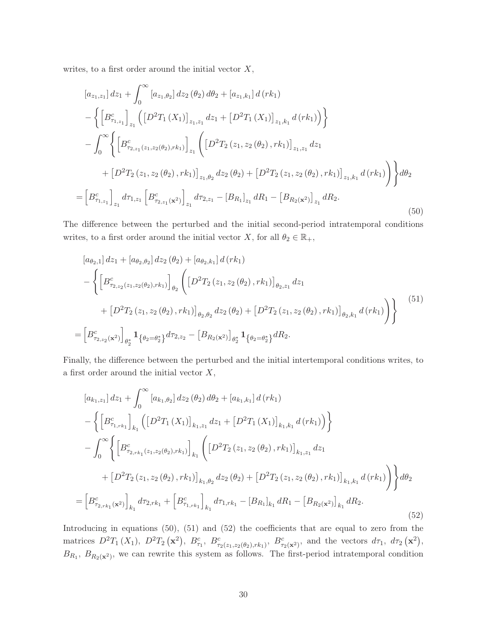writes, to a first order around the initial vector  $X$ ,

$$
[a_{z_1,z_1}] dz_1 + \int_0^\infty [a_{z_1,\theta_2}] dz_2 (\theta_2) d\theta_2 + [a_{z_1,k_1}] d(rk_1)
$$
  
\n
$$
- \left\{ \left[ B^c_{\tau_{1,z_1}} \right]_{z_1} \left( \left[ D^2 T_1(X_1) \right]_{z_1,z_1} dz_1 + \left[ D^2 T_1(X_1) \right]_{z_1,k_1} d(rk_1) \right) \right\}
$$
  
\n
$$
- \int_0^\infty \left\{ \left[ B^c_{\tau_{2,z_1}(z_1,z_2(\theta_2),rk_1)} \right]_{z_1} \left( \left[ D^2 T_2(z_1,z_2(\theta_2),rk_1) \right]_{z_1,z_1} dz_1 + \left[ D^2 T_2(z_1,z_2(\theta_2),rk_1) \right]_{z_1,\theta_2} dz_2 (\theta_2) + \left[ D^2 T_2(z_1,z_2(\theta_2),rk_1) \right]_{z_1,k_1} d(rk_1) \right) \right\} d\theta_2
$$
  
\n
$$
= \left[ B^c_{\tau_{1,z_1}} \right]_{z_1} d\tau_{1,z_1} \left[ B^c_{\tau_{2,z_1}(x^2)} \right]_{z_1} d\tau_{2,z_1} - [B_{R_1}]_{z_1} dR_1 - [B_{R_2(x^2)}]_{z_1} dR_2.
$$
  
\n(50)

The difference between the perturbed and the initial second-period intratemporal conditions writes, to a first order around the initial vector X, for all  $\theta_2 \in \mathbb{R}_+$ ,

$$
[a_{\theta_2,1}] dz_1 + [a_{\theta_2,\theta_2}] dz_2 (\theta_2) + [a_{\theta_2,k_1}] d (rk_1)
$$
  
 
$$
- \left\{ \left[ B_{\tau_{2,z_2}(z_1,z_2(\theta_2),rk_1)}^c \right]_{\theta_2} \left( \left[ D^2 T_2(z_1,z_2(\theta_2),rk_1) \right]_{\theta_2,z_1} dz_1 + \left[ D^2 T_2(z_1,z_2(\theta_2),rk_1) \right]_{\theta_2,\theta_2} dz_2 (\theta_2) + \left[ D^2 T_2(z_1,z_2(\theta_2),rk_1) \right]_{\theta_2,k_1} d (rk_1) \right) \right\}
$$
  
\n
$$
= \left[ B_{\tau_{2,z_2}(\mathbf{x}^2)}^c \right]_{\theta_2^*} \mathbf{1}_{\left\{ \theta_2 = \theta_2^* \right\}} d\tau_{2,z_2} - \left[ B_{R_2(\mathbf{x}^2)} \right]_{\theta_2^*} \mathbf{1}_{\left\{ \theta_2 = \theta_2^* \right\}} dR_2.
$$
  
\n(51)

Finally, the difference between the perturbed and the initial intertemporal conditions writes, to a first order around the initial vector  $X$ ,

$$
[a_{k_1,z_1}] dz_1 + \int_0^\infty [a_{k_1,\theta_2}] dz_2 (\theta_2) d\theta_2 + [a_{k_1,k_1}] d(rk_1)
$$
  
 
$$
- \left\{ \left[ B^c_{\tau_{1,rk_1}} \right]_{k_1} \left( \left[ D^2 T_1 (X_1) \right]_{k_1,z_1} dz_1 + \left[ D^2 T_1 (X_1) \right]_{k_1,k_1} d(rk_1) \right) \right\}
$$
  
 
$$
- \int_0^\infty \left\{ \left[ B^c_{\tau_{2,rk_1}(z_1,z_2(\theta_2),rk_1)} \right]_{k_1} \left( \left[ D^2 T_2 (z_1,z_2(\theta_2),rk_1) \right]_{k_1,z_1} dz_1 + \left[ D^2 T_2 (z_1,z_2(\theta_2),rk_1) \right]_{k_1,\theta_2} dz_2 (\theta_2) + \left[ D^2 T_2 (z_1,z_2(\theta_2),rk_1) \right]_{k_1,k_1} d(rk_1) \right) \right\} d\theta_2
$$
  
 
$$
= \left[ B^c_{\tau_{2,rk_1}(\mathbf{x}^2)} \right]_{k_1} d\tau_{2,rk_1} + \left[ B^c_{\tau_{1,rk_1}} \right]_{k_1} d\tau_{1,rk_1} - [B_{R_1}]_{k_1} dR_1 - [B_{R_2(\mathbf{x}^2)}]_{k_1} dR_2.
$$
  
(52)

Introducing in equations (50), (51) and (52) the coefficients that are equal to zero from the matrices  $D^2T_1(X_1)$ ,  $D^2T_2(\mathbf{x}^2)$ ,  $B^c_{\tau_1}$ ,  $B^c_{\tau_2(z_1,z_2(\theta_2),rk_1)}$ ,  $B^c_{\tau_2(\mathbf{x}^2)}$ , and the vectors  $d\tau_1$ ,  $d\tau_2(\mathbf{x}^2)$ ,  $B_{R_1}$ ,  $B_{R_2(\mathbf{x}^2)}$ , we can rewrite this system as follows. The first-period intratemporal condition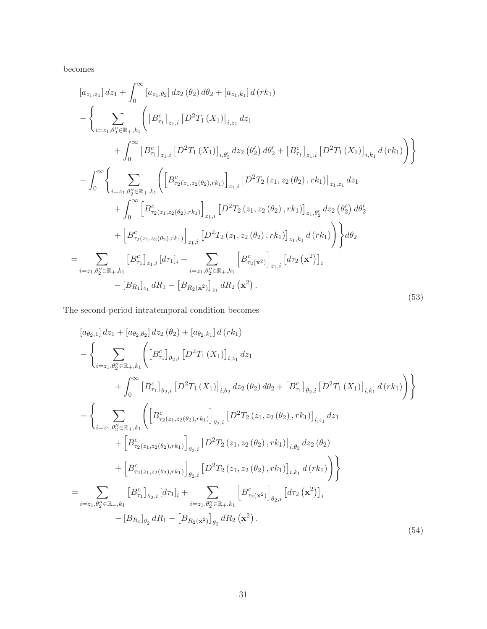becomes

$$
[a_{z_{1},z_{1}}] dz_{1} + \int_{0}^{\infty} [a_{z_{1},\theta_{2}}] dz_{2} (\theta_{2}) d\theta_{2} + [a_{z_{1},k_{1}}] d (rk_{1})
$$
  
\n
$$
- \left\{ \sum_{i=z_{1},\theta_{2}^{\prime\prime} \in \mathbb{R}_{+,k_{1}}} \left( [B_{\tau_{1}}^c]_{z_{1},i} [D^{2}T_{1}(X_{1})]_{i,z_{1}} dz_{1} + \int_{0}^{\infty} [B_{\tau_{1}}^c]_{z_{1},i} [D^{2}T_{1}(X_{1})]_{i,\theta_{2}^{\prime}} dz_{2} (\theta_{2}^{\prime}) d\theta_{2}^{\prime} + [B_{\tau_{1}}^c]_{z_{1},i} [D^{2}T_{1}(X_{1})]_{i,k_{1}} d (rk_{1}) \right) \right\}
$$
  
\n
$$
- \int_{0}^{\infty} \left\{ \sum_{i=z_{1},\theta_{2}^{\prime\prime} \in \mathbb{R}_{+,k_{1}}} \left( \left[ B_{\tau_{2}(z_{1},z_{2}(\theta_{2}),r k_{1})}^{c} \right]_{z_{1},i} [D^{2}T_{2}(z_{1},z_{2}(\theta_{2}),r k_{1})]_{z_{1},z_{1}} dz_{1} + \int_{0}^{\infty} \left[ B_{\tau_{2}(z_{1},z_{2}(\theta_{2}),r k_{1})}^{c} \right]_{z_{1},i} [D^{2}T_{2}(z_{1},z_{2}(\theta_{2}),r k_{1})]_{z_{1},\theta_{2}^{\prime}} dz_{2} (\theta_{2}^{\prime}) d\theta_{2}^{\prime} + \left[ B_{\tau_{2}(z_{1},z_{2}(\theta_{2}),r k_{1})}^{c} \right]_{z_{1},i} [D^{2}T_{2}(z_{1},z_{2}(\theta_{2}),r k_{1})]_{z_{1},k_{1}} d (rk_{1}) \right) \right\} d\theta_{2}
$$
  
\n
$$
= \sum_{i=z_{1},\theta_{2}^{\prime\prime} \in \mathbb{R}_{+,k_{1}}} [B_{\tau_{1}}^{c} \Big|_{z_{1},i} [d\tau_{1}]_{i} + \sum_{i=z_{1},\theta_{2}^{\prime\prime} \in \mathbb{
$$

The second-period intratemporal condition becomes

$$
[a_{\theta_{2},1}] dz_{1} + [a_{\theta_{2},\theta_{2}}] dz_{2} (\theta_{2}) + [a_{\theta_{2},k_{1}}] d (rk_{1})
$$
  
\n
$$
- \left\{ \sum_{i=z_{1},\theta_{2}^{\prime} \in \mathbb{R}_{+},k_{1}} \left( \left[ B_{\tau_{1}}^{c} \right]_{\theta_{2},i} \left[ D^{2}T_{1} (X_{1}) \right]_{i,z_{1}} dz_{1} \right. \\ \left. + \int_{0}^{\infty} \left[ B_{\tau_{1}}^{c} \right]_{\theta_{2},i} \left[ D^{2}T_{1} (X_{1}) \right]_{i,\theta_{2}} dz_{2} (\theta_{2}) d\theta_{2} + \left[ B_{\tau_{1}}^{c} \right]_{\theta_{2},i} \left[ D^{2}T_{1} (X_{1}) \right]_{i,k_{1}} d (rk_{1}) \right) \right\}
$$
  
\n
$$
- \left\{ \sum_{i=z_{1},\theta_{2}^{\prime} \in \mathbb{R}_{+},k_{1}} \left( \left[ B_{\tau_{2}(z_{1},z_{2}(\theta_{2}),rk_{1})}^{c} \right]_{\theta_{2},i} \left[ D^{2}T_{2} (z_{1},z_{2}(\theta_{2}),rk_{1}) \right]_{i,z_{1}} dz_{1} \right. \\ \left. + \left[ B_{\tau_{2}(z_{1},z_{2}(\theta_{2}),rk_{1})}^{c} \right]_{\theta_{2},i} \left[ D^{2}T_{2} (z_{1},z_{2}(\theta_{2}),rk_{1}) \right]_{i,\theta_{2}} dz_{2} (\theta_{2}) \right. \\ \left. + \left[ B_{\tau_{2}(z_{1},z_{2}(\theta_{2}),rk_{1})}^{c} \right]_{\theta_{2},i} \left[ D^{2}T_{2} (z_{1},z_{2}(\theta_{2}),rk_{1}) \right]_{i,k_{1}} d (rk_{1}) \right) \right\}
$$
  
\n
$$
= \sum_{i=z_{1},\theta_{2}^{\prime\prime} \in \mathbb{R}_{+},k_{1}} \left[ B_{\tau_{1}}^{c} \right]_{\theta_{2},i} [d\tau_{1}]_{i} + \sum_{i=z_{1},\theta_{2}^{\prime} \in \mathbb{R}_{+},k_{1}} \left[ B_{\tau
$$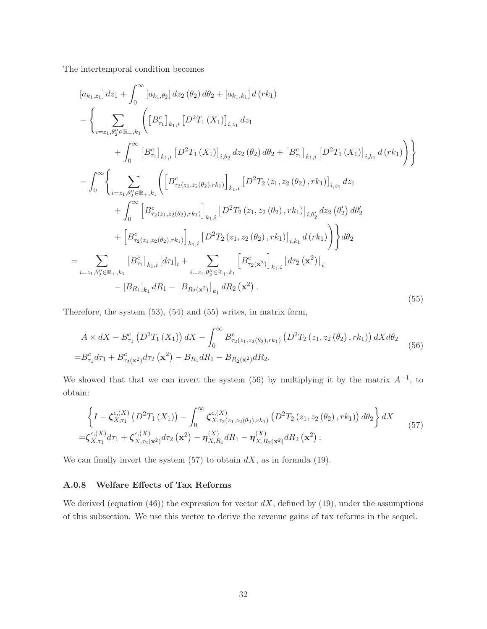The intertemporal condition becomes

$$
[a_{k_1,z_1}] dz_1 + \int_0^\infty [a_{k_1,\theta_2}] dz_2 (\theta_2) d\theta_2 + [a_{k_1,k_1}] d(rk_1)
$$
  
\n
$$
- \left\{ \sum_{i=z_1,\theta_2'' \in \mathbb{R}_+,k_1} \left( [B_{\tau_1}^c]_{k_1,i} [D^2T_1(X_1)]_{i,z_1} dz_1 + \int_0^\infty [B_{\tau_1}^c]_{k_1,i} [D^2T_1(X_1)]_{i,\theta_2} dz_2 (\theta_2) d\theta_2 + [B_{\tau_1}^c]_{k_1,i} [D^2T_1(X_1)]_{i,k_1} d(rk_1) \right) \right\}
$$
  
\n
$$
- \int_0^\infty \left\{ \sum_{i=z_1,\theta_2'' \in \mathbb{R}_+,k_1} \left( \left[ B_{\tau_2(z_1,z_2(\theta_2),rk_1)}^c \right]_{k_1,i} [D^2T_2(z_1,z_2(\theta_2),rk_1)]_{i,z_1} dz_1 + \int_0^\infty \left[ B_{\tau_2(z_1,z_2(\theta_2),rk_1)}^c \right]_{k_1,i} [D^2T_2(z_1,z_2(\theta_2),rk_1)]_{i,\theta_2'} dz_2 (\theta_2') d\theta_2' \right. \\ \left. + \left[ B_{\tau_2(z_1,z_2(\theta_2),rk_1)}^c \right]_{k_1,i} [D^2T_2(z_1,z_2(\theta_2),rk_1)]_{i,k_1} d(rk_1) \right) \right\} d\theta_2
$$
  
\n
$$
= \sum_{i=z_1,\theta_2'' \in \mathbb{R}_+,k_1} [B_{\tau_1}^c]_{k_1,i} [d\tau_1]_i + \sum_{i=z_1,\theta_2'' \in \mathbb{R}_+,k_1} [B_{\tau_2}^c(x^2)]_{k_1,i} [d\tau_2(x^2)]_i
$$
  
\n
$$
- [B_{R_1}]_{k_1} dR_1 - [B_{R_2}(x^2)]_{k_1} dR_2(x^2).
$$
 (55)

Therefore, the system (53), (54) and (55) writes, in matrix form,

$$
A \times dX - B_{\tau_1}^c \left( D^2 T_1 \left( X_1 \right) \right) dX - \int_0^\infty B_{\tau_2(z_1, z_2(\theta_2), r k_1)}^c \left( D^2 T_2 \left( z_1, z_2(\theta_2), r k_1 \right) \right) dX d\theta_2
$$
  
=  $B_{\tau_1}^c d\tau_1 + B_{\tau_2(\mathbf{x}^2)}^c d\tau_2 \left( \mathbf{x}^2 \right) - B_{R_1} dR_1 - B_{R_2(\mathbf{x}^2)} dR_2.$  (56)

We showed that that we can invert the system (56) by multiplying it by the matrix  $A^{-1}$ , to obtain:

$$
\left\{I - \zeta_{X,\tau_1}^{c,(X)}\left(D^2T_1(X_1)\right) - \int_0^\infty \zeta_{X,\tau_2(z_1,z_2(\theta_2),rk_1)}^{c,(X)}\left(D^2T_2(z_1,z_2(\theta_2),rk_1)\right)d\theta_2\right\}dX = \zeta_{X,\tau_1}^{c,(X)}d\tau_1 + \zeta_{X,\tau_2(x^2)}^{c,(X)}d\tau_2(\mathbf{x}^2) - \eta_{X,R_1}^{(X)}dR_1 - \eta_{X,R_2(x^2)}^{(X)}dR_2(\mathbf{x}^2).
$$
\n(57)

We can finally invert the system  $(57)$  to obtain  $dX$ , as in formula (19).

# A.0.8 Welfare Effects of Tax Reforms

We derived (equation (46)) the expression for vector  $dX$ , defined by (19), under the assumptions of this subsection. We use this vector to derive the revenue gains of tax reforms in the sequel.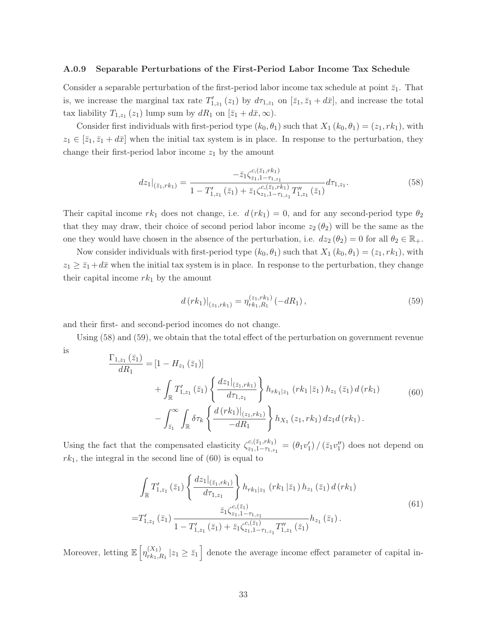#### A.0.9 Separable Perturbations of the First-Period Labor Income Tax Schedule

Consider a separable perturbation of the first-period labor income tax schedule at point  $\bar{z}_1$ . That is, we increase the marginal tax rate  $T'_{1,z_1}(z_1)$  by  $d\tau_{1,z_1}$  on  $[\bar{z}_1,\bar{z}_1+d\bar{x}]$ , and increase the total tax liability  $T_{1,z_1}(z_1)$  lump sum by  $dR_1$  on  $[\bar{z}_1 + d\bar{x}, \infty)$ .

Consider first individuals with first-period type  $(k_0, \theta_1)$  such that  $X_1 (k_0, \theta_1) = (z_1, rk_1)$ , with  $z_1 \in \overline{z_1}, \overline{z_1} + d\overline{x}$  when the initial tax system is in place. In response to the perturbation, they change their first-period labor income  $z_1$  by the amount

$$
dz_1|_{(\bar{z}_1,rk_1)} = \frac{-\bar{z}_1 \zeta_{z_1,1-\tau_{1,z_1}}^{c,(\bar{z}_1,rk_1)} }{1 - T'_{1,z_1}(\bar{z}_1) + \bar{z}_1 \zeta_{z_1,1-\tau_{1,z_1}}^{c,(\bar{z}_1,rk_1)} T''_{1,z_1}(\bar{z}_1)} d\tau_{1,z_1}.
$$
(58)

Their capital income  $rk_1$  does not change, i.e.  $d (rk_1)=0$ , and for any second-period type  $\theta_2$ that they may draw, their choice of second period labor income  $z_2$  ( $\theta_2$ ) will be the same as the one they would have chosen in the absence of the perturbation, i.e.  $dz_2 (\theta_2)=0$  for all  $\theta_2 \in \mathbb{R}_+$ .

Now consider individuals with first-period type  $(k_0, \theta_1)$  such that  $X_1 (k_0, \theta_1) = (z_1, r k_1)$ , with  $z_1 \geq \bar{z}_1 + d\bar{x}$  when the initial tax system is in place. In response to the perturbation, they change their capital income  $rk_1$  by the amount

$$
d\left(rk_1\right)|_{(z_1,rk_1)} = \eta_{rk_1,R_1}^{(z_1,rk_1)}\left(-dR_1\right),\tag{59}
$$

and their first- and second-period incomes do not change.

Using (58) and (59), we obtain that the total effect of the perturbation on government revenue is

$$
\frac{\Gamma_{1,z_1}(\bar{z}_1)}{dR_1} = [1 - H_{z_1}(\bar{z}_1)] \n+ \int_{\mathbb{R}} T'_{1,z_1}(\bar{z}_1) \left\{ \frac{dz_1|_{(\bar{z}_1,rk_1)}}{d\tau_{1,z_1}} \right\} h_{rk_1|z_1} (rk_1|\bar{z}_1) h_{z_1}(\bar{z}_1) d(rk_1) \n- \int_{\bar{z}_1}^{\infty} \int_{\mathbb{R}} \delta \tau_k \left\{ \frac{d(rk_1)|_{(z_1,rk_1)}}{-dR_1} \right\} h_{X_1}(z_1,rk_1) dz_1 d(rk_1).
$$
\n(60)

Using the fact that the compensated elasticity  $\zeta_{z_1,1-\tau_{1,z}}^{c,(\bar{z}_1,rk_1)}$  $z_{1,1-T_{1,z_1}}^{(z_1,r\kappa_1)} = (\theta_1v'_1)/(\bar{z}_1v''_1)$  does not depend on  $rk_1$ , the integral in the second line of  $(60)$  is equal to

$$
\int_{\mathbb{R}} T'_{1,z_1}(\bar{z}_1) \left\{ \frac{dz_1|_{(\bar{z}_1,rk_1)}}{d\tau_{1,z_1}} \right\} h_{rk_1|z_1} (rk_1|\bar{z}_1) h_{z_1}(\bar{z}_1) d(rk_1)
$$
\n
$$
= T'_{1,z_1}(\bar{z}_1) \frac{\bar{z}_1 \zeta_{z_1,1-\tau_{1,z_1}}^{c,(\bar{z}_1)}}{1 - T'_{1,z_1}(\bar{z}_1) + \bar{z}_1 \zeta_{z_1,1-\tau_{1,z_1}}^{c,(\bar{z}_1)} T''_{1,z_1}(\bar{z}_1)} h_{z_1}(\bar{z}_1).
$$
\n(61)

Moreover, letting  $\mathbb{E}\left[\eta_{rk_1,R_1}^{(X_1)}\middle| z_1 \geq \bar{z}_1\right]$  denote the average income effect parameter of capital in-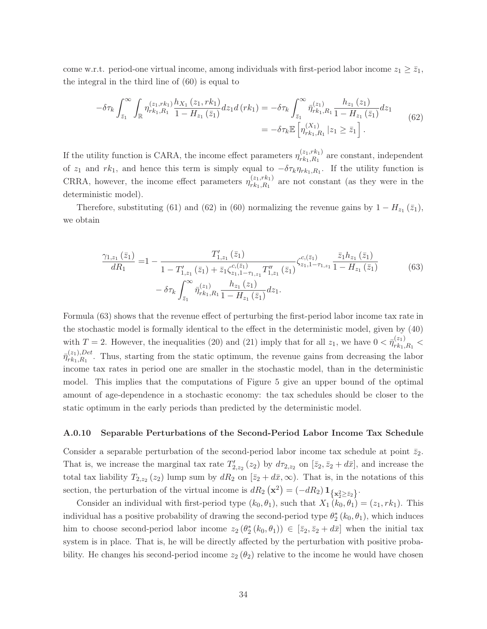come w.r.t. period-one virtual income, among individuals with first-period labor income  $z_1 \geq \bar{z}_1$ , the integral in the third line of (60) is equal to

$$
-\delta\tau_{k} \int_{\bar{z}_{1}}^{\infty} \int_{\mathbb{R}} \eta_{rk_{1},R_{1}}^{(z_{1},rk_{1})} \frac{h_{X_{1}}(z_{1},rk_{1})}{1 - H_{z_{1}}(\bar{z}_{1})} dz_{1} d(rk_{1}) = -\delta\tau_{k} \int_{\bar{z}_{1}}^{\infty} \bar{\eta}_{rk_{1},R_{1}}^{(z_{1})} \frac{h_{z_{1}}(z_{1})}{1 - H_{z_{1}}(\bar{z}_{1})} dz_{1}
$$
  

$$
= -\delta\tau_{k} \mathbb{E}\left[\eta_{rk_{1},R_{1}}^{(X_{1})} | z_{1} \geq \bar{z}_{1}\right].
$$
 (62)

If the utility function is CARA, the income effect parameters  $\eta_{rk_1,R_1}^{(z_1,r_{k_1})}$  are constant, independent of  $z_1$  and rk<sub>1</sub>, and hence this term is simply equal to  $-\delta \tau_k \eta_{rk_1,R_1}$ . If the utility function is CRRA, however, the income effect parameters  $\eta_{rk_1,R_1}^{(z_1,r_{k_1})}$  are not constant (as they were in the deterministic model).

Therefore, substituting (61) and (62) in (60) normalizing the revenue gains by  $1 - H_{z_1}(\bar{z}_1)$ , we obtain

$$
\frac{\gamma_{1,z_1}(\bar{z}_1)}{dR_1} = 1 - \frac{T'_{1,z_1}(\bar{z}_1)}{1 - T'_{1,z_1}(\bar{z}_1) + \bar{z}_1 \zeta_{z_1,1-\tau_{1,z_1}}^{\text{c},(\bar{z}_1)} T''_{1,z_1}(\bar{z}_1)} \zeta_{z_1,1-\tau_{1,z_1}}^{\text{c},(\bar{z}_1)} \frac{\bar{z}_1 h_{z_1}(\bar{z}_1)}{1 - H_{z_1}(\bar{z}_1)} -\delta \tau_k \int_{\bar{z}_1}^{\infty} \bar{\eta}_{rk_1,R_1}^{(z_1)} \frac{h_{z_1}(z_1)}{1 - H_{z_1}(\bar{z}_1)} dz_1.
$$
\n
$$
(63)
$$

Formula (63) shows that the revenue effect of perturbing the first-period labor income tax rate in the stochastic model is formally identical to the effect in the deterministic model, given by (40) with  $T = 2$ . However, the inequalities (20) and (21) imply that for all  $z_1$ , we have  $0 < \bar{\eta}_{rk_1,R_1}^{(z_1)} <$  $\bar{\eta}_{rk_1,R_1}^{(z_1),Det}$ . Thus, starting from the static optimum, the revenue gains from decreasing the labor income tax rates in period one are smaller in the stochastic model, than in the deterministic model. This implies that the computations of Figure 5 give an upper bound of the optimal amount of age-dependence in a stochastic economy: the tax schedules should be closer to the static optimum in the early periods than predicted by the deterministic model.

#### A.0.10 Separable Perturbations of the Second-Period Labor Income Tax Schedule

Consider a separable perturbation of the second-period labor income tax schedule at point  $\bar{z}_2$ . That is, we increase the marginal tax rate  $T'_{2,z_2}(z_2)$  by  $d\tau_{2,z_2}$  on  $[\bar{z}_2,\bar{z}_2+d\bar{x}]$ , and increase the total tax liability  $T_{2,z_2}(z_2)$  lump sum by  $dR_2$  on  $[\bar{z}_2 + d\bar{x}, \infty)$ . That is, in the notations of this section, the perturbation of the virtual income is  $dR_2(\mathbf{x}^2) = (-dR_2) \mathbf{1}_{\{\mathbf{x}_2^2 \ge \bar{z}_2\}}$ .

Consider an individual with first-period type  $(k_0, \theta_1)$ , such that  $X_1 (k_0, \theta_1) = (z_1, rk_1)$ . This individual has a positive probability of drawing the second-period type  $\theta_2^*(k_0, \theta_1)$ , which induces him to choose second-period labor income  $z_2(\theta_2^*(k_0, \theta_1)) \in [\bar{z}_2, \bar{z}_2 + d\bar{x}]$  when the initial tax system is in place. That is, he will be directly affected by the perturbation with positive probability. He changes his second-period income  $z_2$  ( $\theta_2$ ) relative to the income he would have chosen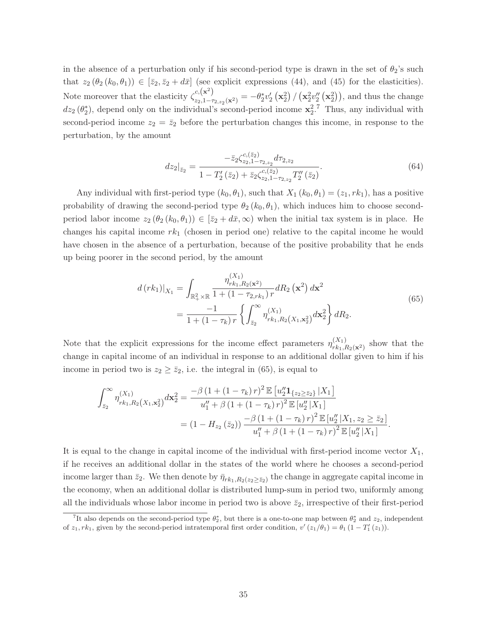in the absence of a perturbation only if his second-period type is drawn in the set of  $\theta_2$ 's such that  $z_2$   $(\theta_2 (k_0, \theta_1)) \in [\overline{z}_2, \overline{z}_2 + d\overline{x}]$  (see explicit expressions (44), and (45) for the elasticities). Note moreover that the elasticity  $\zeta_{z_2,1-\tau_{2,z_2}(\mathbf{x}^2)}^{c,(x^2)} = -\theta_2^* v_2' (x_2^2) / (x_2^2 v_2'' (x_2^2))$ , and thus the change  $dz_2$  ( $\theta_2^*$ ), depend only on the individual's second-period income  $\mathbf{x}_2^2$ .<sup>7</sup> Thus, any individual with second-period income  $z_2 = \bar{z}_2$  before the perturbation changes this income, in response to the perturbation, by the amount

$$
dz_2|_{\bar{z}_2} = \frac{-\bar{z}_2 \zeta_{z_2,1-\tau_{2,z_2}}^{c,(\bar{z}_2)} d\tau_{2,z_2}}{1 - T'_2(\bar{z}_2) + \bar{z}_2 \zeta_{z_2,1-\tau_{2,z_2}}^{c,(\bar{z}_2)} T''_2(\bar{z}_2)}.
$$
(64)

Any individual with first-period type  $(k_0, \theta_1)$ , such that  $X_1 (k_0, \theta_1) = (z_1, r k_1)$ , has a positive probability of drawing the second-period type  $\theta_2 (k_0, \theta_1)$ , which induces him to choose secondperiod labor income  $z_2 (\theta_2 (k_0, \theta_1)) \in [\bar{z}_2 + d\bar{x}, \infty)$  when the initial tax system is in place. He changes his capital income  $rk_1$  (chosen in period one) relative to the capital income he would have chosen in the absence of a perturbation, because of the positive probability that he ends up being poorer in the second period, by the amount

$$
d(rk_1)|_{X_1} = \int_{\mathbb{R}_+^2 \times \mathbb{R}} \frac{\eta_{rk_1, R_2(\mathbf{x}^2)}^{(X_1)}}{1 + (1 - \tau_{2, rk_1}) r} dR_2(\mathbf{x}^2) d\mathbf{x}^2
$$
  
= 
$$
\frac{-1}{1 + (1 - \tau_k) r} \left\{ \int_{\bar{z}_2}^{\infty} \eta_{rk_1, R_2(X_1, \mathbf{x}_2^2)}^{(X_1)} d\mathbf{x}_2^2 \right\} dR_2.
$$
 (65)

Note that the explicit expressions for the income effect parameters  $\eta_{rk_1,R_2(\mathbf{x}^2)}^{(X_1)}$  show that the change in capital income of an individual in response to an additional dollar given to him if his income in period two is  $z_2 \geq \overline{z}_2$ , i.e. the integral in (65), is equal to

$$
\int_{\bar{z}_2}^{\infty} \eta_{rk_1,R_2(X_1,x_2^2)}^{(X_1)} d\mathbf{x}_2^2 = \frac{-\beta (1 + (1 - \tau_k) r)^2 \mathbb{E} [u_2'' \mathbf{1}_{\{z_2 \ge \bar{z}_2\}} | X_1]}{u_1'' + \beta (1 + (1 - \tau_k) r)^2 \mathbb{E} [u_2'' | X_1]}
$$
  
=  $(1 - H_{z_2}(\bar{z}_2)) \frac{-\beta (1 + (1 - \tau_k) r)^2 \mathbb{E} [u_2'' | X_1, z_2 \ge \bar{z}_2]}{u_1'' + \beta (1 + (1 - \tau_k) r)^2 \mathbb{E} [u_2'' | X_1]}.$ 

It is equal to the change in capital income of the individual with first-period income vector  $X_1$ , if he receives an additional dollar in the states of the world where he chooses a second-period income larger than  $\bar{z}_2$ . We then denote by  $\bar{\eta}_{rk_1,R_2(z_2\geq \bar{z}_2)}$  the change in aggregate capital income in the economy, when an additional dollar is distributed lump-sum in period two, uniformly among all the individuals whose labor income in period two is above  $\bar{z}_2$ , irrespective of their first-period

<sup>&</sup>lt;sup>7</sup>It also depends on the second-period type  $\theta_2^*$ , but there is a one-to-one map between  $\theta_2^*$  and  $z_2$ , independent of  $z_1, rk_1$ , given by the second-period intratemporal first order condition,  $v'(z_1/\theta_1) = \theta_1 (1 - T'_1(z_1)).$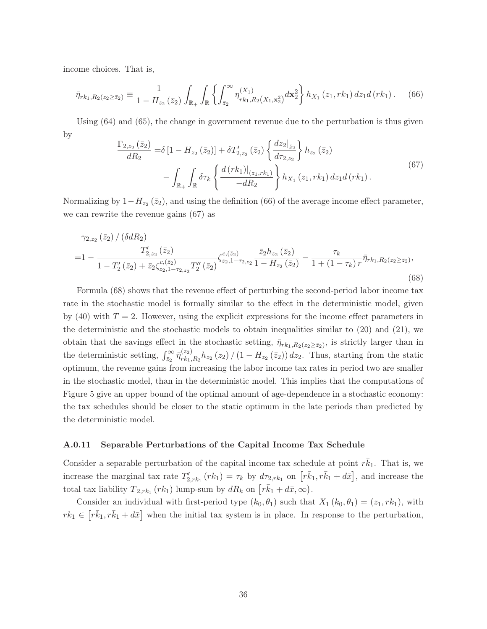income choices. That is,

$$
\bar{\eta}_{rk_1,R_2(z_2\geq \bar{z}_2)} \equiv \frac{1}{1-H_{z_2}(\bar{z}_2)} \int_{\mathbb{R}_+} \int_{\mathbb{R}} \left\{ \int_{\bar{z}_2}^{\infty} \eta_{rk_1,R_2(X_1,\mathbf{x}_2^2)}^{(X_1)} d\mathbf{x}_2^2 \right\} h_{X_1}(z_1,rk_1) dz_1 d(rk_1).
$$
 (66)

Using (64) and (65), the change in government revenue due to the perturbation is thus given by

$$
\frac{\Gamma_{2,z_2}(\bar{z}_2)}{dR_2} = \delta \left[ 1 - H_{z_2}(\bar{z}_2) \right] + \delta T'_{2,z_2}(\bar{z}_2) \left\{ \frac{dz_2|_{\bar{z}_2}}{d\tau_{2,z_2}} \right\} h_{z_2}(\bar{z}_2) \n- \int_{\mathbb{R}_+} \int_{\mathbb{R}} \delta \tau_k \left\{ \frac{d \left( rk_1 \right)|_{(z_1, rk_1)}}{-dR_2} \right\} h_{X_1}(z_1, rk_1) dz_1 d \left( rk_1 \right).
$$
\n(67)

Normalizing by  $1-H_{z_2}(\bar{z}_2)$ , and using the definition (66) of the average income effect parameter, we can rewrite the revenue gains (67) as

$$
\gamma_{2,z_2}(\bar{z}_2) / (\delta dR_2)
$$
  
=1 - 
$$
\frac{T'_{2,z_2}(\bar{z}_2)}{1 - T'_2(\bar{z}_2) + \bar{z}_2 \zeta_{z_2,1-\tau_{2,z_2}}^{c,(5_2)} T''_2(\bar{z}_2)} \zeta_{z_2,1-\tau_{2,z_2}}^{c,(5_2)} \frac{\bar{z}_2 h_{z_2}(\bar{z}_2)}{1 - H_{z_2}(\bar{z}_2)} - \frac{\tau_k}{1 + (1 - \tau_k) r} \bar{\eta}_{r k_1, R_2(z_2 \ge \bar{z}_2)},
$$
(68)

Formula (68) shows that the revenue effect of perturbing the second-period labor income tax rate in the stochastic model is formally similar to the effect in the deterministic model, given by (40) with  $T = 2$ . However, using the explicit expressions for the income effect parameters in the deterministic and the stochastic models to obtain inequalities similar to (20) and (21), we obtain that the savings effect in the stochastic setting,  $\bar{\eta}_{rk_1,R_2(z_2\geq\bar{z}_2)}$ , is strictly larger than in the deterministic setting,  $\int_{\bar{z}_2}^{\infty} \bar{\eta}_{rk_1,R_2}^{(z_2)} h_{z_2}(z_2) / (1 - H_{z_2}(\bar{z}_2)) dz_2$ . Thus, starting from the static optimum, the revenue gains from increasing the labor income tax rates in period two are smaller in the stochastic model, than in the deterministic model. This implies that the computations of Figure 5 give an upper bound of the optimal amount of age-dependence in a stochastic economy: the tax schedules should be closer to the static optimum in the late periods than predicted by the deterministic model.

#### A.0.11 Separable Perturbations of the Capital Income Tax Schedule

Consider a separable perturbation of the capital income tax schedule at point  $r\bar{k}_1$ . That is, we increase the marginal tax rate  $T'_{2,rk_1}(rk_1) = \tau_k$  by  $d\tau_{2,rk_1}$  on  $\left[r\bar{k}_1, r\bar{k}_1 + d\bar{x}\right]$ , and increase the total tax liability  $T_{2,rk_1}(rk_1)$  lump-sum by  $dR_k$  on  $\left[r\bar{k}_1 + d\bar{x}, \infty\right)$ .

Consider an individual with first-period type  $(k_0, \theta_1)$  such that  $X_1 (k_0, \theta_1) = (z_1, rk_1)$ , with  $rk_1 \in [r\bar{k}_1, r\bar{k}_1 + d\bar{x}]$  when the initial tax system is in place. In response to the perturbation,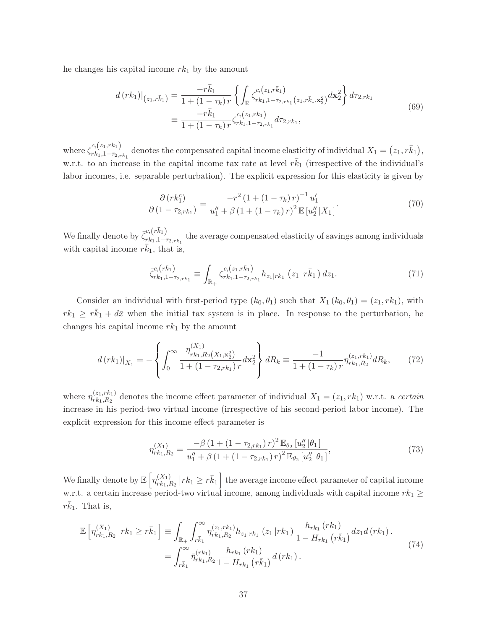he changes his capital income  $rk_1$  by the amount

$$
d\left(rk_{1}\right)\big|_{\left(z_{1},r\bar{k}_{1}\right)} = \frac{-r\bar{k}_{1}}{1+\left(1-\tau_{k}\right)r} \left\{ \int_{\mathbb{R}} \zeta_{rk_{1},1-\tau_{2},rk_{1}}^{c,\left(z_{1},r\bar{k}_{1}\right)}(z_{1},r\bar{k}_{1},x_{2}^{2}) d\mathbf{x}_{2}^{2} \right\} d\tau_{2,rk_{1}} \n\equiv \frac{-r\bar{k}_{1}}{1+\left(1-\tau_{k}\right)r} \zeta_{rk_{1},1-\tau_{2},rk_{1}}^{c,\left(z_{1},r\bar{k}_{1}\right)} d\tau_{2,rk_{1}},
$$
\n(69)

where  $\zeta_{rk_1,1-\tau_2}^{c,(z_1,\bar{r_k}_1)}$  $\begin{array}{c} c,(z_1,r\kappa_1) \ r\kappa_1, 1-\tau_2,r\kappa_1 \end{array}$  denotes the compensated capital income elasticity of individual  $X_1 = (z_1,r\bar{k}_1),$ w.r.t. to an increase in the capital income tax rate at level  $r\bar{k}_1$  (irrespective of the individual's labor incomes, i.e. separable perturbation). The explicit expression for this elasticity is given by

$$
\frac{\partial (rk_1^c)}{\partial (1 - \tau_{2,rk_1})} = \frac{-r^2 (1 + (1 - \tau_k) r)^{-1} u_1'}{u_1'' + \beta (1 + (1 - \tau_k) r)^2 \mathbb{E} [u_2'' | X_1]}.
$$
(70)

We finally denote by  $\bar{\zeta}_{rk_1,1-i}^{c, (r\bar{k}_1)}$  $r_{r1,1-\tau_{2,rk_1}}^{(n)}$  the average compensated elasticity of savings among individuals with capital income  $r\bar{k}_1$ , that is,

$$
\bar{\zeta}_{rk_1,1-\tau_2,\kappa_1}^{c,(r\bar{k}_1)} \equiv \int_{\mathbb{R}_+} \zeta_{rk_1,1-\tau_2,\kappa_1}^{c,(z_1,\bar{k}_1)} h_{z_1|r k_1} (z_1 | r\bar{k}_1) dz_1.
$$
\n(71)

Consider an individual with first-period type  $(k_0, \theta_1)$  such that  $X_1 (k_0, \theta_1) = (z_1, rk_1)$ , with  $rk_1 \geq r\bar{k}_1 + d\bar{x}$  when the initial tax system is in place. In response to the perturbation, he changes his capital income  $rk_1$  by the amount

$$
d\left(rk_1\right)|_{X_1} = -\left\{\int_0^\infty \frac{\eta_{r k_1, R_2\left(X_1, \mathbf{x}_2^2\right)}^{(X_1)}}{1 + \left(1 - \tau_{2, r k_1}\right)r} d\mathbf{x}_2^2\right\} dR_k \equiv \frac{-1}{1 + \left(1 - \tau_k\right)r} \eta_{r k_1, R_2}^{(z_1, r k_1)} dR_k,\tag{72}
$$

where  $\eta_{rk_1,R_2}^{(z_1,rk_1)}$  denotes the income effect parameter of individual  $X_1 = (z_1, rk_1)$  w.r.t. a *certain* increase in his period-two virtual income (irrespective of his second-period labor income). The explicit expression for this income effect parameter is

$$
\eta_{rk_1,R_2}^{(X_1)} = \frac{-\beta \left(1 + \left(1 - \tau_{2,rk_1}\right) r\right)^2 \mathbb{E}_{\theta_2} \left[u_2''\left|\theta_1\right.\right]}{u_1'' + \beta \left(1 + \left(1 - \tau_{2,rk_1}\right) r\right)^2 \mathbb{E}_{\theta_2} \left[u_2''\left|\theta_1\right.\right]},\tag{73}
$$

We finally denote by  $\mathbb{E}\left[\eta^{(X_1)}_{rk_1,R_2}\left|rk_1\geq r\bar{k}_1\right.\right]$  the average income effect parameter of capital income w.r.t. a certain increase period-two virtual income, among individuals with capital income  $rk_1 \geq$  $r\bar{k}_1$ . That is,

$$
\mathbb{E}\left[\eta_{rk_1,R_2}^{(X_1)}\left|rk_1\geq r\bar{k}_1\right.\right] \equiv \int_{\mathbb{R}_+} \int_{r\bar{k}_1}^{\infty} \eta_{rk_1,R_2}^{(z_1,rk_1)} h_{z_1|rk_1}\left(z_1\left|rk_1\right.\right) \frac{h_{rk_1}\left(rk_1\right)}{1-H_{rk_1}\left(r\bar{k}_1\right)} dz_1 d\left(rk_1\right).
$$
\n
$$
= \int_{r\bar{k}_1}^{\infty} \bar{\eta}_{rk_1,R_2}^{(rk_1)} \frac{h_{rk_1}\left(rk_1\right)}{1-H_{rk_1}\left(r\bar{k}_1\right)} d\left(rk_1\right).
$$
\n(74)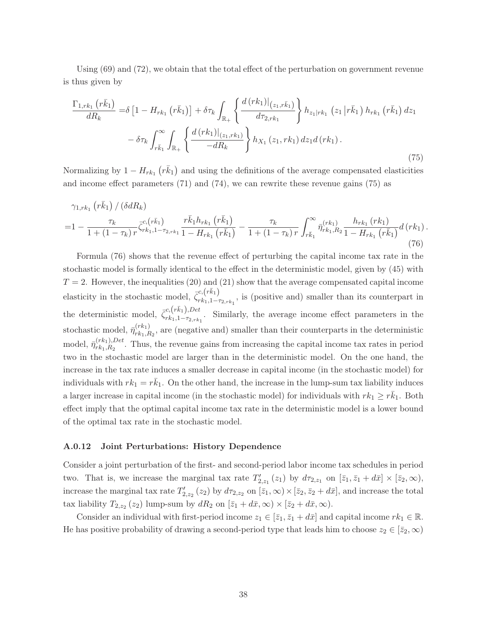Using (69) and (72), we obtain that the total effect of the perturbation on government revenue is thus given by

$$
\frac{\Gamma_{1,rk_1} (r\bar{k}_1)}{dR_k} = \delta \left[ 1 - H_{rk_1} (r\bar{k}_1) \right] + \delta \tau_k \int_{\mathbb{R}_+} \left\{ \frac{d (rk_1)|_{(z_1,r\bar{k}_1)}}{d\tau_{2,rk_1}} \right\} h_{z_1|rk_1} (z_1 |r\bar{k}_1) h_{rk_1} (r\bar{k}_1) dz_1
$$

$$
- \delta \tau_k \int_{r\bar{k}_1}^{\infty} \int_{\mathbb{R}_+} \left\{ \frac{d (rk_1)|_{(z_1,rk_1)}}{-dR_k} \right\} h_{X_1} (z_1,rk_1) dz_1 d(rk_1).
$$
\n(75)

Normalizing by  $1 - H_{rk_1}(r\bar{k}_1)$  and using the definitions of the average compensated elasticities and income effect parameters (71) and (74), we can rewrite these revenue gains (75) as

$$
\gamma_{1,rk_{1}}\left(\bar{rk}_{1}\right)/\left(\delta dR_{k}\right) = 1 - \frac{\tau_{k}}{1 + (1 - \tau_{k})r} \bar{\zeta}_{rk_{1},1-r_{2,rk_{1}}}^{c,\left(\bar{rk}_{1}\right)} \frac{r\bar{k}_{1}h_{rk_{1}}\left(r\bar{k}_{1}\right)}{1 - H_{rk_{1}}\left(r\bar{k}_{1}\right)} - \frac{\tau_{k}}{1 + (1 - \tau_{k})r} \int_{r\bar{k}_{1}}^{\infty} \bar{\eta}_{rk_{1},R_{2}}^{\left(rk_{1}\right)} \frac{h_{rk_{1}}\left(rk_{1}\right)}{1 - H_{rk_{1}}\left(r\bar{k}_{1}\right)} d\left(rk_{1}\right). \tag{76}
$$

Formula (76) shows that the revenue effect of perturbing the capital income tax rate in the stochastic model is formally identical to the effect in the deterministic model, given by (45) with  $T = 2$ . However, the inequalities (20) and (21) show that the average compensated capital income elasticity in the stochastic model,  $\bar{\zeta}_{rk_1,1-i}^{c, (r\bar{k}_1)}$  $r_{k_1,1-\tau_{2,rk_1}}^{(n)}$ , is (positive and) smaller than its counterpart in the deterministic model,  $\bar{\zeta}_{rk_1,1-\tau_{2,1}}^{c,(\bar{r}\bar{k}_1),Det}$  $r_{k_1,1-\tau_{2,rk_1}}$ . Similarly, the average income effect parameters in the stochastic model,  $\bar{\eta}_{rk_1,R_2}^{(rk_1)}$ , are (negative and) smaller than their counterparts in the deterministic model,  $\bar{\eta}_{rk_1,R_2}^{(rk_1),Det}$ . Thus, the revenue gains from increasing the capital income tax rates in period two in the stochastic model are larger than in the deterministic model. On the one hand, the increase in the tax rate induces a smaller decrease in capital income (in the stochastic model) for individuals with  $rk_1 = r\bar{k}_1$ . On the other hand, the increase in the lump-sum tax liability induces a larger increase in capital income (in the stochastic model) for individuals with  $rk_1 \geq r\bar{k}_1$ . Both effect imply that the optimal capital income tax rate in the deterministic model is a lower bound of the optimal tax rate in the stochastic model.

## A.0.12 Joint Perturbations: History Dependence

Consider a joint perturbation of the first- and second-period labor income tax schedules in period two. That is, we increase the marginal tax rate  $T'_{2,z_1}(z_1)$  by  $d\tau_{2,z_1}$  on  $[\bar{z}_1,\bar{z}_1+d\bar{x}] \times [\bar{z}_2,\infty)$ , increase the marginal tax rate  $T'_{2,z_2}(z_2)$  by  $d\tau_{2,z_2}$  on  $[\bar{z}_1,\infty)\times[\bar{z}_2,\bar{z}_2+d\bar{x}]$ , and increase the total tax liability  $T_{2,z_2}(z_2)$  lump-sum by  $dR_2$  on  $[\bar{z}_1 + d\bar{x}, \infty) \times [\bar{z}_2 + d\bar{x}, \infty)$ .

Consider an individual with first-period income  $z_1 \in [\bar{z}_1, \bar{z}_1 + d\bar{x}]$  and capital income  $rk_1 \in \mathbb{R}$ . He has positive probability of drawing a second-period type that leads him to choose  $z_2 \in [\bar{z}_2, \infty)$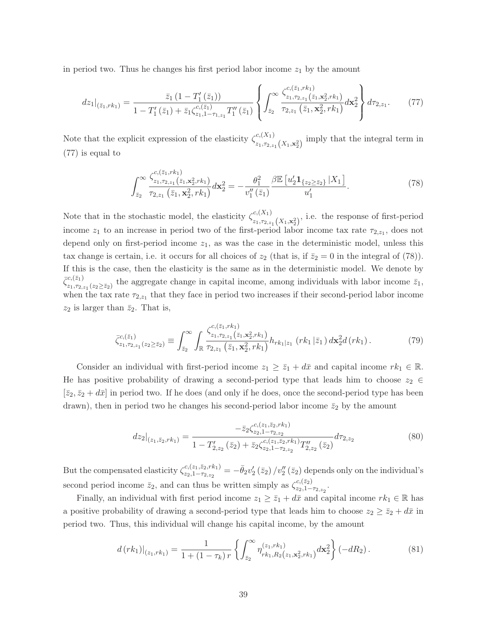in period two. Thus he changes his first period labor income  $z<sub>1</sub>$  by the amount

$$
dz_1|_{(\bar{z}_1,rk_1)} = \frac{\bar{z}_1(1-T'_1(\bar{z}_1))}{1-T'_1(\bar{z}_1)+\bar{z}_1\zeta_{z_1,1-\tau_{1,z_1}}^{c,(\bar{z}_1)}T''_1(\bar{z}_1)} \left\{ \int_{\bar{z}_2}^{\infty} \frac{\zeta_{z_1,\tau_{2,z_1}}^{c,(\bar{z}_1,rk_1)}(\bar{z}_1,\mathbf{x}_2^2,rk_1)}{\tau_{2,z_1}(\bar{z}_1,\mathbf{x}_2^2,rk_1)} d\mathbf{x}_2^2 \right\} d\tau_{2,z_1}.
$$
 (77)

Note that the explicit expression of the elasticity  $\zeta_{-}^{c,(X_1)}$  $\lim_{z_1, \tau_{2,z_1}(X_1,\mathbf{x}_2^2)}$  imply that the integral term in (77) is equal to

$$
\int_{\bar{z}_2}^{\infty} \frac{\zeta_{z_1, r_{2, z_1}}^{c, (\bar{z}_1, \kappa_1)}(\bar{z}_1, \mathbf{x}_2^2, r k_1)}{\tau_{2, z_1}(\bar{z}_1, \mathbf{x}_2^2, r k_1)} d\mathbf{x}_2^2 = -\frac{\theta_1^2}{v_1''(\bar{z}_1)} \frac{\beta \mathbb{E}\left[u_2' \mathbf{1}_{\{z_2 \ge \bar{z}_2\}} | X_1\right]}{u_1'}.
$$
\n(78)

Note that in the stochastic model, the elasticity  $\zeta_{-}^{c,(X_1)}$  $z_{1}, z_{2}, z_{1}(X_{1}, x_{2}^{2})$ , i.e. the response of first-period income  $z_1$  to an increase in period two of the first-period labor income tax rate  $\tau_{2,z_1}$ , does not depend only on first-period income  $z_1$ , as was the case in the deterministic model, unless this tax change is certain, i.e. it occurs for all choices of  $z_2$  (that is, if  $\bar{z}_2 = 0$  in the integral of (78)). If this is the case, then the elasticity is the same as in the deterministic model. We denote by  $\bar{\zeta}_{z_1,\tau_{2,z_1}(z_2\geq \bar{z}_2)}^{c,(\bar{z}_1)}$  the aggregate change in capital income, among individuals with labor income  $\bar{z}_1$ , when the tax rate  $\tau_{2,z_1}$  that they face in period two increases if their second-period labor income  $z_2$  is larger than  $\bar{z}_2$ . That is,

$$
\bar{\zeta}_{z_1, \tau_{2, z_1}(z_2 \ge \bar{z}_2)}^{c, (\bar{z}_1)} \equiv \int_{\bar{z}_2}^{\infty} \int_{\mathbb{R}} \frac{\zeta_{z_1, \tau_{2, z_1}}^{c, (\bar{z}_1, \kappa_1)}(\bar{z}_1, \kappa_2^2, r k_1)}{\tau_{2, z_1}(\bar{z}_1, \kappa_2^2, r k_1)} h_{r k_1 | z_1} (r k_1 | \bar{z}_1) d\mathbf{x}_2^2 d(r k_1).
$$
\n(79)

Consider an individual with first-period income  $z_1 \geq \bar{z}_1 + d\bar{x}$  and capital income  $rk_1 \in \mathbb{R}$ . He has positive probability of drawing a second-period type that leads him to choose  $z_2 \in$  $[\bar{z}_2, \bar{z}_2 + d\bar{x}]$  in period two. If he does (and only if he does, once the second-period type has been drawn), then in period two he changes his second-period labor income  $\bar{z}_2$  by the amount

$$
dz_2|_{(z_1,\bar{z}_2,rk_1)} = \frac{-\bar{z}_2 \zeta_{z_2,1-\tau_{2,z_2}}^{c,(z_1,\bar{z}_2,rk_1)}}{1 - T'_{2,z_2}(\bar{z}_2) + \bar{z}_2 \zeta_{z_2,1-\tau_{2,z_2}}^{c,(z_1,\bar{z}_2,rk_1)} T''_{2,z_2}(\bar{z}_2)} d\tau_{2,z_2}
$$
(80)

But the compensated elasticity  $\zeta_{z_2,1-\tau_2,z_1}^{c,(z_1,\bar{z}_2,rk_1)}$  $z_{z,1-\tau_{2,z_2}}^{(z_1,\bar{z}_2,rk_1)} = -\bar{\theta}_2 v_2' (\bar{z}_2) / v_2'' (\bar{z}_2)$  depends only on the individual's second period income  $\bar{z}_2$ , and can thus be written simply as  $\zeta_{z_2,1}^{c,\overline{(z_2)}}$  $\frac{c,(z_2)}{z_2,1-\tau_{2,z_2}}.$ 

Finally, an individual with first period income  $z_1 \geq \bar{z}_1 + d\bar{x}$  and capital income  $rk_1 \in \mathbb{R}$  has a positive probability of drawing a second-period type that leads him to choose  $z_2 \geq \bar{z}_2 + d\bar{x}$  in period two. Thus, this individual will change his capital income, by the amount

$$
d\left(rk_1\right)|_{(z_1,rk_1)} = \frac{1}{1 + (1 - \tau_k)r} \left\{ \int_{\bar{z}_2}^{\infty} \eta_{r k_1, R_2(z_1, \mathbf{x}_2^2, r k_1)}^{(z_1, r k_1)} d\mathbf{x}_2^2 \right\} \left(-dR_2\right). \tag{81}
$$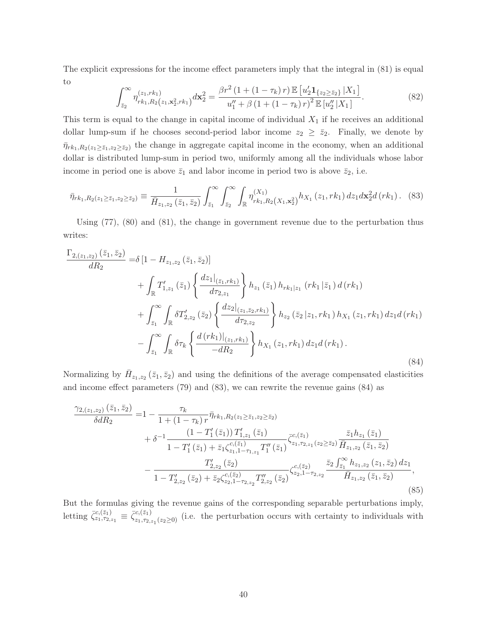The explicit expressions for the income effect parameters imply that the integral in (81) is equal to

$$
\int_{\bar{z}_2}^{\infty} \eta_{rk_1,R_2(z_1,\mathbf{x}_2^2,rk_1)}^{(z_1,rk_1)} d\mathbf{x}_2^2 = \frac{\beta r^2 \left(1 + (1 - \tau_k) r\right) \mathbb{E}\left[u_2' \mathbf{1}_{\{z_2 \ge \bar{z}_2\}} | X_1\right]}{u_1'' + \beta \left(1 + (1 - \tau_k) r\right)^2 \mathbb{E}\left[u_2'' | X_1\right]}.
$$
\n(82)

This term is equal to the change in capital income of individual  $X_1$  if he receives an additional dollar lump-sum if he chooses second-period labor income  $z_2 \geq \overline{z}_2$ . Finally, we denote by  $\bar{\eta}_{rk_1,R_2(z_1\geq\bar{z}_1,z_2\geq\bar{z}_2)}$  the change in aggregate capital income in the economy, when an additional dollar is distributed lump-sum in period two, uniformly among all the individuals whose labor income in period one is above  $\bar{z}_1$  and labor income in period two is above  $\bar{z}_2$ , i.e.

$$
\bar{\eta}_{rk_1,R_2(z_1 \ge \bar{z}_1,z_2 \ge \bar{z}_2)} \equiv \frac{1}{\bar{H}_{z_1,z_2}(\bar{z}_1,\bar{z}_2)} \int_{\bar{z}_1}^{\infty} \int_{\bar{z}_2}^{\infty} \int_{\mathbb{R}} \eta_{rk_1,R_2(X_1,\mathbf{x}_2^2)}^{(X_1)} h_{X_1}(z_1,rk_1) dz_1 d\mathbf{x}_2^2 d(rk_1). \tag{83}
$$

Using (77), (80) and (81), the change in government revenue due to the perturbation thus writes:

$$
\frac{\Gamma_{2,(z_1,z_2)}(\bar{z}_1,\bar{z}_2)}{dR_2} = \delta \left[ 1 - H_{z_1,z_2}(\bar{z}_1,\bar{z}_2) \right]
$$
\n
$$
+ \int_{\mathbb{R}} T'_{1,z_1}(\bar{z}_1) \left\{ \frac{dz_1|_{(\bar{z}_1,rk_1)}}{d\tau_{2,z_1}} \right\} h_{z_1}(\bar{z}_1) h_{rk_1|z_1} (rk_1|\bar{z}_1) d(rk_1)
$$
\n
$$
+ \int_{\bar{z}_1}^{\infty} \int_{\mathbb{R}} \delta T'_{2,z_2}(\bar{z}_2) \left\{ \frac{dz_2|_{(z_1,\bar{z}_2,rk_1)}}{d\tau_{2,z_2}} \right\} h_{z_2}(\bar{z}_2|z_1,rk_1) h_{X_1}(z_1,rk_1) dz_1 d(rk_1)
$$
\n
$$
- \int_{\bar{z}_1}^{\infty} \int_{\mathbb{R}} \delta \tau_k \left\{ \frac{d(rk_1)|_{(z_1,rk_1)}}{-dR_2} \right\} h_{X_1}(z_1,rk_1) dz_1 d(rk_1).
$$
\n(84)

Normalizing by  $H_{z_1,z_2}(\bar{z}_1,\bar{z}_2)$  and using the definitions of the average compensated elasticities and income effect parameters (79) and (83), we can rewrite the revenue gains (84) as

$$
\frac{\gamma_{2,(z_1,z_2)}(\bar{z}_1,\bar{z}_2)}{\delta dR_2} = 1 - \frac{\tau_k}{1 + (1 - \tau_k) r} \bar{\eta}_{rk_1,R_2(z_1 \ge \bar{z}_1,z_2 \ge \bar{z}_2)} \n+ \delta^{-1} \frac{(1 - T'_1(\bar{z}_1)) T'_{1,z_1}(\bar{z}_1)}{1 - T'_1(\bar{z}_1) + \bar{z}_1 \zeta_{z_1,1-r_{1,z_1}}^{\mathcal{C},(\bar{z}_1)} T''_1(\bar{z}_1)} \zeta_{z_1,\tau_{2,z_1}(z_2 \ge \bar{z}_2)}^{\mathcal{C},(\bar{z}_1)} \overline{H}_{z_1,z_2}(\bar{z}_1,\bar{z}_2)} \n- \frac{T'_{2,z_2}(\bar{z}_2)}{1 - T'_{2,z_2}(\bar{z}_2) + \bar{z}_2 \zeta_{z_2,1-r_{2,z_2}}^{\mathcal{C},(\bar{z}_2)} T''_{2,z_2}(\bar{z}_2)} \zeta_{z_2,1-r_{2,z_2}}^{\mathcal{C},(\bar{z}_2)} \overline{H}_{z_1,z_2}(\bar{z}_1,\bar{z}_2)}.
$$
\n(85)

But the formulas giving the revenue gains of the corresponding separable perturbations imply, letting  $\bar{\zeta}_{z_1,\tau_{2,z_1}}^{c,(\bar{z}_1)} \equiv \bar{\zeta}_{z_1,\tau_{2,z_1}(z_2\geq 0)}^{c,(\bar{z}_1)}$  (i.e. the perturbation occurs with certainty to individuals with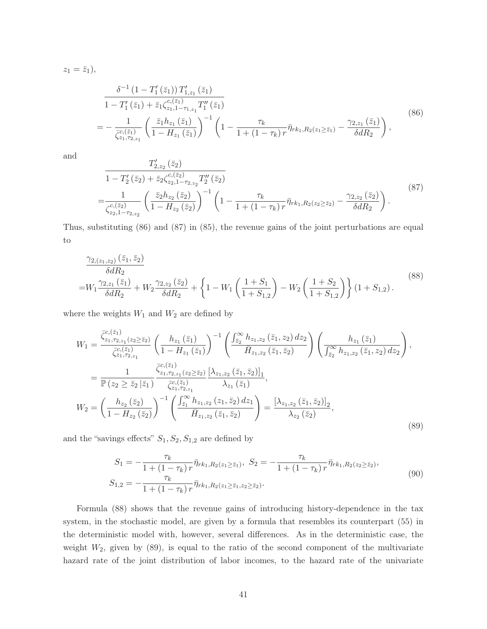$z_1 = \bar{z}_1$ ,

$$
\frac{\delta^{-1} (1 - T_1'(\bar{z}_1)) T_{1,z_1}'(\bar{z}_1)}{1 - T_1'(\bar{z}_1) + \bar{z}_1 \zeta_{z_1,1-\tau_{1,z_1}}^{c,(z_1)} T_1''(\bar{z}_1)} = -\frac{1}{\bar{\zeta}_{z_1,z_2}^{c,(z_1)}} \left( \frac{\bar{z}_1 h_{z_1}(\bar{z}_1)}{1 - H_{z_1}(\bar{z}_1)} \right)^{-1} \left( 1 - \frac{\tau_k}{1 + (1 - \tau_k) r} \bar{\eta}_{r k_1, R_2(z_1 \ge \bar{z}_1)} - \frac{\gamma_{2,z_1}(\bar{z}_1)}{\delta d R_2} \right),
$$
\n(86)

and

$$
\frac{T'_{2,z_2}(\bar{z}_2)}{1 - T'_2(\bar{z}_2) + \bar{z}_2 \zeta_{z_2,1-\tau_{2,z_2}}^{c,(\bar{z}_2)} T''_2(\bar{z}_2)}
$$
\n
$$
= \frac{1}{\zeta_{z_2,1-\tau_{2,z_2}}^{c,(\bar{z}_2)}} \left( \frac{\bar{z}_2 h_{z_2}(\bar{z}_2)}{1 - H_{z_2}(\bar{z}_2)} \right)^{-1} \left( 1 - \frac{\tau_k}{1 + (1 - \tau_k) r} \bar{\eta}_{r k_1, R_2(z_2 \ge \bar{z}_2)} - \frac{\gamma_{2,z_2}(\bar{z}_2)}{\delta d R_2} \right). \tag{87}
$$

Thus, substituting (86) and (87) in (85), the revenue gains of the joint perturbations are equal to

$$
\frac{\gamma_{2,(z_1,z_2)}(\bar{z}_1,\bar{z}_2)}{\delta dR_2} = W_1 \frac{\gamma_{2,z_1}(\bar{z}_1)}{\delta dR_2} + W_2 \frac{\gamma_{2,z_2}(\bar{z}_2)}{\delta dR_2} + \left\{ 1 - W_1 \left( \frac{1+S_1}{1+S_{1,2}} \right) - W_2 \left( \frac{1+S_2}{1+S_{1,2}} \right) \right\} (1+S_{1,2}).
$$
\n(88)

where the weights  $W_1$  and  $W_2$  are defined by

$$
W_{1} = \frac{\bar{\zeta}_{z_{1},\tau_{2,z_{1}}(z_{2}\geq\bar{z}_{2})}^{c_{z_{1},\tau_{2,z_{1}}(z_{2}\geq\bar{z}_{2})}}{\bar{\zeta}_{z_{1},\tau_{2,z_{1}}^{c_{z_{1},\tau_{2,z_{1}}}}}\left(\frac{h_{z_{1}}(\bar{z}_{1})}{1-H_{z_{1}}(\bar{z}_{1})}\right)^{-1}\left(\frac{\int_{\bar{z}_{2}}^{\infty}h_{z_{1},z_{2}}(\bar{z}_{1},z_{2})dz_{2}}{\bar{H}_{z_{1},z_{2}}(\bar{z}_{1},\bar{z}_{2})}\right)\left(\frac{h_{z_{1}}(\bar{z}_{1})}{\int_{\bar{z}_{2}}^{\infty}h_{z_{1},z_{2}}(\bar{z}_{1},z_{2})dz_{2}}\right),
$$

$$
= \frac{1}{\mathbb{P}(z_{2}\geq\bar{z}_{2}|\bar{z}_{1})}\frac{\bar{\zeta}_{z_{1},\tau_{2,z_{1}}(z_{2}\geq\bar{z}_{2})}\left[\lambda_{z_{1},z_{2}}(\bar{z}_{1},\bar{z}_{2})\right]_{1}}{\bar{\zeta}_{z_{1},\tau_{2,z_{1}}^{c_{z_{1},\tau_{2,z_{1}}}}}\lambda_{z_{1}}(\bar{z}_{1})},
$$

$$
W_{2} = \left(\frac{h_{z_{2}}(\bar{z}_{2})}{1-H_{z_{2}}(\bar{z}_{2})}\right)^{-1}\left(\frac{\int_{\bar{z}_{1}}^{\infty}h_{z_{1},z_{2}}(z_{1},\bar{z}_{2})dz_{1}}{\bar{H}_{z_{1},z_{2}}(\bar{z}_{1},\bar{z}_{2})}\right) = \frac{\left[\lambda_{z_{1},z_{2}}(\bar{z}_{1},\bar{z}_{2})\right]_{2}}{\lambda_{z_{2}}(\bar{z}_{2})},
$$
(89)

and the "savings effects"  $S_1, S_2, S_{1,2}$  are defined by

$$
S_1 = -\frac{\tau_k}{1 + (1 - \tau_k) r} \bar{\eta}_{rk_1, R_2(z_1 \ge \bar{z}_1)}, \ S_2 = -\frac{\tau_k}{1 + (1 - \tau_k) r} \bar{\eta}_{rk_1, R_2(z_2 \ge \bar{z}_2)},
$$
  
\n
$$
S_{1,2} = -\frac{\tau_k}{1 + (1 - \tau_k) r} \bar{\eta}_{rk_1, R_2(z_1 \ge \bar{z}_1, z_2 \ge \bar{z}_2)}.
$$
\n
$$
(90)
$$

Formula (88) shows that the revenue gains of introducing history-dependence in the tax system, in the stochastic model, are given by a formula that resembles its counterpart (55) in the deterministic model with, however, several differences. As in the deterministic case, the weight  $W_2$ , given by  $(89)$ , is equal to the ratio of the second component of the multivariate hazard rate of the joint distribution of labor incomes, to the hazard rate of the univariate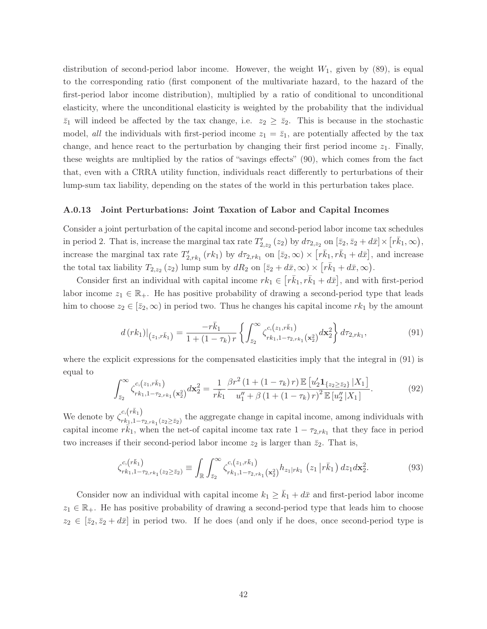distribution of second-period labor income. However, the weight  $W_1$ , given by (89), is equal to the corresponding ratio (first component of the multivariate hazard, to the hazard of the first-period labor income distribution), multiplied by a ratio of conditional to unconditional elasticity, where the unconditional elasticity is weighted by the probability that the individual  $\bar{z}_1$  will indeed be affected by the tax change, i.e.  $z_2 \geq \bar{z}_2$ . This is because in the stochastic model, *all* the individuals with first-period income  $z_1 = \overline{z}_1$ , are potentially affected by the tax change, and hence react to the perturbation by changing their first period income  $z_1$ . Finally, these weights are multiplied by the ratios of "savings effects" (90), which comes from the fact that, even with a CRRA utility function, individuals react differently to perturbations of their lump-sum tax liability, depending on the states of the world in this perturbation takes place.

## A.0.13 Joint Perturbations: Joint Taxation of Labor and Capital Incomes

Consider a joint perturbation of the capital income and second-period labor income tax schedules in period 2. That is, increase the marginal tax rate  $T'_{2,z_2}(z_2)$  by  $d\tau_{2,z_2}$  on  $[\bar{z}_2, \bar{z}_2 + d\bar{x}] \times [r\bar{k}_1, \infty)$ , increase the marginal tax rate  $T'_{2,rk_1}(rk_1)$  by  $d\tau_{2,rk_1}$  on  $[\bar{z}_2,\infty)\times [r\bar{k}_1,r\bar{k}_1+d\bar{x}]$ , and increase the total tax liability  $T_{2,z_2}(z_2)$  lump sum by  $dR_2$  on  $[\bar{z}_2 + d\bar{x}, \infty) \times [r\bar{k}_1 + d\bar{x}, \infty)$ .

Consider first an individual with capital income  $rk_1 \in [r\bar{k}_1, r\bar{k}_1 + d\bar{x}]$ , and with first-period labor income  $z_1 \in \mathbb{R}_+$ . He has positive probability of drawing a second-period type that leads him to choose  $z_2 \in [\bar{z}_2, \infty)$  in period two. Thus he changes his capital income  $rk_1$  by the amount

$$
d\left(rk_1\right)|_{\left(z_1,r\bar{k}_1\right)} = \frac{-r\bar{k}_1}{1+\left(1-\tau_k\right)r} \left\{ \int_{\bar{z}_2}^{\infty} \zeta_{rk_1,1-\tau_{2,rk_1}}^{c,\left(z_1,r\bar{k}_1\right)}(\mathbf{x}_2^2) d\mathbf{x}_2^2 \right\} d\tau_{2,rk_1},\tag{91}
$$

where the explicit expressions for the compensated elasticities imply that the integral in (91) is equal to

$$
\int_{\bar{z}_2}^{\infty} \zeta_{rk_1,1-\tau_{2,rk_1}}^{c,(z_1,r\bar{k}_1)}(\mathbf{x}_2^2) d\mathbf{x}_2^2 = \frac{1}{r\bar{k}_1} \frac{\beta r^2 (1 + (1 - \tau_k) r) \mathbb{E} \left[ u_2' \mathbf{1}_{\{z_2 \ge \bar{z}_2\}} |X_1 \right]}{u_1'' + \beta (1 + (1 - \tau_k) r)^2 \mathbb{E} \left[ u_2'' |X_1 \right]}.
$$
(92)

We denote by  $\zeta_{rk_1,1-\tau_{2,rk_1}(z_2\geq \bar{z}_2)}^{c,(r\bar{k}_1)}$  the aggregate change in capital income, among individuals with capital income  $r\bar{k}_1$ , when the net-of capital income tax rate  $1 - \tau_{2,rk_1}$  that they face in period two increases if their second-period labor income  $z_2$  is larger than  $\bar{z}_2$ . That is,

$$
\zeta_{rk_1,1-\tau_{2,rk_1}(z_2\geq \bar{z}_2)}^{c,(r\bar{k}_1)} \equiv \int_{\mathbb{R}} \int_{\bar{z}_2}^{\infty} \zeta_{rk_1,1-\tau_{2,rk_1}}^{c,(z_1,r\bar{k}_1)}(x_2) h_{z_1|rk_1}(z_1|r\bar{k}_1) dz_1 dx_2^2.
$$
 (93)

Consider now an individual with capital income  $k_1 \geq \bar{k}_1 + d\bar{x}$  and first-period labor income  $z_1 \in \mathbb{R}_+$ . He has positive probability of drawing a second-period type that leads him to choose  $z_2 \in [\bar{z}_2, \bar{z}_2 + d\bar{x}]$  in period two. If he does (and only if he does, once second-period type is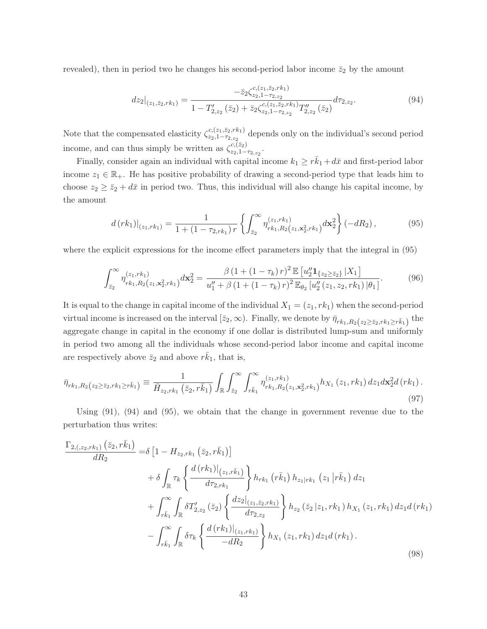revealed), then in period two he changes his second-period labor income  $\bar{z}_2$  by the amount

$$
dz_2|_{(z_1,\bar{z}_2,rk_1)} = \frac{-\bar{z}_2 \zeta_{z_2,1-r_2,z_2}^{c,(z_1,\bar{z}_2,rk_1)}}{1 - T'_{2,z_2}(\bar{z}_2) + \bar{z}_2 \zeta_{z_2,1-r_2,z_2}^{c,(z_1,\bar{z}_2,rk_1)} T''_{2,z_2}(\bar{z}_2)} d\tau_{2,z_2}.
$$
(94)

Note that the compensated elasticity  $\zeta_{z_0,1-\tau_2,z_1}^{c,(z_1,\bar{z}_2,r_{k_1})}$  $\frac{z_{2}(z_{1},z_{2},r_{1})}{z_{2},1-\tau_{2,z_{2}}}$  depends only on the individual's second period income, and can thus simply be written as  $\zeta_{z_2,1}^{c,(\bar{z}_2)}$  $\frac{c,(z_2)}{z_2,1-\tau_{2,z_2}}.$ 

Finally, consider again an individual with capital income  $k_1 \geq r\bar{k}_1 + d\bar{x}$  and first-period labor income  $z_1 \in \mathbb{R}_+$ . He has positive probability of drawing a second-period type that leads him to choose  $z_2 \ge \bar{z}_2 + d\bar{x}$  in period two. Thus, this individual will also change his capital income, by the amount

$$
d\left(rk_1\right)|_{(z_1,rk_1)} = \frac{1}{1 + (1 - \tau_{2,rk_1})r} \left\{ \int_{\bar{z}_2}^{\infty} \eta_{r k_1, R_2(z_1, \mathbf{x}_2^2, r k_1)}^{(z_1, r k_1)} d\mathbf{x}_2^2 \right\} \left(-dR_2\right),\tag{95}
$$

where the explicit expressions for the income effect parameters imply that the integral in (95)

$$
\int_{\bar{z}_2}^{\infty} \eta_{rk_1,R_2(z_1,\mathbf{x}_2^2,rk_1)}^{(z_1,rk_1)} d\mathbf{x}_2^2 = \frac{\beta \left(1 + \left(1 - \tau_k\right)r\right)^2 \mathbb{E}\left[u_2'' \mathbf{1}_{\{z_2 \ge \bar{z}_2\}} | X_1\right]}{u_1'' + \beta \left(1 + \left(1 - \tau_k\right)r\right)^2 \mathbb{E}_{\theta_2}\left[u_2''\left(z_1,z_2,rk_1\right)|\theta_1\right]}.
$$
(96)

It is equal to the change in capital income of the individual  $X_1 = (z_1, rk_1)$  when the second-period virtual income is increased on the interval  $[\bar{z}_2,\infty)$ . Finally, we denote by  $\bar{\eta}_{rk_1,R_2}(z_2\geq \bar{z}_2,rk_1\geq r\bar{k}_1)$  the aggregate change in capital in the economy if one dollar is distributed lump-sum and uniformly in period two among all the individuals whose second-period labor income and capital income are respectively above  $\bar{z}_2$  and above  $r\bar{k}_1$ , that is,

$$
\bar{\eta}_{rk_1,R_2(z_2\geq \bar{z}_2,rk_1\geq r\bar{k}_1)} \equiv \frac{1}{\bar{H}_{z_2,rk_1}(\bar{z}_2,r\bar{k}_1)} \int_{\mathbb{R}} \int_{\bar{z}_2}^{\infty} \int_{r\bar{k}_1}^{\infty} \eta_{rk_1,R_2(z_1,\mathbf{x}_2,rk_1)}^{(z_1,rk_1)} h_{X_1}(z_1,rk_1) dz_1 d\mathbf{x}_2^2 d(rk_1).
$$
\n(97)

Using (91), (94) and (95), we obtain that the change in government revenue due to the perturbation thus writes:

$$
\frac{\Gamma_{2,(z_{2},rk_{1})}(\bar{z}_{2},r\bar{k}_{1})}{dR_{2}} = \delta \left[1 - H_{z_{2},rk_{1}}(\bar{z}_{2},r\bar{k}_{1})\right]
$$
\n
$$
+ \delta \int_{\mathbb{R}} \tau_{k} \left\{\frac{d\left(rk_{1}\right)|_{(z_{1},r\bar{k}_{1})}}{d\tau_{2,rk_{1}}}\right\} h_{rk_{1}}\left(r\bar{k}_{1}\right) h_{z_{1}|rk_{1}}\left(z_{1} | r\bar{k}_{1}\right) dz_{1}
$$
\n
$$
+ \int_{r\bar{k}_{1}}^{\infty} \int_{\mathbb{R}} \delta T'_{2,z_{2}}\left(\bar{z}_{2}\right) \left\{\frac{dz_{2}|_{(z_{1},\bar{z}_{2},rk_{1})}}{d\tau_{2,z_{2}}}\right\} h_{z_{2}}\left(\bar{z}_{2} | z_{1},rk_{1}\right) h_{X_{1}}\left(z_{1},rk_{1}\right) dz_{1} d\left(rk_{1}\right)
$$
\n
$$
- \int_{r\bar{k}_{1}}^{\infty} \int_{\mathbb{R}} \delta \tau_{k} \left\{\frac{d\left(rk_{1}\right)|_{(z_{1},rk_{1})}}{-dR_{2}}\right\} h_{X_{1}}\left(z_{1},rk_{1}\right) dz_{1} d\left(rk_{1}\right).
$$
\n(98)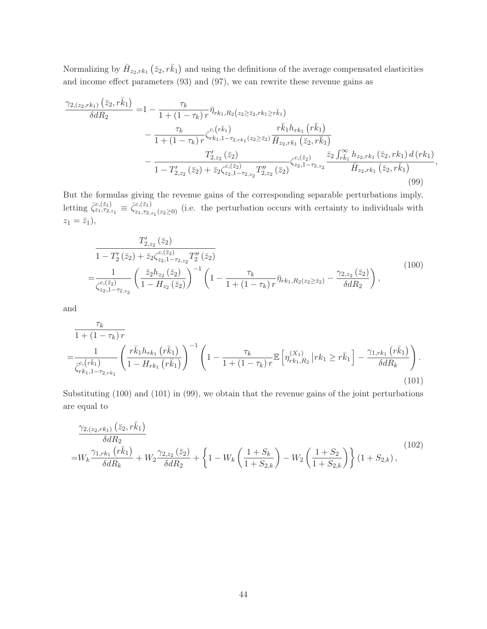Normalizing by  $\bar{H}_{z_2,rk_1}(\bar{z}_2, r\bar{k}_1)$  and using the definitions of the average compensated elasticities and income effect parameters (93) and (97), we can rewrite these revenue gains as

$$
\frac{\gamma_{2,(z_2,rk_1)}(\bar{z}_2,r\bar{k}_1)}{\delta dR_2} = 1 - \frac{\tau_k}{1 + (1 - \tau_k) r} \bar{\eta}_{rk_1,R_2(z_2 \ge \bar{z}_2,rk_1 \ge r\bar{k}_1)} \n- \frac{\tau_k}{1 + (1 - \tau_k) r} \zeta_{rk_1,1-r_2,rk_1}^{c,(\bar{r}\bar{k}_1)} \frac{r\bar{k}_1 h_{rk_1}(r\bar{k}_1)}{\bar{H}_{z_2,rk_1}(\bar{z}_2,r\bar{k}_1)} \n- \frac{T'_{z,z_2}(z_2)}{1 - T'_{z,z_2}(\bar{z}_2) + \bar{z}_2 \zeta_{z_2,1-r_2,z_2} T''_{z,z_2}(\bar{z}_2)} \zeta_{z_2,1-r_2,z_2}^{c,(\bar{z}_2)} \frac{\bar{z}_2 \int_{r\bar{k}_1}^{\infty} h_{z_2,rk_1}(\bar{z}_2,rk_1) d(rk_1)}{\bar{H}_{z_2,rk_1}(\bar{z}_2,r\bar{k}_1)},
$$
\n(99)

But the formulas giving the revenue gains of the corresponding separable perturbations imply, letting  $\bar{\zeta}_{z_1,\tau_{2,z_1}}^{c,(\bar{z}_1)} \equiv \bar{\zeta}_{z_1,\tau_{2,z_1}(z_2\geq 0)}^{c,(\bar{z}_1)}$  (i.e. the perturbation occurs with certainty to individuals with  $z_1 = \bar{z}_1$ ,

$$
\frac{T'_{2,z_2}(\bar{z}_2)}{1 - T'_2(\bar{z}_2) + \bar{z}_2 \zeta_{z_2,1-\tau_{2,z_2}}^{c,(\bar{z}_2)} T''_2(\bar{z}_2)}
$$
\n
$$
= \frac{1}{\zeta_{z_2,1-\tau_{2,z_2}}^{c,(\bar{z}_2)}} \left( \frac{\bar{z}_2 h_{z_2}(\bar{z}_2)}{1 - H_{z_2}(\bar{z}_2)} \right)^{-1} \left( 1 - \frac{\tau_k}{1 + (1 - \tau_k) r} \bar{\eta}_{r k_1, R_2(z_2 \ge \bar{z}_2)} - \frac{\gamma_{2,z_2}(\bar{z}_2)}{\delta d R_2} \right),
$$
\n(100)

and

$$
\frac{\tau_k}{1 + (1 - \tau_k) r} = \frac{1}{\bar{\zeta}_{rk_1, 1 - \tau_{2, rk_1}}^{c, (r\bar{k}_1)} \left(\frac{r\bar{k}_1 h_{rk_1}(r\bar{k}_1)}{1 - H_{rk_1}(r\bar{k}_1)}\right)^{-1} \left(1 - \frac{\tau_k}{1 + (1 - \tau_k) r} \mathbb{E}\left[\eta_{rk_1, R_2}^{(X_1)}\middle| rk_1 \ge r\bar{k}_1\right] - \frac{\gamma_{1, rk_1}(r\bar{k}_1)}{\delta dR_k}\right). \tag{101}
$$

Substituting (100) and (101) in (99), we obtain that the revenue gains of the joint perturbations are equal to

$$
\frac{\gamma_{2,(z_2,rk_1)}(\bar{z}_2, r\bar{k}_1)}{\delta dR_2} = W_k \frac{\gamma_{1,rk_1}(r\bar{k}_1)}{\delta dR_k} + W_2 \frac{\gamma_{2,z_2}(\bar{z}_2)}{\delta dR_2} + \left\{ 1 - W_k \left( \frac{1+S_k}{1+S_{2,k}} \right) - W_2 \left( \frac{1+S_2}{1+S_{2,k}} \right) \right\} (1+S_{2,k}),
$$
\n(102)